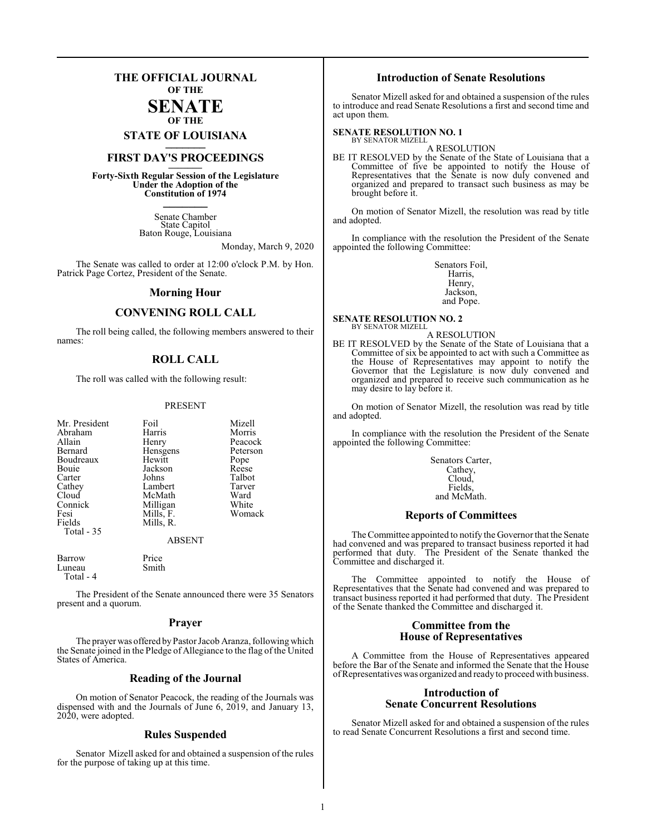### **THE OFFICIAL JOURNAL OF THE**

### **SENATE OF THE**

**STATE OF LOUISIANA \_\_\_\_\_\_\_**

### **FIRST DAY'S PROCEEDINGS \_\_\_\_\_\_\_**

**Forty-Sixth Regular Session of the Legislature Under the Adoption of the Constitution of 1974 \_\_\_\_\_\_\_**

> Senate Chamber State Capitol Baton Rouge, Louisiana

> > Monday, March 9, 2020

The Senate was called to order at 12:00 o'clock P.M. by Hon. Patrick Page Cortez, President of the Senate.

#### **Morning Hour**

### **CONVENING ROLL CALL**

The roll being called, the following members answered to their names:

### **ROLL CALL**

The roll was called with the following result:

#### PRESENT

| Mr. President<br>Abraham<br>Allain<br>Bernard<br>Boudreaux<br>Bouie<br>Carter<br>Cathey<br>Cloud<br>Connick<br>Fesi<br>Fields<br>Total $-35$ | Foil<br>Harris<br>Henry<br>Hensgens<br>Hewitt<br>Jackson<br>Johns<br>Lambert<br>McMath<br>Milligan<br>Mills, F.<br>Mills, R. | Mizell<br>Morris<br>Peacock<br>Peterson<br>Pope<br>Reese<br>Talbot<br>Tarver<br>Ward<br>White<br>Womack |
|----------------------------------------------------------------------------------------------------------------------------------------------|------------------------------------------------------------------------------------------------------------------------------|---------------------------------------------------------------------------------------------------------|
|                                                                                                                                              | <b>ABSENT</b>                                                                                                                |                                                                                                         |
| Barrow<br>Luneau                                                                                                                             | Price<br>Smith                                                                                                               |                                                                                                         |

 Total - 4 The President of the Senate announced there were 35 Senators

present and a quorum.

#### **Prayer**

The prayer was offered byPastor Jacob Aranza, following which the Senate joined in the Pledge of Allegiance to the flag of the United States of America.

#### **Reading of the Journal**

On motion of Senator Peacock, the reading of the Journals was dispensed with and the Journals of June 6, 2019, and January 13, 2020, were adopted.

#### **Rules Suspended**

Senator Mizell asked for and obtained a suspension of the rules for the purpose of taking up at this time.

### **Introduction of Senate Resolutions**

Senator Mizell asked for and obtained a suspension of the rules to introduce and read Senate Resolutions a first and second time and act upon them.

#### **SENATE RESOLUTION NO. 1**

BY SENATOR MIZELL A RESOLUTION

BE IT RESOLVED by the Senate of the State of Louisiana that a Committee of five be appointed to notify the House of Representatives that the Senate is now duly convened and organized and prepared to transact such business as may be brought before it.

On motion of Senator Mizell, the resolution was read by title and adopted.

In compliance with the resolution the President of the Senate appointed the following Committee:

> Senators Foil, Harris, Henry, Jackson, and Pope.

**SENATE RESOLUTION NO. 2** BY SENATOR MIZELL

A RESOLUTION BE IT RESOLVED by the Senate of the State of Louisiana that a Committee of six be appointed to act with such a Committee as the House of Representatives may appoint to notify the Governor that the Legislature is now duly convened and organized and prepared to receive such communication as he may desire to lay before it.

On motion of Senator Mizell, the resolution was read by title and adopted.

In compliance with the resolution the President of the Senate appointed the following Committee:

> Senators Carter, Cathey, Cloud, Fields, and McMath.

#### **Reports of Committees**

The Committee appointed to notify the Governor that the Senate had convened and was prepared to transact business reported it had performed that duty. The President of the Senate thanked the Committee and discharged it.

The Committee appointed to notify the House of Representatives that the Senate had convened and was prepared to transact business reported it had performed that duty. The President of the Senate thanked the Committee and discharged it.

#### **Committee from the House of Representatives**

A Committee from the House of Representatives appeared before the Bar of the Senate and informed the Senate that the House ofRepresentatives was organized and ready to proceed with business.

#### **Introduction of Senate Concurrent Resolutions**

Senator Mizell asked for and obtained a suspension of the rules to read Senate Concurrent Resolutions a first and second time.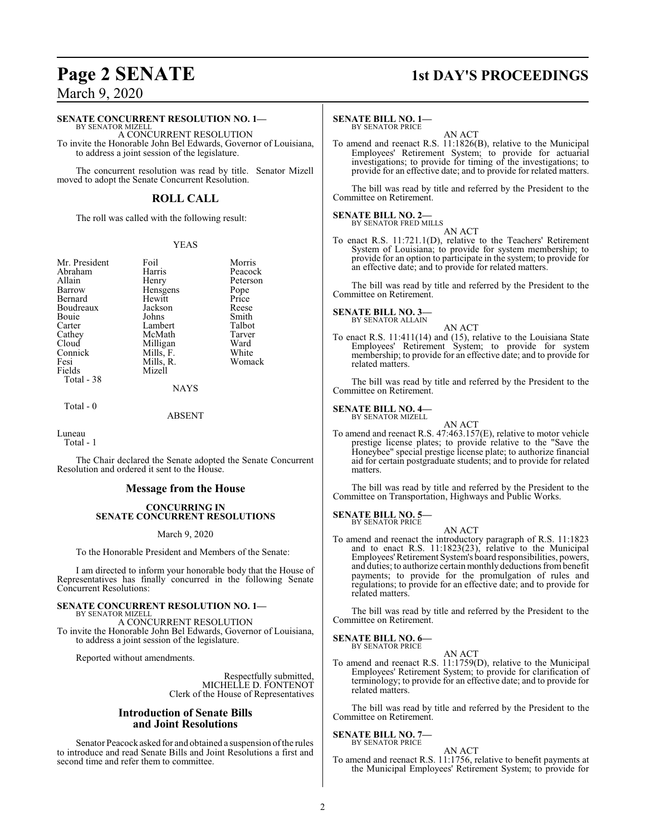#### **SENATE CONCURRENT RESOLUTION NO. 1—**

BY SENATOR MIZELL A CONCURRENT RESOLUTION To invite the Honorable John Bel Edwards, Governor of Louisiana, to address a joint session of the legislature.

The concurrent resolution was read by title. Senator Mizell moved to adopt the Senate Concurrent Resolution.

### **ROLL CALL**

The roll was called with the following result:

#### YEAS

Mr. President Foil Morris<br>Abraham Harris Peacock Abraham Harris<br>Allain Henry Allain **Henry** Peterson<br>
Barrow Hensgens Pope Bernard Hewitt Price<br>Boudreaux Jackson Reese Boudreaux Jackson Reese<br>Bouie Johns Smith Bouie Johns Smith<br>Carter Lambert Talbot Carter Lambert Talbot<br>Cathey McMath Tarver Cathey McMath Tarver<br>Cloud Milligan Ward Cloud Milligan Ward<br>
Connick Mills, F. White Connick Mills, F. White<br>
Fesi Mills, R. Womack Fesi Mills, R.<br>Fields Mizell Total - 38

Hensgens Pope<br>Hewitt Price

Total - 0

NAYS

**Mizell** 

ABSENT

Luneau

Total - 1

The Chair declared the Senate adopted the Senate Concurrent Resolution and ordered it sent to the House.

### **Message from the House**

#### **CONCURRING IN SENATE CONCURRENT RESOLUTIONS**

#### March 9, 2020

To the Honorable President and Members of the Senate:

I am directed to inform your honorable body that the House of Representatives has finally concurred in the following Senate Concurrent Resolutions:

### **SENATE CONCURRENT RESOLUTION NO. 1—**

BY SENATOR MIZELL A CONCURRENT RESOLUTION

To invite the Honorable John Bel Edwards, Governor of Louisiana, to address a joint session of the legislature.

Reported without amendments.

Respectfully submitted, MICHELLE D. FONTENOT Clerk of the House of Representatives

### **Introduction of Senate Bills and Joint Resolutions**

Senator Peacock asked for and obtained a suspension ofthe rules to introduce and read Senate Bills and Joint Resolutions a first and second time and refer them to committee.

## **Page 2 SENATE 1st DAY'S PROCEEDINGS**

### **SENATE BILL NO. 1—**

BY SENATOR PRICE

To amend and reenact R.S. 11:1826(B), relative to the Municipal Employees' Retirement System; to provide for actuarial investigations; to provide for timing of the investigations; to provide for an effective date; and to provide for related matters.

AN ACT

The bill was read by title and referred by the President to the Committee on Retirement.

#### **SENATE BILL NO. 2—** BY SENATOR FRED MILLS

AN ACT

To enact R.S. 11:721.1(D), relative to the Teachers' Retirement System of Louisiana; to provide for system membership; to provide for an option to participate in the system; to provide for an effective date; and to provide for related matters.

The bill was read by title and referred by the President to the Committee on Retirement.

#### **SENATE BILL NO. 3—** BY SENATOR ALLAIN

AN ACT

To enact R.S. 11:411(14) and (15), relative to the Louisiana State Employees' Retirement System; to provide for system membership; to provide for an effective date; and to provide for related matters.

The bill was read by title and referred by the President to the Committee on Retirement.

#### **SENATE BILL NO. 4—** BY SENATOR MIZELL

AN ACT To amend and reenact R.S. 47:463.157(E), relative to motor vehicle prestige license plates; to provide relative to the "Save the Honeybee" special prestige license plate; to authorize financial aid for certain postgraduate students; and to provide for related matters.

The bill was read by title and referred by the President to the Committee on Transportation, Highways and Public Works.

#### **SENATE BILL NO. 5—** BY SENATOR PRICE

AN ACT

To amend and reenact the introductory paragraph of R.S. 11:1823 and to enact R.S. 11:1823(23), relative to the Municipal Employees'Retirement System's board responsibilities, powers, and duties; to authorize certain monthly deductions frombenefit payments; to provide for the promulgation of rules and regulations; to provide for an effective date; and to provide for related matters.

The bill was read by title and referred by the President to the Committee on Retirement.

#### **SENATE BILL NO. 6—** BY SENATOR PRICE

AN ACT To amend and reenact R.S. 11:1759(D), relative to the Municipal Employees' Retirement System; to provide for clarification of terminology; to provide for an effective date; and to provide for related matters.

The bill was read by title and referred by the President to the Committee on Retirement.

#### **SENATE BILL NO. 7—** BY SENATOR PRICE

#### AN ACT

To amend and reenact R.S. 11:1756, relative to benefit payments at the Municipal Employees' Retirement System; to provide for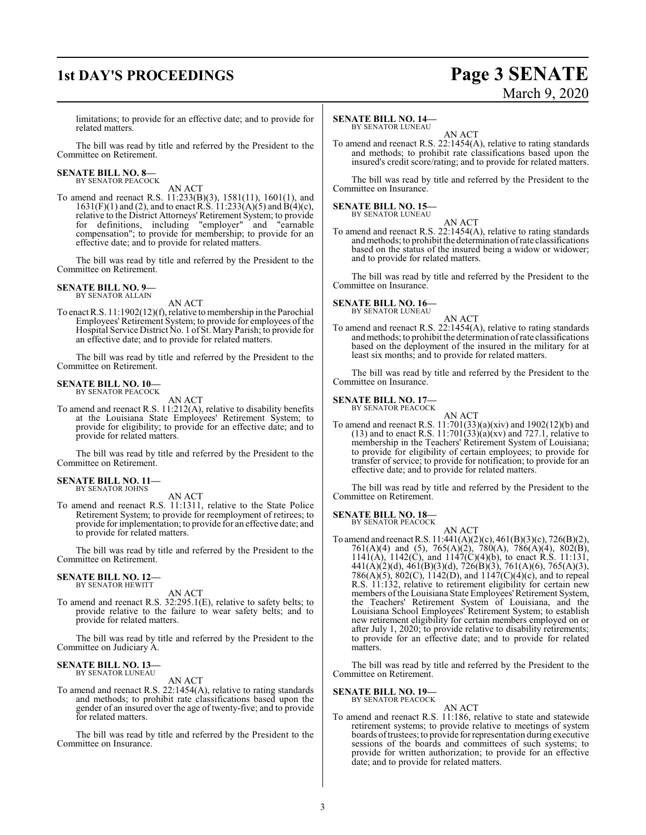## **1st DAY'S PROCEEDINGS Page 3 SENATE**

# March 9, 2020

limitations; to provide for an effective date; and to provide for related matters.

The bill was read by title and referred by the President to the Committee on Retirement.

## **SENATE BILL NO. 8—** BY SENATOR PEACOCK

AN ACT

To amend and reenact R.S. 11:233(B)(3), 1581(11), 1601(1), and  $1631(F)(1)$  and (2), and to enact R.S.  $11:233(A)(5)$  and  $B(4)(c)$ , relative to the District Attorneys' Retirement System; to provide for definitions, including "employer" and "earnable compensation"; to provide for membership; to provide for an effective date; and to provide for related matters.

The bill was read by title and referred by the President to the Committee on Retirement.

#### **SENATE BILL NO. 9—** BY SENATOR ALLAIN

AN ACT

To enact R.S. 11:1902(12)(f), relative to membership in the Parochial Employees' Retirement System; to provide for employees of the Hospital Service District No. 1 ofSt. Mary Parish; to provide for an effective date; and to provide for related matters.

The bill was read by title and referred by the President to the Committee on Retirement.

#### **SENATE BILL NO. 10—** BY SENATOR PEACOCK

AN ACT

To amend and reenact R.S. 11:212(A), relative to disability benefits at the Louisiana State Employees' Retirement System; to provide for eligibility; to provide for an effective date; and to provide for related matters.

The bill was read by title and referred by the President to the Committee on Retirement.

#### **SENATE BILL NO. 11—** BY SENATOR JOHNS

AN ACT

To amend and reenact R.S. 11:1311, relative to the State Police Retirement System; to provide for reemployment of retirees; to provide for implementation; to provide for an effective date; and to provide for related matters.

The bill was read by title and referred by the President to the Committee on Retirement.

## **SENATE BILL NO. 12—**<br>BY SENATOR HEWITT

AN ACT

To amend and reenact R.S. 32:295.1(E), relative to safety belts; to provide relative to the failure to wear safety belts; and to provide for related matters.

The bill was read by title and referred by the President to the Committee on Judiciary A.

#### **SENATE BILL NO. 13—** BY SENATOR LUNEAU

AN ACT

To amend and reenact R.S. 22:1454(A), relative to rating standards and methods; to prohibit rate classifications based upon the gender of an insured over the age of twenty-five; and to provide for related matters.

The bill was read by title and referred by the President to the Committee on Insurance.

### **SENATE BILL NO. 14—**

BY SENATOR LUNEAU AN ACT

To amend and reenact R.S. 22:1454(A), relative to rating standards and methods; to prohibit rate classifications based upon the insured's credit score/rating; and to provide for related matters.

The bill was read by title and referred by the President to the Committee on Insurance.

### **SENATE BILL NO. 15—** BY SENATOR LUNEAU

AN ACT

To amend and reenact R.S. 22:1454(A), relative to rating standards andmethods; to prohibit the determination ofrate classifications based on the status of the insured being a widow or widower; and to provide for related matters.

The bill was read by title and referred by the President to the Committee on Insurance.

#### **SENATE BILL NO. 16—** BY SENATOR LUNEAU



To amend and reenact R.S. 22:1454(A), relative to rating standards andmethods; to prohibit the determination ofrate classifications based on the deployment of the insured in the military for at least six months; and to provide for related matters.

The bill was read by title and referred by the President to the Committee on Insurance.

#### **SENATE BILL NO. 17—**

BY SENATOR PEACOCK

AN ACT To amend and reenact R.S. 11:701(33)(a)(xiv) and 1902(12)(b) and (13) and to enact R.S. 11:701(33)(a)(xv) and 727.1, relative to membership in the Teachers' Retirement System of Louisiana; to provide for eligibility of certain employees; to provide for transfer of service; to provide for notification; to provide for an effective date; and to provide for related matters.

The bill was read by title and referred by the President to the Committee on Retirement.

#### **SENATE BILL NO. 18—** BY SENATOR PEACOCK

AN ACT

To amend and reenactR.S. 11:441(A)(2)(c), 461(B)(3)(c), 726(B)(2), 761(A)(4) and (5), 765(A)(2), 780(A), 786(A)(4), 802(B), 1141(A), 1142(C), and 1147(C)(4)(b), to enact R.S. 11:131, 441(A)(2)(d), 461(B)(3)(d), 726(B)(3), 761(A)(6), 765(A)(3), 786(A)(5), 802(C), 1142(D), and 1147(C)(4)(c), and to repeal R.S. 11:132, relative to retirement eligibility for certain new members of the Louisiana State Employees'Retirement System, the Teachers' Retirement System of Louisiana, and the Louisiana School Employees' Retirement System; to establish new retirement eligibility for certain members employed on or after July 1, 2020; to provide relative to disability retirements; to provide for an effective date; and to provide for related matters.

The bill was read by title and referred by the President to the Committee on Retirement.

#### **SENATE BILL NO. 19—** BY SENATOR PEACOCK

AN ACT

To amend and reenact R.S. 11:186, relative to state and statewide retirement systems; to provide relative to meetings of system boards oftrustees; to provide forrepresentation during executive sessions of the boards and committees of such systems; to provide for written authorization; to provide for an effective date; and to provide for related matters.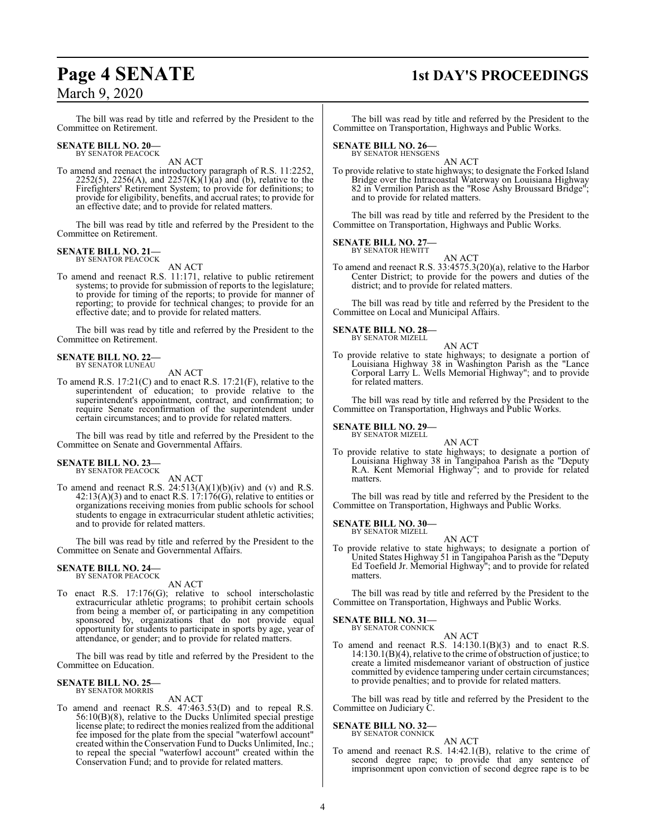### **Page 4 SENATE 1st DAY'S PROCEEDINGS**

The bill was read by title and referred by the President to the Committee on Retirement.

#### **SENATE BILL NO. 20—** BY SENATOR PEACOCK

AN ACT

To amend and reenact the introductory paragraph of R.S. 11:2252, 2252(5), 2256(A), and 2257(K)( $1$ )(a) and (b), relative to the Firefighters' Retirement System; to provide for definitions; to provide for eligibility, benefits, and accrual rates; to provide for an effective date; and to provide for related matters.

The bill was read by title and referred by the President to the Committee on Retirement.

### **SENATE BILL NO. 21—** BY SENATOR PEACOCK

AN ACT

To amend and reenact R.S. 11:171, relative to public retirement systems; to provide for submission of reports to the legislature; to provide for timing of the reports; to provide for manner of reporting; to provide for technical changes; to provide for an effective date; and to provide for related matters.

The bill was read by title and referred by the President to the Committee on Retirement.

#### **SENATE BILL NO. 22—** BY SENATOR LUNEAU

AN ACT

To amend R.S. 17:21(C) and to enact R.S. 17:21(F), relative to the superintendent of education; to provide relative to the superintendent's appointment, contract, and confirmation; to require Senate reconfirmation of the superintendent under certain circumstances; and to provide for related matters.

The bill was read by title and referred by the President to the Committee on Senate and Governmental Affairs.

### **SENATE BILL NO. 23—** BY SENATOR PEACOCK

AN ACT

To amend and reenact R.S.  $24:513(A)(1)(b)(iv)$  and (v) and R.S.  $42:13(A)(3)$  and to enact R.S.  $17:176(G)$ , relative to entities or organizations receiving monies from public schools for school students to engage in extracurricular student athletic activities; and to provide for related matters.

The bill was read by title and referred by the President to the Committee on Senate and Governmental Affairs.

### **SENATE BILL NO. 24—** BY SENATOR PEACOCK

AN ACT

To enact R.S. 17:176(G); relative to school interscholastic extracurricular athletic programs; to prohibit certain schools from being a member of, or participating in any competition sponsored by, organizations that do not provide equal opportunity for students to participate in sports by age, year of attendance, or gender; and to provide for related matters.

The bill was read by title and referred by the President to the Committee on Education.

#### **SENATE BILL NO. 25—** BY SENATOR MORRIS

#### AN ACT

To amend and reenact R.S. 47:463.53(D) and to repeal R.S. 56:10(B)(8), relative to the Ducks Unlimited special prestige license plate; to redirect the monies realized from the additional fee imposed for the plate from the special "waterfowl account" created within the Conservation Fund to Ducks Unlimited, Inc.; to repeal the special "waterfowl account" created within the Conservation Fund; and to provide for related matters.

The bill was read by title and referred by the President to the Committee on Transportation, Highways and Public Works.

#### **SENATE BILL NO. 26—** BY SENATOR HENSGENS

AN ACT

To provide relative to state highways; to designate the Forked Island Bridge over the Intracoastal Waterway on Louisiana Highway 82 in Vermilion Parish as the "Rose Ashy Broussard Bridge"; and to provide for related matters.

The bill was read by title and referred by the President to the Committee on Transportation, Highways and Public Works.

#### **SENATE BILL NO. 27—** BY SENATOR HEWITT

AN ACT

To amend and reenact R.S. 33:4575.3(20)(a), relative to the Harbor Center District; to provide for the powers and duties of the district; and to provide for related matters.

The bill was read by title and referred by the President to the Committee on Local and Municipal Affairs.

#### **SENATE BILL NO. 28—** BY SENATOR MIZELL

AN ACT

To provide relative to state highways; to designate a portion of Louisiana Highway 38 in Washington Parish as the "Lance Corporal Larry L. Wells Memorial Highway"; and to provide for related matters.

The bill was read by title and referred by the President to the Committee on Transportation, Highways and Public Works.

#### **SENATE BILL NO. 29—** BY SENATOR MIZELL

AN ACT To provide relative to state highways; to designate a portion of Louisiana Highway 38 in Tangipahoa Parish as the "Deputy R.A. Kent Memorial Highway"; and to provide for related matters.

The bill was read by title and referred by the President to the Committee on Transportation, Highways and Public Works.

**SENATE BILL NO. 30—** BY SENATOR MIZELL

AN ACT

To provide relative to state highways; to designate a portion of United States Highway 51 in Tangipahoa Parish as the "Deputy Ed Toefield Jr. Memorial Highway"; and to provide for related matters.

The bill was read by title and referred by the President to the Committee on Transportation, Highways and Public Works.

#### **SENATE BILL NO. 31—**

BY SENATOR CONNICK AN ACT

To amend and reenact R.S.  $14:130.1(B)(3)$  and to enact R.S.  $14:130.1(B)(4)$ , relative to the crime of obstruction of justice; to create a limited misdemeanor variant of obstruction of justice committed by evidence tampering under certain circumstances; to provide penalties; and to provide for related matters.

The bill was read by title and referred by the President to the Committee on Judiciary C.

#### **SENATE BILL NO. 32—** BY SENATOR CONNICK

AN ACT To amend and reenact R.S. 14:42.1(B), relative to the crime of second degree rape; to provide that any sentence of imprisonment upon conviction of second degree rape is to be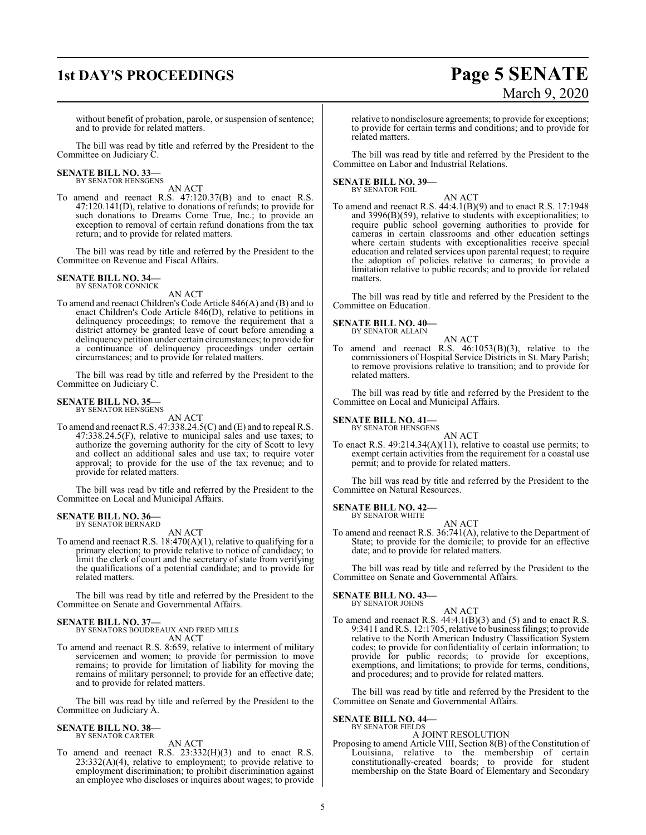## **1st DAY'S PROCEEDINGS Page 5 SENATE**

# March 9, 2020

without benefit of probation, parole, or suspension of sentence; and to provide for related matters.

The bill was read by title and referred by the President to the Committee on Judiciary C.

## **SENATE BILL NO. 33—** BY SENATOR HENSGENS

AN ACT

To amend and reenact R.S. 47:120.37(B) and to enact R.S. 47:120.141(D), relative to donations of refunds; to provide for such donations to Dreams Come True, Inc.; to provide an exception to removal of certain refund donations from the tax return; and to provide for related matters.

The bill was read by title and referred by the President to the Committee on Revenue and Fiscal Affairs.

#### **SENATE BILL NO. 34—** BY SENATOR CONNICK

AN ACT

To amend and reenact Children's Code Article 846(A) and (B) and to enact Children's Code Article 846(D), relative to petitions in delinquency proceedings; to remove the requirement that a district attorney be granted leave of court before amending a delinquency petition under certain circumstances; to provide for a continuance of delinquency proceedings under certain circumstances; and to provide for related matters.

The bill was read by title and referred by the President to the Committee on Judiciary C.

#### **SENATE BILL NO. 35—**

BY SENATOR HENSGENS

- AN ACT
- To amend and reenact R.S. 47:338.24.5(C) and (E) and to repeal R.S. 47:338.24.5(F), relative to municipal sales and use taxes; to authorize the governing authority for the city of Scott to levy and collect an additional sales and use tax; to require voter approval; to provide for the use of the tax revenue; and to provide for related matters.

The bill was read by title and referred by the President to the Committee on Local and Municipal Affairs.

#### **SENATE BILL NO. 36—** BY SENATOR BERNARD

AN ACT

To amend and reenact R.S. 18:470(A)(1), relative to qualifying for a primary election; to provide relative to notice of candidacy; to limit the clerk of court and the secretary of state from verifying the qualifications of a potential candidate; and to provide for related matters.

The bill was read by title and referred by the President to the Committee on Senate and Governmental Affairs.

## **SENATE BILL NO. 37—** BY SENATORS BOUDREAUX AND FRED MILLS

AN ACT

To amend and reenact R.S. 8:659, relative to interment of military servicemen and women; to provide for permission to move remains; to provide for limitation of liability for moving the remains of military personnel; to provide for an effective date; and to provide for related matters.

The bill was read by title and referred by the President to the Committee on Judiciary A.

#### **SENATE BILL NO. 38—** BY SENATOR CARTER

AN ACT

To amend and reenact R.S. 23:332(H)(3) and to enact R.S.  $23:332(A)(4)$ , relative to employment; to provide relative to employment discrimination; to prohibit discrimination against an employee who discloses or inquires about wages; to provide

relative to nondisclosure agreements; to provide for exceptions; to provide for certain terms and conditions; and to provide for related matters.

The bill was read by title and referred by the President to the Committee on Labor and Industrial Relations.

#### **SENATE BILL NO. 39—** BY SENATOR FOIL

AN ACT To amend and reenact R.S. 44:4.1(B)(9) and to enact R.S. 17:1948 and 3996(B)(59), relative to students with exceptionalities; to require public school governing authorities to provide for cameras in certain classrooms and other education settings where certain students with exceptionalities receive special education and related services upon parental request; to require the adoption of policies relative to cameras; to provide a limitation relative to public records; and to provide for related matters.

The bill was read by title and referred by the President to the Committee on Education.

### **SENATE BILL NO. 40—**

- BY SENATOR ALLAIN
- AN ACT To amend and reenact R.S. 46:1053(B)(3), relative to the commissioners of Hospital Service Districts in St. Mary Parish; to remove provisions relative to transition; and to provide for related matters.

The bill was read by title and referred by the President to the Committee on Local and Municipal Affairs.

#### **SENATE BILL NO. 41—**

BY SENATOR HENSGENS

AN ACT To enact R.S. 49:214.34(A)(11), relative to coastal use permits; to exempt certain activities from the requirement for a coastal use permit; and to provide for related matters.

The bill was read by title and referred by the President to the Committee on Natural Resources.

## **SENATE BILL NO. 42—**<br>BY SENATOR WHITE

AN ACT To amend and reenact R.S. 36:741(A), relative to the Department of State; to provide for the domicile; to provide for an effective date; and to provide for related matters.

The bill was read by title and referred by the President to the Committee on Senate and Governmental Affairs.

#### **SENATE BILL NO. 43—**

BY SENATOR JOHNS

AN ACT To amend and reenact R.S. 44:4.1(B)(3) and (5) and to enact R.S. 9:3411 and R.S. 12:1705, relative to business filings; to provide relative to the North American Industry Classification System codes; to provide for confidentiality of certain information; to provide for public records; to provide for exceptions, exemptions, and limitations; to provide for terms, conditions, and procedures; and to provide for related matters.

The bill was read by title and referred by the President to the Committee on Senate and Governmental Affairs.

### **SENATE BILL NO. 44—** BY SENATOR FIELDS

#### A JOINT RESOLUTION

Proposing to amend Article VIII, Section 8(B) of the Constitution of Louisiana, relative to the membership of certain constitutionally-created boards; to provide for student membership on the State Board of Elementary and Secondary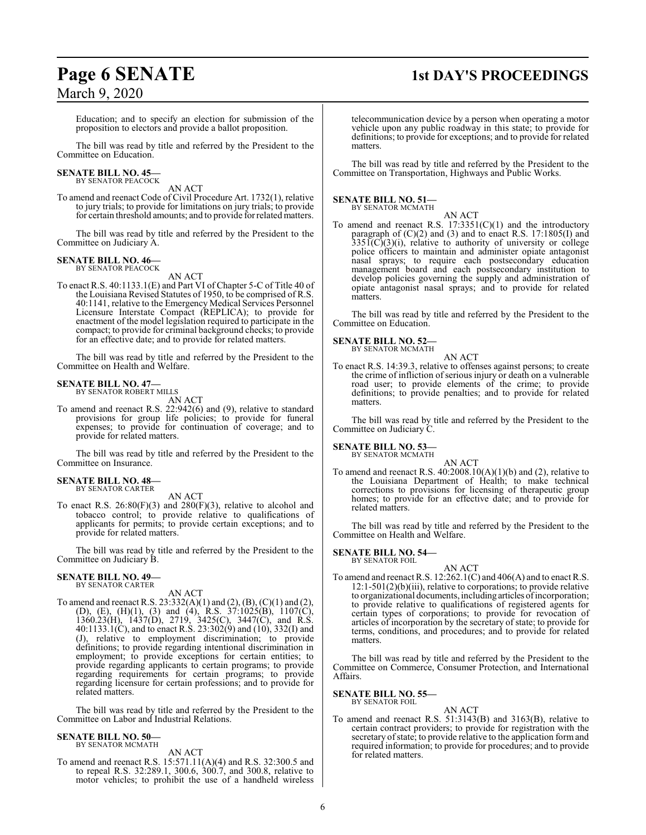## **Page 6 SENATE 1st DAY'S PROCEEDINGS**

Education; and to specify an election for submission of the proposition to electors and provide a ballot proposition.

The bill was read by title and referred by the President to the Committee on Education.

### **SENATE BILL NO. 45—**<br>BY SENATOR PEACOCK

AN ACT

To amend and reenact Code of Civil Procedure Art. 1732(1), relative to jury trials; to provide for limitations on jury trials; to provide for certain threshold amounts; and to provide for related matters.

The bill was read by title and referred by the President to the Committee on Judiciary A.

#### **SENATE BILL NO. 46—** BY SENATOR PEACOCK

AN ACT

To enact R.S. 40:1133.1(E) and Part VI of Chapter 5-C of Title 40 of the Louisiana Revised Statutes of 1950, to be comprised of R.S. 40:1141, relative to the Emergency Medical Services Personnel Licensure Interstate Compact (REPLICA); to provide for enactment of the model legislation required to participate in the compact; to provide for criminal background checks; to provide for an effective date; and to provide for related matters.

The bill was read by title and referred by the President to the Committee on Health and Welfare.

#### **SENATE BILL NO. 47—**

BY SENATOR ROBERT MILLS AN ACT

To amend and reenact R.S. 22:942(6) and (9), relative to standard provisions for group life policies; to provide for funeral expenses; to provide for continuation of coverage; and to provide for related matters.

The bill was read by title and referred by the President to the Committee on Insurance.

#### **SENATE BILL NO. 48—** BY SENATOR CARTER

AN ACT To enact R.S. 26:80(F)(3) and 280(F)(3), relative to alcohol and tobacco control; to provide relative to qualifications of applicants for permits; to provide certain exceptions; and to provide for related matters.

The bill was read by title and referred by the President to the Committee on Judiciary B.

#### **SENATE BILL NO. 49—** BY SENATOR CARTER

AN ACT

To amend and reenact R.S. 23:332(A)(1) and (2), (B), (C)(1) and (2), (D), (E), (H)(1), (3) and (4), R.S. 37:1025(B), 1107(C), 1360.23(H), 1437(D), 2719, 3425(C), 3447(C), and R.S. 40:1133.1(C), and to enact R.S. 23:302(9) and (10), 332(I) and (J), relative to employment discrimination; to provide definitions; to provide regarding intentional discrimination in employment; to provide exceptions for certain entities; to provide regarding applicants to certain programs; to provide regarding requirements for certain programs; to provide regarding licensure for certain professions; and to provide for related matters.

The bill was read by title and referred by the President to the Committee on Labor and Industrial Relations.

#### **SENATE BILL NO. 50—** BY SENATOR MCMATH

AN ACT

To amend and reenact R.S. 15:571.11(A)(4) and R.S. 32:300.5 and to repeal R.S. 32:289.1, 300.6, 300.7, and 300.8, relative to motor vehicles; to prohibit the use of a handheld wireless

telecommunication device by a person when operating a motor vehicle upon any public roadway in this state; to provide for definitions; to provide for exceptions; and to provide for related matters.

The bill was read by title and referred by the President to the Committee on Transportation, Highways and Public Works.

#### **SENATE BILL NO. 51—** BY SENATOR MCMATH

AN ACT

To amend and reenact R.S.  $17:3351(C)(1)$  and the introductory paragraph of (C)(2) and (3) and to enact R.S. 17:1805(I) and  $335\tilde{I}(C)(3)(i)$ , relative to authority of university or college police officers to maintain and administer opiate antagonist nasal sprays; to require each postsecondary education management board and each postsecondary institution to develop policies governing the supply and administration of opiate antagonist nasal sprays; and to provide for related matters.

The bill was read by title and referred by the President to the Committee on Education.

#### **SENATE BILL NO. 52—** BY SENATOR MCMATH

AN ACT

To enact R.S. 14:39.3, relative to offenses against persons; to create the crime of infliction of serious injury or death on a vulnerable road user; to provide elements of the crime; to provide definitions; to provide penalties; and to provide for related matters.

The bill was read by title and referred by the President to the Committee on Judiciary C.

#### **SENATE BILL NO. 53—** BY SENATOR MCMATH

AN ACT

To amend and reenact R.S.  $40:2008.10(A)(1)(b)$  and (2), relative to the Louisiana Department of Health; to make technical corrections to provisions for licensing of therapeutic group homes; to provide for an effective date; and to provide for related matters.

The bill was read by title and referred by the President to the Committee on Health and Welfare.

#### **SENATE BILL NO. 54—** BY SENATOR FOIL

AN ACT

To amend and reenact R.S. 12:262.1(C) and 406(A) and to enact R.S. 12:1-501(2)(b)(iii), relative to corporations; to provide relative to organizational documents, including articles ofincorporation; to provide relative to qualifications of registered agents for certain types of corporations; to provide for revocation of articles of incorporation by the secretary of state; to provide for terms, conditions, and procedures; and to provide for related matters.

The bill was read by title and referred by the President to the Committee on Commerce, Consumer Protection, and International Affairs.

#### **SENATE BILL NO. 55—** BY SENATOR FOIL

AN ACT To amend and reenact R.S. 51:3143(B) and 3163(B), relative to certain contract providers; to provide for registration with the secretary of state; to provide relative to the application form and required information; to provide for procedures; and to provide for related matters.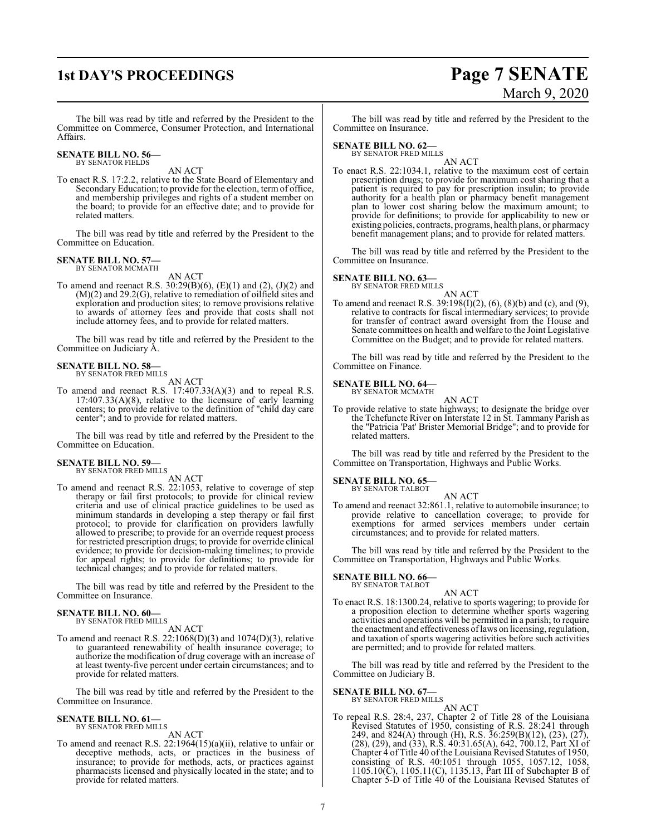### **1st DAY'S PROCEEDINGS Page 7 SENATE** March 9, 2020

The bill was read by title and referred by the President to the Committee on Commerce, Consumer Protection, and International Affairs.

#### **SENATE BILL NO. 56—** BY SENATOR FIELDS

AN ACT

To enact R.S. 17:2.2, relative to the State Board of Elementary and Secondary Education; to provide for the election, term of office, and membership privileges and rights of a student member on the board; to provide for an effective date; and to provide for related matters.

The bill was read by title and referred by the President to the Committee on Education.

### **SENATE BILL NO. 57—**

BY SENATOR MCMATH AN ACT

To amend and reenact R.S. 30:29(B)(6), (E)(1) and (2), (J)(2) and (M)(2) and 29.2(G), relative to remediation of oilfield sites and exploration and production sites; to remove provisions relative to awards of attorney fees and provide that costs shall not include attorney fees, and to provide for related matters.

The bill was read by title and referred by the President to the Committee on Judiciary A.

### **SENATE BILL NO. 58—** BY SENATOR FRED MILLS

AN ACT

To amend and reenact R.S. 17:407.33(A)(3) and to repeal R.S. 17:407.33(A)(8), relative to the licensure of early learning centers; to provide relative to the definition of "child day care center"; and to provide for related matters.

The bill was read by title and referred by the President to the Committee on Education.

## **SENATE BILL NO. 59—** BY SENATOR FRED MILLS

AN ACT

To amend and reenact R.S. 22:1053, relative to coverage of step therapy or fail first protocols; to provide for clinical review criteria and use of clinical practice guidelines to be used as minimum standards in developing a step therapy or fail first protocol; to provide for clarification on providers lawfully allowed to prescribe; to provide for an override request process for restricted prescription drugs; to provide for override clinical evidence; to provide for decision-making timelines; to provide for appeal rights; to provide for definitions; to provide for technical changes; and to provide for related matters.

The bill was read by title and referred by the President to the Committee on Insurance.

### **SENATE BILL NO. 60—** BY SENATOR FRED MILLS

AN ACT

To amend and reenact R.S.  $22:1068(D)(3)$  and  $1074(D)(3)$ , relative to guaranteed renewability of health insurance coverage; to authorize the modification of drug coverage with an increase of at least twenty-five percent under certain circumstances; and to provide for related matters.

The bill was read by title and referred by the President to the Committee on Insurance.

## **SENATE BILL NO. 61—** BY SENATOR FRED MILLS

AN ACT

To amend and reenact R.S. 22:1964(15)(a)(ii), relative to unfair or deceptive methods, acts, or practices in the business of insurance; to provide for methods, acts, or practices against pharmacists licensed and physically located in the state; and to provide for related matters.

The bill was read by title and referred by the President to the Committee on Insurance.

#### **SENATE BILL NO. 62—**

BY SENATOR FRED MILLS AN ACT

To enact R.S. 22:1034.1, relative to the maximum cost of certain prescription drugs; to provide for maximum cost sharing that a patient is required to pay for prescription insulin; to provide authority for a health plan or pharmacy benefit management plan to lower cost sharing below the maximum amount; to provide for definitions; to provide for applicability to new or existing policies, contracts, programs, health plans, or pharmacy benefit management plans; and to provide for related matters.

The bill was read by title and referred by the President to the Committee on Insurance.

#### **SENATE BILL NO. 63—**

BY SENATOR FRED MILLS

#### AN ACT

To amend and reenact R.S. 39:198(I)(2), (6), (8)(b) and (c), and (9), relative to contracts for fiscal intermediary services; to provide for transfer of contract award oversight from the House and Senate committees on health and welfare to the Joint Legislative Committee on the Budget; and to provide for related matters.

The bill was read by title and referred by the President to the Committee on Finance.

#### **SENATE BILL NO. 64—** BY SENATOR MCMATH

AN ACT

To provide relative to state highways; to designate the bridge over the Tchefuncte River on Interstate 12 in St. Tammany Parish as the "Patricia 'Pat' Brister Memorial Bridge"; and to provide for related matters.

The bill was read by title and referred by the President to the Committee on Transportation, Highways and Public Works.

#### **SENATE BILL NO. 65—**

BY SENATOR TALBOT AN ACT

To amend and reenact 32:861.1, relative to automobile insurance; to provide relative to cancellation coverage; to provide for exemptions for armed services members under certain circumstances; and to provide for related matters.

The bill was read by title and referred by the President to the Committee on Transportation, Highways and Public Works.

#### **SENATE BILL NO. 66—** BY SENATOR TALBOT

#### AN ACT

To enact R.S. 18:1300.24, relative to sports wagering; to provide for a proposition election to determine whether sports wagering activities and operations will be permitted in a parish; to require the enactment and effectiveness oflaws on licensing, regulation, and taxation of sports wagering activities before such activities are permitted; and to provide for related matters.

The bill was read by title and referred by the President to the Committee on Judiciary B.

#### **SENATE BILL NO. 67—** BY SENATOR FRED MILLS

AN ACT

To repeal R.S. 28:4, 237, Chapter 2 of Title 28 of the Louisiana Revised Statutes of 1950, consisting of R.S. 28:241 through 249, and 824(A) through (H), R.S. 36:259(B)(12), (23), (27), (28), (29), and (33), R.S. 40:31.65(A), 642, 700.12, Part XI of Chapter 4 of Title 40 of the Louisiana Revised Statutes of 1950, consisting of R.S. 40:1051 through 1055, 1057.12, 1058, 1105.10(C), 1105.11(C), 1135.13, Part III of Subchapter B of Chapter 5-D of Title 40 of the Louisiana Revised Statutes of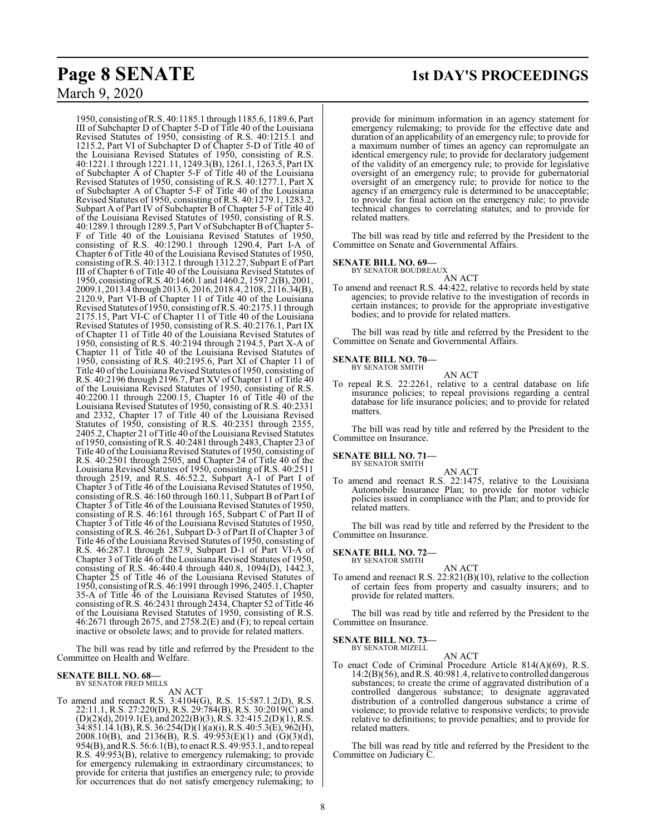**Page 8 SENATE 1st DAY'S PROCEEDINGS**

1950, consisting ofR.S. 40:1185.1 through 1185.6, 1189.6, Part III of Subchapter D of Chapter 5-D of Title 40 of the Louisiana Revised Statutes of 1950, consisting of R.S. 40:1215.1 and 1215.2, Part VI of Subchapter D of Chapter 5-D of Title 40 of the Louisiana Revised Statutes of 1950, consisting of R.S. 40:1221.1 through 1221.11, 1249.3(B), 1261.1, 1263.5, Part IX of Subchapter A of Chapter 5-F of Title 40 of the Louisiana Revised Statutes of 1950, consisting of R.S. 40:1277.1, Part X of Subchapter A of Chapter 5-F of Title 40 of the Louisiana Revised Statutes of 1950, consisting of R.S. 40:1279.1, 1283.2, Subpart A of Part IV of Subchapter B of Chapter 5-F of Title 40 of the Louisiana Revised Statutes of 1950, consisting of R.S. 40:1289.1 through 1289.5, Part V of Subchapter B ofChapter 5- F of Title 40 of the Louisiana Revised Statutes of 1950, consisting of R.S. 40:1290.1 through 1290.4, Part I-A of Chapter 6 of Title 40 of the Louisiana Revised Statutes of 1950, consisting ofR.S. 40:1312.1 through 1312.27, Subpart E of Part III of Chapter 6 of Title 40 of the Louisiana Revised Statutes of 1950, consisting ofR.S. 40:1460.1 and 1460.2, 1597.2(B), 2001, 2009.1, 2013.4 through 2013.6, 2016, 2018.4, 2108, 2116.34(B), 2120.9, Part VI-B of Chapter 11 of Title 40 of the Louisiana Revised Statutes of 1950, consisting ofR.S. 40:2175.11 through 2175.15, Part VI-C of Chapter 11 of Title 40 of the Louisiana Revised Statutes of 1950, consisting of R.S. 40:2176.1, Part IX of Chapter 11 of Title 40 of the Louisiana Revised Statutes of 1950, consisting of R.S. 40:2194 through 2194.5, Part X-A of Chapter 11 of Title 40 of the Louisiana Revised Statutes of 1950, consisting of R.S. 40:2195.6, Part XI of Chapter 11 of Title 40 of the Louisiana Revised Statutes of 1950, consisting of R.S. 40:2196 through 2196.7, Part XV ofChapter 11 of Title 40 of the Louisiana Revised Statutes of 1950, consisting of R.S. 40:2200.11 through 2200.15, Chapter 16 of Title 40 of the Louisiana Revised Statutes of 1950, consisting of R.S. 40:2331 and 2332, Chapter 17 of Title 40 of the Louisiana Revised Statutes of 1950, consisting of R.S. 40:2351 through 2355, 2405.2, Chapter 21 of Title 40 of the Louisiana Revised Statutes of 1950, consisting ofR.S. 40:2481 through 2483, Chapter 23 of Title 40 ofthe Louisiana Revised Statutes of 1950, consisting of R.S. 40:2501 through 2505, and Chapter 24 of Title 40 of the Louisiana Revised Statutes of 1950, consisting of R.S. 40:2511 through 2519, and R.S. 46:52.2, Subpart A-1 of Part I of Chapter 3 of Title 46 of the Louisiana Revised Statutes of 1950, consisting of R.S. 46:160 through 160.11, Subpart B of Part I of Chapter 3 of Title 46 of the Louisiana Revised Statutes of 1950, consisting of R.S. 46:161 through 165, Subpart C of Part II of Chapter 3 of Title 46 of the Louisiana Revised Statutes of 1950, consisting of R.S. 46:261, Subpart D-3 of Part II of Chapter 3 of Title 46 of the Louisiana Revised Statutes of 1950, consisting of R.S. 46:287.1 through 287.9, Subpart D-1 of Part VI-A of Chapter 3 of Title 46 of the Louisiana Revised Statutes of 1950, consisting of R.S. 46:440.4 through 440.8, 1094(D), 1442.3, Chapter 25 of Title 46 of the Louisiana Revised Statutes of 1950, consisting ofR.S. 46:1991 through 1996, 2405.1, Chapter 35-A of Title 46 of the Louisiana Revised Statutes of 1950, consisting ofR.S. 46:2431 through 2434, Chapter 52 of Title 46 of the Louisiana Revised Statutes of 1950, consisting of R.S. 46:2671 through 2675, and 2758.2(E) and (F); to repeal certain inactive or obsolete laws; and to provide for related matters.

The bill was read by title and referred by the President to the Committee on Health and Welfare.

#### **SENATE BILL NO. 68—** BY SENATOR FRED MILLS

AN ACT

To amend and reenact R.S. 3:4104(G), R.S. 15:587.1.2(D), R.S. 22:11.1, R.S. 27:220(D), R.S. 29:784(B), R.S. 30:2019(C) and (D)(2)(d), 2019.1(E), and 2022(B)(3), R.S. 32:415.2(D)(1), R.S. 34:851.14.1(B),R.S. 36:254(D)(1)(a)(i), R.S. 40:5.3(E), 962(H), 2008.10(B), and 2136(B), R.S. 49:953(E)(1) and (G)(3)(d), 954(B), and R.S. 56:6.1(B), to enact R.S. 49:953.1, and to repeal R.S. 49:953(B), relative to emergency rulemaking; to provide for emergency rulemaking in extraordinary circumstances; to provide for criteria that justifies an emergency rule; to provide for occurrences that do not satisfy emergency rulemaking; to

provide for minimum information in an agency statement for emergency rulemaking; to provide for the effective date and duration of an applicability of an emergency rule; to provide for a maximum number of times an agency can repromulgate an identical emergency rule; to provide for declaratory judgement of the validity of an emergency rule; to provide for legislative oversight of an emergency rule; to provide for gubernatorial oversight of an emergency rule; to provide for notice to the agency if an emergency rule is determined to be unacceptable; to provide for final action on the emergency rule; to provide technical changes to correlating statutes; and to provide for related matters.

The bill was read by title and referred by the President to the Committee on Senate and Governmental Affairs.

### **SENATE BILL NO. 69—**<br>BY SENATOR BOUDREAUX

AN ACT

To amend and reenact R.S. 44:422, relative to records held by state agencies; to provide relative to the investigation of records in certain instances; to provide for the appropriate investigative bodies; and to provide for related matters.

The bill was read by title and referred by the President to the Committee on Senate and Governmental Affairs.

#### **SENATE BILL NO. 70—**

BY SENATOR SMITH

To repeal R.S. 22:2261, relative to a central database on life insurance policies; to repeal provisions regarding a central database for life insurance policies; and to provide for related matters.

AN ACT

The bill was read by title and referred by the President to the Committee on Insurance.

#### **SENATE BILL NO. 71—** BY SENATOR SMITH

AN ACT

To amend and reenact R.S. 22:1475, relative to the Louisiana Automobile Insurance Plan; to provide for motor vehicle policies issued in compliance with the Plan; and to provide for related matters.

The bill was read by title and referred by the President to the Committee on Insurance.

#### **SENATE BILL NO. 72—** BY SENATOR SMITH

AN ACT

To amend and reenact R.S. 22:821(B)(10), relative to the collection of certain fees from property and casualty insurers; and to provide for related matters.

The bill was read by title and referred by the President to the Committee on Insurance.

#### **SENATE BILL NO. 73—** BY SENATOR MIZELL

AN ACT

To enact Code of Criminal Procedure Article 814(A)(69), R.S. 14:2(B)(56), andR.S. 40:981.4, relative to controlled dangerous substances; to create the crime of aggravated distribution of a controlled dangerous substance; to designate aggravated distribution of a controlled dangerous substance a crime of violence; to provide relative to responsive verdicts; to provide relative to definitions; to provide penalties; and to provide for related matters.

The bill was read by title and referred by the President to the Committee on Judiciary C.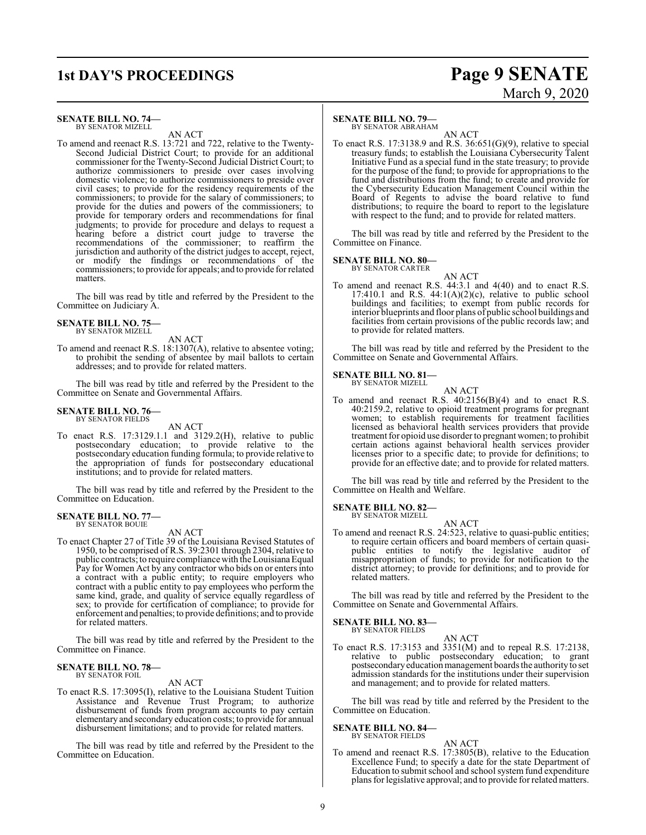## **1st DAY'S PROCEEDINGS Page 9 SENATE** March 9, 2020

#### **SENATE BILL NO. 74—** BY SENATOR MIZELL

AN ACT

To amend and reenact R.S. 13:721 and 722, relative to the Twenty-Second Judicial District Court; to provide for an additional commissioner for the Twenty-Second Judicial District Court; to authorize commissioners to preside over cases involving domestic violence; to authorize commissioners to preside over civil cases; to provide for the residency requirements of the commissioners; to provide for the salary of commissioners; to provide for the duties and powers of the commissioners; to provide for temporary orders and recommendations for final judgments; to provide for procedure and delays to request a hearing before a district court judge to traverse the recommendations of the commissioner; to reaffirm the jurisdiction and authority of the district judges to accept, reject, or modify the findings or recommendations of the commissioners; to provide for appeals; and to provide for related matters.

The bill was read by title and referred by the President to the Committee on Judiciary A.

### **SENATE BILL NO. 75—** BY SENATOR MIZELL

AN ACT

To amend and reenact R.S. 18:1307(A), relative to absentee voting; to prohibit the sending of absentee by mail ballots to certain addresses; and to provide for related matters.

The bill was read by title and referred by the President to the Committee on Senate and Governmental Affairs.

#### **SENATE BILL NO. 76—** BY SENATOR FIELDS

AN ACT

To enact R.S. 17:3129.1.1 and 3129.2(H), relative to public postsecondary education; to provide relative to the postsecondary education funding formula; to provide relative to the appropriation of funds for postsecondary educational institutions; and to provide for related matters.

The bill was read by title and referred by the President to the Committee on Education.

#### **SENATE BILL NO. 77—** BY SENATOR BOUIE

AN ACT

To enact Chapter 27 of Title 39 of the Louisiana Revised Statutes of 1950, to be comprised of R.S. 39:2301 through 2304, relative to public contracts; to require compliance with the Louisiana Equal Pay for Women Act by any contractor who bids on or enters into a contract with a public entity; to require employers who contract with a public entity to pay employees who perform the same kind, grade, and quality of service equally regardless of sex; to provide for certification of compliance; to provide for enforcement and penalties; to provide definitions; and to provide for related matters.

The bill was read by title and referred by the President to the Committee on Finance.

#### **SENATE BILL NO. 78—** BY SENATOR FOIL

#### AN ACT

To enact R.S. 17:3095(I), relative to the Louisiana Student Tuition Assistance and Revenue Trust Program; to authorize disbursement of funds from program accounts to pay certain elementary and secondary education costs; to provide for annual disbursement limitations; and to provide for related matters.

The bill was read by title and referred by the President to the Committee on Education.

#### **SENATE BILL NO. 79—**

BY SENATOR ABRAHAM

AN ACT To enact R.S. 17:3138.9 and R.S. 36:651(G)(9), relative to special treasury funds; to establish the Louisiana Cybersecurity Talent Initiative Fund as a special fund in the state treasury; to provide for the purpose of the fund; to provide for appropriations to the fund and distributions from the fund; to create and provide for the Cybersecurity Education Management Council within the Board of Regents to advise the board relative to fund distributions; to require the board to report to the legislature with respect to the fund; and to provide for related matters.

The bill was read by title and referred by the President to the Committee on Finance.

#### **SENATE BILL NO. 80—**

BY SENATOR CARTER

- AN ACT
- To amend and reenact R.S. 44:3.1 and 4(40) and to enact R.S. 17:410.1 and R.S.  $44:1(A)(2)(c)$ , relative to public school buildings and facilities; to exempt from public records for interior blueprints and floor plans of public school buildings and facilities from certain provisions of the public records law; and to provide for related matters.

The bill was read by title and referred by the President to the Committee on Senate and Governmental Affairs.

#### **SENATE BILL NO. 81—**

BY SENATOR MIZELL

AN ACT To amend and reenact R.S. 40:2156(B)(4) and to enact R.S. 40:2159.2, relative to opioid treatment programs for pregnant women; to establish requirements for treatment facilities licensed as behavioral health services providers that provide treatment for opioid use disorder to pregnant women; to prohibit certain actions against behavioral health services provider licenses prior to a specific date; to provide for definitions; to provide for an effective date; and to provide for related matters.

The bill was read by title and referred by the President to the Committee on Health and Welfare.

## **SENATE BILL NO. 82—** BY SENATOR MIZELL

AN ACT

To amend and reenact R.S. 24:523, relative to quasi-public entities; to require certain officers and board members of certain quasipublic entities to notify the legislative auditor of misappropriation of funds; to provide for notification to the district attorney; to provide for definitions; and to provide for related matters.

The bill was read by title and referred by the President to the Committee on Senate and Governmental Affairs.

### **SENATE BILL NO. 83—**

BY SENATOR FIELDS

AN ACT To enact R.S. 17:3153 and 3351(M) and to repeal R.S. 17:2138, relative to public postsecondary education; to grant postsecondaryeducation management boards the authority to set admission standards for the institutions under their supervision and management; and to provide for related matters.

The bill was read by title and referred by the President to the Committee on Education.

#### **SENATE BILL NO. 84—**

BY SENATOR FIELDS

AN ACT To amend and reenact R.S. 17:3805(B), relative to the Education Excellence Fund; to specify a date for the state Department of Education to submit school and school system fund expenditure plans for legislative approval; and to provide for related matters.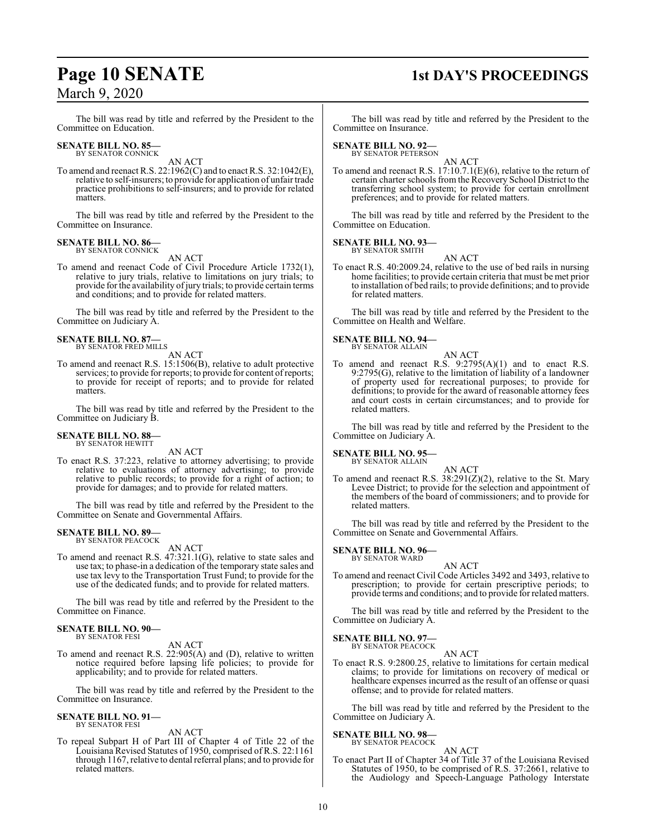### **Page 10 SENATE** 1st DAY'S PROCEEDINGS

The bill was read by title and referred by the President to the Committee on Education.

#### **SENATE BILL NO. 85—** BY SENATOR CONNICK

AN ACT

To amend and reenact R.S. 22:1962(C) and to enact R.S. 32:1042(E), relative to self-insurers; to provide for application of unfair trade practice prohibitions to self-insurers; and to provide for related matters.

The bill was read by title and referred by the President to the Committee on Insurance.

#### **SENATE BILL NO. 86—** BY SENATOR CONNICK

AN ACT

To amend and reenact Code of Civil Procedure Article 1732(1), relative to jury trials, relative to limitations on jury trials; to provide forthe availability ofjury trials; to provide certain terms and conditions; and to provide for related matters.

The bill was read by title and referred by the President to the Committee on Judiciary A.

#### **SENATE BILL NO. 87—** BY SENATOR FRED MILLS

AN ACT

To amend and reenact R.S. 15:1506(B), relative to adult protective services; to provide for reports; to provide for content of reports; to provide for receipt of reports; and to provide for related matters.

The bill was read by title and referred by the President to the Committee on Judiciary B.

#### **SENATE BILL NO. 88—** BY SENATOR HEWITT

AN ACT

To enact R.S. 37:223, relative to attorney advertising; to provide relative to evaluations of attorney advertising; to provide relative to public records; to provide for a right of action; to provide for damages; and to provide for related matters.

The bill was read by title and referred by the President to the Committee on Senate and Governmental Affairs.

#### **SENATE BILL NO. 89—** BY SENATOR PEACOCK

AN ACT

To amend and reenact R.S. 47:321.1(G), relative to state sales and use tax; to phase-in a dedication of the temporary state sales and use tax levy to the Transportation Trust Fund; to provide for the use of the dedicated funds; and to provide for related matters.

The bill was read by title and referred by the President to the Committee on Finance.

#### **SENATE BILL NO. 90—** BY SENATOR FESI

AN ACT

To amend and reenact R.S. 22:905(A) and (D), relative to written notice required before lapsing life policies; to provide for applicability; and to provide for related matters.

The bill was read by title and referred by the President to the Committee on Insurance.

#### **SENATE BILL NO. 91—** BY SENATOR FESI

AN ACT

To repeal Subpart H of Part III of Chapter 4 of Title 22 of the Louisiana Revised Statutes of 1950, comprised of R.S. 22:1161 through 1167, relative to dental referral plans; and to provide for related matters.

The bill was read by title and referred by the President to the Committee on Insurance.

#### **SENATE BILL NO. 92—**

BY SENATOR PETERSON

AN ACT To amend and reenact R.S. 17:10.7.1(E)(6), relative to the return of certain charter schools from the Recovery School District to the transferring school system; to provide for certain enrollment preferences; and to provide for related matters.

The bill was read by title and referred by the President to the Committee on Education.

#### **SENATE BILL NO. 93—**

BY SENATOR SMITH AN ACT

To enact R.S. 40:2009.24, relative to the use of bed rails in nursing home facilities; to provide certain criteria that must be met prior to installation of bed rails; to provide definitions; and to provide for related matters.

The bill was read by title and referred by the President to the Committee on Health and Welfare.

#### **SENATE BILL NO. 94—** BY SENATOR ALLAIN

AN ACT To amend and reenact R.S.  $9:2795(A)(1)$  and to enact R.S. 9:2795(G), relative to the limitation of liability of a landowner of property used for recreational purposes; to provide for definitions; to provide for the award of reasonable attorney fees and court costs in certain circumstances; and to provide for related matters.

The bill was read by title and referred by the President to the Committee on Judiciary A.

#### **SENATE BILL NO. 95—**

BY SENATOR ALLAIN

AN ACT To amend and reenact R.S. 38:291(Z)(2), relative to the St. Mary Levee District; to provide for the selection and appointment of the members of the board of commissioners; and to provide for related matters.

The bill was read by title and referred by the President to the Committee on Senate and Governmental Affairs.

#### **SENATE BILL NO. 96—** BY SENATOR WARD

- AN ACT
- To amend and reenact Civil Code Articles 3492 and 3493, relative to prescription; to provide for certain prescriptive periods; to provide terms and conditions; and to provide for related matters.

The bill was read by title and referred by the President to the Committee on Judiciary A.

### **SENATE BILL NO. 97—**<br>BY SENATOR PEACOCK

AN ACT

To enact R.S. 9:2800.25, relative to limitations for certain medical claims; to provide for limitations on recovery of medical or healthcare expenses incurred as the result of an offense or quasi offense; and to provide for related matters.

The bill was read by title and referred by the President to the Committee on Judiciary A.

#### **SENATE BILL NO. 98—** BY SENATOR PEACOCK

#### AN ACT

To enact Part II of Chapter 34 of Title 37 of the Louisiana Revised Statutes of 1950, to be comprised of R.S. 37:2661, relative to the Audiology and Speech-Language Pathology Interstate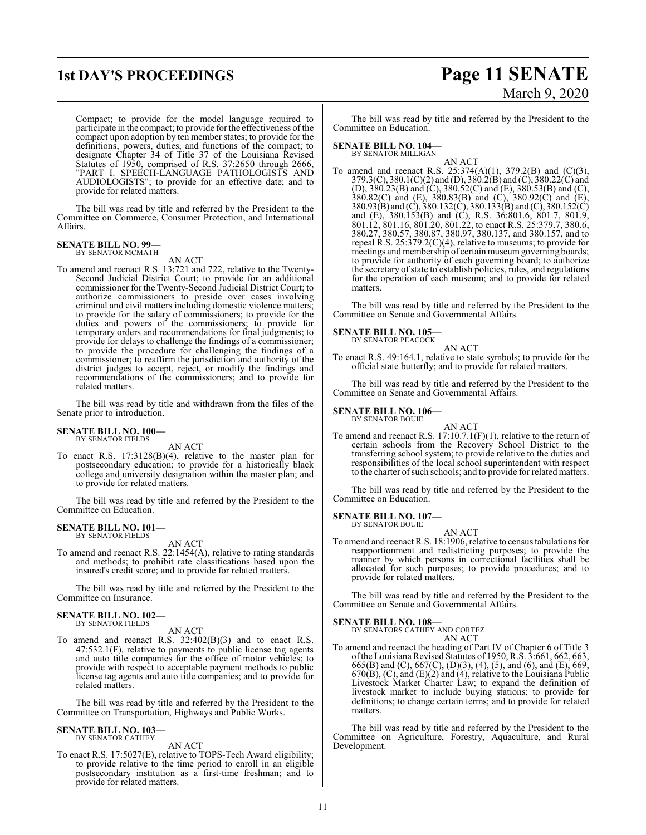### **1st DAY'S PROCEEDINGS Page 11 SENATE** March 9, 2020

Compact; to provide for the model language required to participate in the compact; to provide for the effectiveness of the compact upon adoption by ten member states; to provide for the definitions, powers, duties, and functions of the compact; to designate Chapter 34 of Title 37 of the Louisiana Revised Statutes of 1950, comprised of R.S. 37:2650 through 2666, "PART I. SPEECH-LANGUAGE PATHOLOGISTS AND AUDIOLOGISTS"; to provide for an effective date; and to provide for related matters.

The bill was read by title and referred by the President to the Committee on Commerce, Consumer Protection, and International Affairs.

#### **SENATE BILL NO. 99—** BY SENATOR MCMATH

AN ACT

To amend and reenact R.S. 13:721 and 722, relative to the Twenty-Second Judicial District Court; to provide for an additional commissioner for the Twenty-Second Judicial District Court; to authorize commissioners to preside over cases involving criminal and civil matters including domestic violence matters; to provide for the salary of commissioners; to provide for the duties and powers of the commissioners; to provide for temporary orders and recommendations for final judgments; to provide for delays to challenge the findings of a commissioner; to provide the procedure for challenging the findings of a commissioner; to reaffirm the jurisdiction and authority of the district judges to accept, reject, or modify the findings and recommendations of the commissioners; and to provide for related matters.

The bill was read by title and withdrawn from the files of the Senate prior to introduction.

#### **SENATE BILL NO. 100—** BY SENATOR FIELDS

AN ACT

To enact R.S. 17:3128(B)(4), relative to the master plan for postsecondary education; to provide for a historically black college and university designation within the master plan; and to provide for related matters.

The bill was read by title and referred by the President to the Committee on Education.

#### **SENATE BILL NO. 101—** BY SENATOR FIELDS

AN ACT

To amend and reenact R.S. 22:1454(A), relative to rating standards and methods; to prohibit rate classifications based upon the insured's credit score; and to provide for related matters.

The bill was read by title and referred by the President to the Committee on Insurance.

#### **SENATE BILL NO. 102—** BY SENATOR FIELDS

#### AN ACT

To amend and reenact R.S. 32:402(B)(3) and to enact R.S. 47:532.1(F), relative to payments to public license tag agents and auto title companies for the office of motor vehicles; to provide with respect to acceptable payment methods to public license tag agents and auto title companies; and to provide for related matters.

The bill was read by title and referred by the President to the Committee on Transportation, Highways and Public Works.

### **SENATE BILL NO. 103—** BY SENATOR CATHEY

AN ACT

To enact R.S. 17:5027(E), relative to TOPS-Tech Award eligibility; to provide relative to the time period to enroll in an eligible postsecondary institution as a first-time freshman; and to provide for related matters.

The bill was read by title and referred by the President to the Committee on Education.

#### **SENATE BILL NO. 104—**

BY SENATOR MILLIGAN

AN ACT To amend and reenact R.S. 25:374(A)(1), 379.2(B) and (C)(3), 379.3(C), 380.1(C)(2) and (D), 380.2(B) and (C), 380.22(C) and (D), 380.23(B) and (C), 380.52(C) and (E), 380.53(B) and (C), 380.82(C) and (E), 380.83(B) and (C), 380.92(C) and (E), 380.93(B) and (C), 380.132(C), 380.133(B) and (C), 380.152(C) and (E), 380.153(B) and (C), R.S. 36:801.6, 801.7, 801.9, 801.12, 801.16, 801.20, 801.22, to enact R.S. 25:379.7, 380.6, 380.27, 380.57, 380.87, 380.97, 380.137, and 380.157, and to repeal R.S. 25:379.2(C)(4), relative to museums; to provide for meetings and membership of certain museum governing boards; to provide for authority of each governing board; to authorize the secretary of state to establish policies, rules, and regulations for the operation of each museum; and to provide for related matters.

The bill was read by title and referred by the President to the Committee on Senate and Governmental Affairs.

#### **SENATE BILL NO. 105—**

BY SENATOR PEACOCK AN ACT

To enact R.S. 49:164.1, relative to state symbols; to provide for the official state butterfly; and to provide for related matters.

The bill was read by title and referred by the President to the Committee on Senate and Governmental Affairs.

#### **SENATE BILL NO. 106—**

BY SENATOR BOUIE

AN ACT To amend and reenact R.S. 17:10.7.1(F)(1), relative to the return of certain schools from the Recovery School District to the transferring school system; to provide relative to the duties and responsibilities of the local school superintendent with respect to the charter ofsuch schools; and to provide for related matters.

The bill was read by title and referred by the President to the Committee on Education.

#### **SENATE BILL NO. 107—** BY SENATOR BOUIE

AN ACT

To amend and reenact R.S. 18:1906, relative to census tabulations for reapportionment and redistricting purposes; to provide the manner by which persons in correctional facilities shall be allocated for such purposes; to provide procedures; and to provide for related matters.

The bill was read by title and referred by the President to the Committee on Senate and Governmental Affairs.

#### **SENATE BILL NO. 108—**

BY SENATORS CATHEY AND CORTEZ AN ACT

To amend and reenact the heading of Part IV of Chapter 6 of Title 3 ofthe Louisiana Revised Statutes of 1950, R.S. 3:661, 662, 663, 665(B) and (C), 667(C), (D)(3), (4), (5), and (6), and (E), 669,  $670(B)$ , (C), and (E)(2) and (4), relative to the Louisiana Public Livestock Market Charter Law; to expand the definition of livestock market to include buying stations; to provide for definitions; to change certain terms; and to provide for related matters.

The bill was read by title and referred by the President to the Committee on Agriculture, Forestry, Aquaculture, and Rural Development.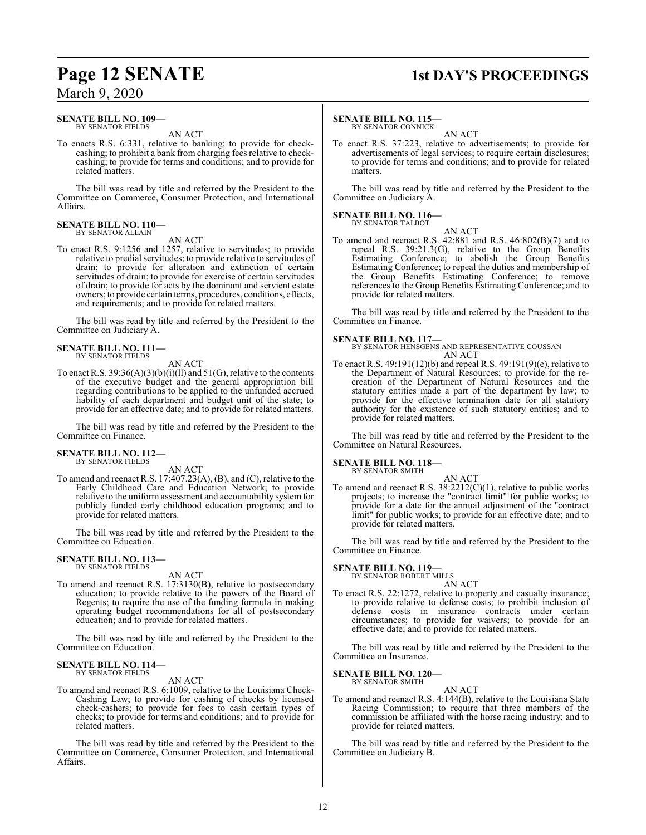#### **SENATE BILL NO. 109—** BY SENATOR FIELDS

AN ACT

To enacts R.S. 6:331, relative to banking; to provide for checkcashing; to prohibit a bank from charging fees relative to checkcashing; to provide for terms and conditions; and to provide for related matters.

The bill was read by title and referred by the President to the Committee on Commerce, Consumer Protection, and International Affairs.

#### **SENATE BILL NO. 110—** BY SENATOR ALLAIN

AN ACT

To enact R.S. 9:1256 and 1257, relative to servitudes; to provide relative to predial servitudes; to provide relative to servitudes of drain; to provide for alteration and extinction of certain servitudes of drain; to provide for exercise of certain servitudes of drain; to provide for acts by the dominant and servient estate owners; to provide certain terms, procedures, conditions, effects, and requirements; and to provide for related matters.

The bill was read by title and referred by the President to the Committee on Judiciary A.

#### **SENATE BILL NO. 111—** BY SENATOR FIELDS

AN ACT

To enact R.S.  $39:36(A)(3)(b)(i)(ll)$  and  $51(G)$ , relative to the contents of the executive budget and the general appropriation bill regarding contributions to be applied to the unfunded accrued liability of each department and budget unit of the state; to provide for an effective date; and to provide for related matters.

The bill was read by title and referred by the President to the Committee on Finance.

#### **SENATE BILL NO. 112—** BY SENATOR FIELDS

AN ACT

To amend and reenact R.S. 17:407.23(A), (B), and (C), relative to the Early Childhood Care and Education Network; to provide relative to the uniform assessment and accountability systemfor publicly funded early childhood education programs; and to provide for related matters.

The bill was read by title and referred by the President to the Committee on Education.

#### **SENATE BILL NO. 113—** BY SENATOR FIELDS

AN ACT

To amend and reenact R.S. 17:3130(B), relative to postsecondary education; to provide relative to the powers of the Board of Regents; to require the use of the funding formula in making operating budget recommendations for all of postsecondary education; and to provide for related matters.

The bill was read by title and referred by the President to the Committee on Education.

#### **SENATE BILL NO. 114—** BY SENATOR FIELDS

AN ACT

To amend and reenact R.S. 6:1009, relative to the Louisiana Check-Cashing Law; to provide for cashing of checks by licensed check-cashers; to provide for fees to cash certain types of checks; to provide for terms and conditions; and to provide for related matters.

The bill was read by title and referred by the President to the Committee on Commerce, Consumer Protection, and International Affairs.

## **Page 12 SENATE 1st DAY'S PROCEEDINGS**

#### **SENATE BILL NO. 115—**

BY SENATOR CONNICK AN ACT

To enact R.S. 37:223, relative to advertisements; to provide for advertisements of legal services; to require certain disclosures; to provide for terms and conditions; and to provide for related matters.

The bill was read by title and referred by the President to the Committee on Judiciary A.

#### **SENATE BILL NO. 116—** BY SENATOR TALBOT

AN ACT To amend and reenact R.S. 42:881 and R.S. 46:802(B)(7) and to repeal R.S. 39:21.3(G), relative to the Group Benefits Estimating Conference; to abolish the Group Benefits Estimating Conference; to repeal the duties and membership of the Group Benefits Estimating Conference; to remove references to the Group Benefits Estimating Conference; and to provide for related matters.

The bill was read by title and referred by the President to the Committee on Finance.

#### **SENATE BILL NO. 117—**

BY SENATOR HENSGENS AND REPRESENTATIVE COUSSAN AN ACT

To enact R.S. 49:191(12)(b) and repeal R.S. 49:191(9)(e), relative to the Department of Natural Resources; to provide for the recreation of the Department of Natural Resources and the statutory entities made a part of the department by law; to provide for the effective termination date for all statutory authority for the existence of such statutory entities; and to provide for related matters.

The bill was read by title and referred by the President to the Committee on Natural Resources.

### **SENATE BILL NO. 118—** BY SENATOR SMITH

AN ACT To amend and reenact R.S.  $38:2212(C)(1)$ , relative to public works projects; to increase the "contract limit" for public works; to provide for a date for the annual adjustment of the "contract limit" for public works; to provide for an effective date; and to provide for related matters.

The bill was read by title and referred by the President to the Committee on Finance.

#### **SENATE BILL NO. 119—** BY SENATOR ROBERT MILLS

AN ACT

To enact R.S. 22:1272, relative to property and casualty insurance; to provide relative to defense costs; to prohibit inclusion of defense costs in insurance contracts under certain circumstances; to provide for waivers; to provide for an effective date; and to provide for related matters.

The bill was read by title and referred by the President to the Committee on Insurance.

#### **SENATE BILL NO. 120—** BY SENATOR SMITH

AN ACT To amend and reenact R.S. 4:144(B), relative to the Louisiana State Racing Commission; to require that three members of the commission be affiliated with the horse racing industry; and to provide for related matters.

The bill was read by title and referred by the President to the Committee on Judiciary B.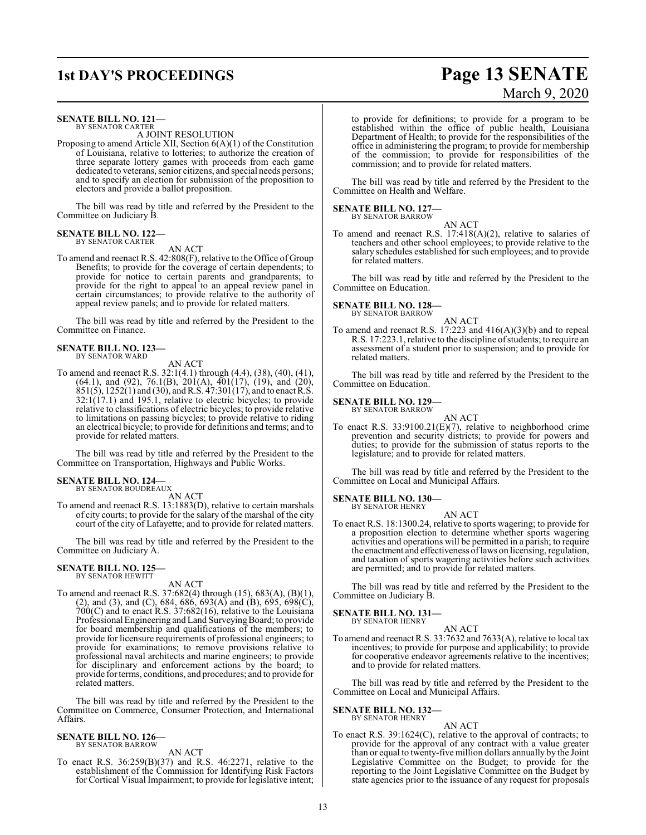#### **SENATE BILL NO. 121—** BY SENATOR CARTER

A JOINT RESOLUTION

Proposing to amend Article XII, Section 6(A)(1) of the Constitution of Louisiana, relative to lotteries; to authorize the creation of three separate lottery games with proceeds from each game dedicated to veterans, senior citizens, and special needs persons; and to specify an election for submission of the proposition to electors and provide a ballot proposition.

The bill was read by title and referred by the President to the Committee on Judiciary B.

#### **SENATE BILL NO. 122—** BY SENATOR CARTER

#### AN ACT

To amend and reenact R.S. 42:808(F), relative to the Office of Group Benefits; to provide for the coverage of certain dependents; to provide for notice to certain parents and grandparents; to provide for the right to appeal to an appeal review panel in certain circumstances; to provide relative to the authority of appeal review panels; and to provide for related matters.

The bill was read by title and referred by the President to the Committee on Finance.

#### **SENATE BILL NO. 123—** BY SENATOR WARD

AN ACT

To amend and reenact R.S. 32:1(4.1) through (4.4), (38), (40), (41),  $(64.1)$ , and  $(92)$ ,  $76.1(B)$ ,  $201(A)$ ,  $401(17)$ ,  $(19)$ , and  $(20)$ ,  $851(5)$ ,  $1252(1)$  and  $(30)$ , and R.S.  $47:301(17)$ , and to enact R.S.  $32:1(17.1)$  and  $195.1$ , relative to electric bicycles; to provide relative to classifications of electric bicycles; to provide relative to limitations on passing bicycles; to provide relative to riding an electrical bicycle; to provide for definitions and terms; and to provide for related matters.

The bill was read by title and referred by the President to the Committee on Transportation, Highways and Public Works.

#### **SENATE BILL NO. 124—** BY SENATOR BOUDREAUX

AN ACT

To amend and reenact R.S. 13:1883(D), relative to certain marshals of city courts; to provide for the salary of the marshal of the city court of the city of Lafayette; and to provide for related matters.

The bill was read by title and referred by the President to the Committee on Judiciary A.

### **SENATE BILL NO. 125—** BY SENATOR HEWITT

AN ACT

To amend and reenact R.S. 37:682(4) through (15), 683(A), (B)(1), (2), and (3), and (C), 684, 686, 693(A) and (B), 695, 698(C), 700(C) and to enact R.S. 37:682(16), relative to the Louisiana Professional Engineering and Land Surveying Board; to provide for board membership and qualifications of the members; to provide for licensure requirements of professional engineers; to provide for examinations; to remove provisions relative to professional naval architects and marine engineers; to provide for disciplinary and enforcement actions by the board; to provide for terms, conditions, and procedures; and to provide for related matters.

The bill was read by title and referred by the President to the Committee on Commerce, Consumer Protection, and International Affairs.

#### **SENATE BILL NO. 126—** BY SENATOR BARROW

AN ACT

To enact R.S. 36:259(B)(37) and R.S. 46:2271, relative to the establishment of the Commission for Identifying Risk Factors for Cortical Visual Impairment; to provide for legislative intent;

### to provide for definitions; to provide for a program to be established within the office of public health, Louisiana Department of Health; to provide for the responsibilities of the office in administering the program; to provide for membership

of the commission; to provide for responsibilities of the commission; and to provide for related matters.

The bill was read by title and referred by the President to the Committee on Health and Welfare.

#### **SENATE BILL NO. 127—** BY SENATOR BARROW

AN ACT

To amend and reenact R.S. 17:418(A)(2), relative to salaries of teachers and other school employees; to provide relative to the salary schedules established for such employees; and to provide for related matters.

The bill was read by title and referred by the President to the Committee on Education.

#### **SENATE BILL NO. 128—** BY SENATOR BARROW

AN ACT

To amend and reenact R.S. 17:223 and 416(A)(3)(b) and to repeal R.S. 17:223.1, relative to the discipline ofstudents; to require an assessment of a student prior to suspension; and to provide for related matters.

The bill was read by title and referred by the President to the Committee on Education.

#### **SENATE BILL NO. 129—**

BY SENATOR BARROW AN ACT

To enact R.S. 33:9100.21(E)(7), relative to neighborhood crime prevention and security districts; to provide for powers and duties; to provide for the submission of status reports to the legislature; and to provide for related matters.

The bill was read by title and referred by the President to the Committee on Local and Municipal Affairs.

### **SENATE BILL NO. 130—** BY SENATOR HENRY

AN ACT

To enact R.S. 18:1300.24, relative to sports wagering; to provide for a proposition election to determine whether sports wagering activities and operations will be permitted in a parish; to require the enactment and effectiveness of laws on licensing, regulation, and taxation of sports wagering activities before such activities are permitted; and to provide for related matters.

The bill was read by title and referred by the President to the Committee on Judiciary B.

### **SENATE BILL NO. 131—** BY SENATOR HENRY

AN ACT

To amend and reenact R.S. 33:7632 and 7633(A), relative to local tax incentives; to provide for purpose and applicability; to provide for cooperative endeavor agreements relative to the incentives; and to provide for related matters.

The bill was read by title and referred by the President to the Committee on Local and Municipal Affairs.

#### **SENATE BILL NO. 132—** BY SENATOR HENRY

AN ACT

To enact R.S. 39:1624(C), relative to the approval of contracts; to provide for the approval of any contract with a value greater than or equal to twenty-five million dollars annually by the Joint Legislative Committee on the Budget; to provide for the reporting to the Joint Legislative Committee on the Budget by state agencies prior to the issuance of any request for proposals

**1st DAY'S PROCEEDINGS Page 13 SENATE** March 9, 2020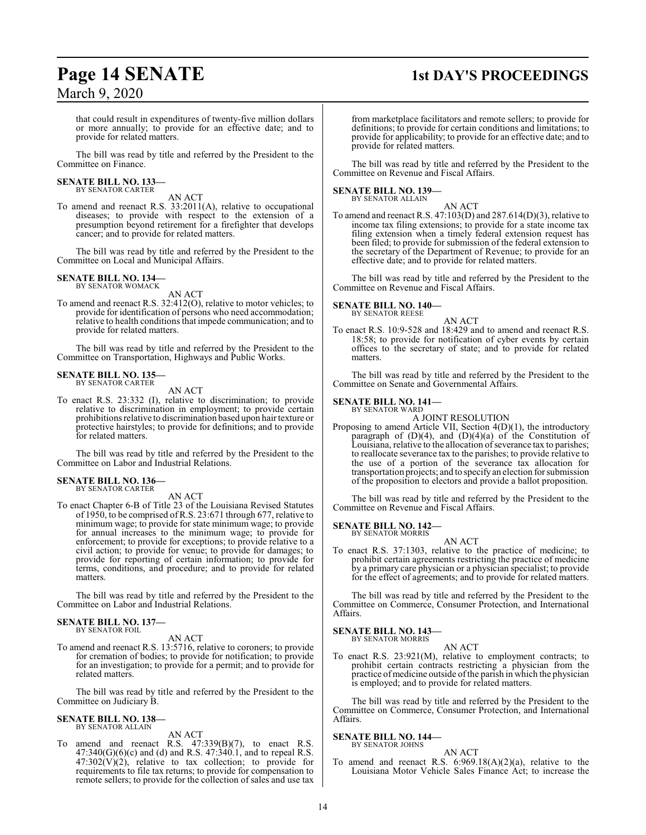### **Page 14 SENATE** 1st DAY'S PROCEEDINGS

that could result in expenditures of twenty-five million dollars or more annually; to provide for an effective date; and to provide for related matters.

The bill was read by title and referred by the President to the Committee on Finance.

#### **SENATE BILL NO. 133—** BY SENATOR CARTER

AN ACT

To amend and reenact R.S. 33:2011(A), relative to occupational diseases; to provide with respect to the extension of a presumption beyond retirement for a firefighter that develops cancer; and to provide for related matters.

The bill was read by title and referred by the President to the Committee on Local and Municipal Affairs.

#### **SENATE BILL NO. 134—** BY SENATOR WOMACK

AN ACT

To amend and reenact R.S. 32:412(O), relative to motor vehicles; to provide for identification of persons who need accommodation; relative to health conditions that impede communication; and to provide for related matters.

The bill was read by title and referred by the President to the Committee on Transportation, Highways and Public Works.

#### **SENATE BILL NO. 135—**

BY SENATOR CARTER

AN ACT

To enact R.S. 23:332 (I), relative to discrimination; to provide relative to discrimination in employment; to provide certain prohibitions relative to discrimination based upon hair texture or protective hairstyles; to provide for definitions; and to provide for related matters.

The bill was read by title and referred by the President to the Committee on Labor and Industrial Relations.

#### **SENATE BILL NO. 136—** BY SENATOR CARTER

AN ACT

To enact Chapter 6-B of Title 23 of the Louisiana Revised Statutes of 1950, to be comprised of R.S. 23:671 through 677, relative to minimum wage; to provide for state minimum wage; to provide for annual increases to the minimum wage; to provide for enforcement; to provide for exceptions; to provide relative to a civil action; to provide for venue; to provide for damages; to provide for reporting of certain information; to provide for terms, conditions, and procedure; and to provide for related matters.

The bill was read by title and referred by the President to the Committee on Labor and Industrial Relations.

#### **SENATE BILL NO. 137—** BY SENATOR FOIL

AN ACT

To amend and reenact R.S. 13:5716, relative to coroners; to provide for cremation of bodies; to provide for notification; to provide for an investigation; to provide for a permit; and to provide for related matters.

The bill was read by title and referred by the President to the Committee on Judiciary B.

### **SENATE BILL NO. 138—** BY SENATOR ALLAIN

#### AN ACT

To amend and reenact R.S.  $47:339(B)(7)$ , to enact R.S.  $47:340(G)(6)(c)$  and (d) and R.S.  $47:340.1$ , and to repeal R.S.  $47:302(V)(2)$ , relative to tax collection; to provide for requirements to file tax returns; to provide for compensation to remote sellers; to provide for the collection of sales and use tax

from marketplace facilitators and remote sellers; to provide for definitions; to provide for certain conditions and limitations; to provide for applicability; to provide for an effective date; and to provide for related matters.

The bill was read by title and referred by the President to the Committee on Revenue and Fiscal Affairs.

## **SENATE BILL NO. 139—** BY SENATOR ALLAIN

To amend and reenact R.S. 47:103(D) and 287.614(D)(3), relative to income tax filing extensions; to provide for a state income tax filing extension when a timely federal extension request has been filed; to provide for submission of the federal extension to the secretary of the Department of Revenue; to provide for an effective date; and to provide for related matters.

AN ACT

The bill was read by title and referred by the President to the Committee on Revenue and Fiscal Affairs.

#### **SENATE BILL NO. 140—** BY SENATOR REESE

AN ACT

To enact R.S. 10:9-528 and 18:429 and to amend and reenact R.S. 18:58; to provide for notification of cyber events by certain offices to the secretary of state; and to provide for related matters.

The bill was read by title and referred by the President to the Committee on Senate and Governmental Affairs.

#### **SENATE BILL NO. 141—**

BY SENATOR WARD A JOINT RESOLUTION

Proposing to amend Article VII, Section 4(D)(1), the introductory paragraph of  $(D)(4)$ , and  $(D)(4)(a)$  of the Constitution of Louisiana, relative to the allocation of severance tax to parishes; to reallocate severance tax to the parishes; to provide relative to the use of a portion of the severance tax allocation for transportation projects; and to specify an election for submission of the proposition to electors and provide a ballot proposition.

The bill was read by title and referred by the President to the Committee on Revenue and Fiscal Affairs.

**SENATE BILL NO. 142—** BY SENATOR MORRIS

#### AN ACT

To enact R.S. 37:1303, relative to the practice of medicine; to prohibit certain agreements restricting the practice of medicine by a primary care physician or a physician specialist; to provide for the effect of agreements; and to provide for related matters.

The bill was read by title and referred by the President to the Committee on Commerce, Consumer Protection, and International Affairs.

#### **SENATE BILL NO. 143—**

BY SENATOR MORRIS AN ACT

To enact R.S. 23:921(M), relative to employment contracts; to prohibit certain contracts restricting a physician from the practice ofmedicine outside ofthe parish in which the physician is employed; and to provide for related matters.

The bill was read by title and referred by the President to the Committee on Commerce, Consumer Protection, and International Affairs.

#### **SENATE BILL NO. 144—** BY SENATOR JOHNS

AN ACT To amend and reenact R.S.  $6:969.18(A)(2)(a)$ , relative to the Louisiana Motor Vehicle Sales Finance Act; to increase the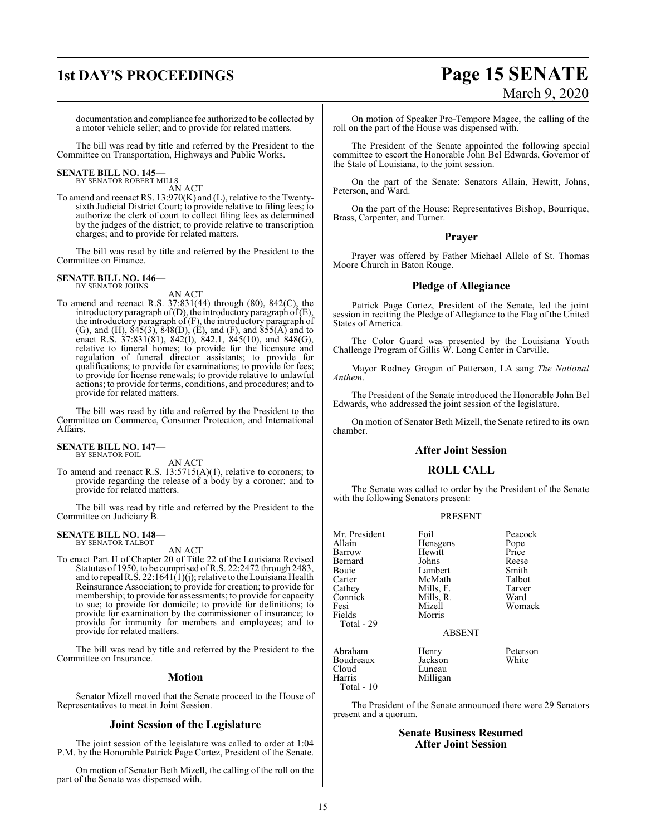## **1st DAY'S PROCEEDINGS Page 15 SENATE** March 9, 2020

documentation and compliance fee authorized to be collected by a motor vehicle seller; and to provide for related matters.

The bill was read by title and referred by the President to the Committee on Transportation, Highways and Public Works.

### **SENATE BILL NO. 145—** BY SENATOR ROBERT MILLS

AN ACT

To amend and reenact RS. 13:970(K) and (L), relative to the Twentysixth Judicial District Court; to provide relative to filing fees; to authorize the clerk of court to collect filing fees as determined by the judges of the district; to provide relative to transcription charges; and to provide for related matters.

The bill was read by title and referred by the President to the Committee on Finance.

#### **SENATE BILL NO. 146—** BY SENATOR JOHNS

AN ACT

To amend and reenact R.S. 37:831(44) through (80), 842(C), the introductory paragraph of (D), the introductory paragraph of  $(E)$ , the introductory paragraph of (F), the introductory paragraph of (G), and (H),  $845(3)$ ,  $848(D)$ , (E), and (F), and  $855(A)$  and to enact R.S. 37:831(81), 842(I), 842.1, 845(10), and 848(G), relative to funeral homes; to provide for the licensure and regulation of funeral director assistants; to provide for qualifications; to provide for examinations; to provide for fees; to provide for license renewals; to provide relative to unlawful actions; to provide for terms, conditions, and procedures; and to provide for related matters.

The bill was read by title and referred by the President to the Committee on Commerce, Consumer Protection, and International Affairs.

#### **SENATE BILL NO. 147—** BY SENATOR FOIL

AN ACT

To amend and reenact R.S. 13:5715(A)(1), relative to coroners; to provide regarding the release of a body by a coroner; and to provide for related matters.

The bill was read by title and referred by the President to the Committee on Judiciary B.

#### **SENATE BILL NO. 148—** BY SENATOR TALBOT

AN ACT

To enact Part II of Chapter 20 of Title 22 of the Louisiana Revised Statutes of 1950, to be comprised ofR.S. 22:2472 through 2483, and to repeal R.S. 22:1641(1)(j); relative to the Louisiana Health Reinsurance Association; to provide for creation; to provide for membership; to provide for assessments; to provide for capacity to sue; to provide for domicile; to provide for definitions; to provide for examination by the commissioner of insurance; to provide for immunity for members and employees; and to provide for related matters.

The bill was read by title and referred by the President to the Committee on Insurance.

#### **Motion**

Senator Mizell moved that the Senate proceed to the House of Representatives to meet in Joint Session.

### **Joint Session of the Legislature**

The joint session of the legislature was called to order at 1:04 P.M. by the Honorable Patrick Page Cortez, President of the Senate.

On motion of Senator Beth Mizell, the calling of the roll on the part of the Senate was dispensed with.

On motion of Speaker Pro-Tempore Magee, the calling of the roll on the part of the House was dispensed with.

The President of the Senate appointed the following special committee to escort the Honorable John Bel Edwards, Governor of the State of Louisiana, to the joint session.

On the part of the Senate: Senators Allain, Hewitt, Johns, Peterson, and Ward.

On the part of the House: Representatives Bishop, Bourrique, Brass, Carpenter, and Turner.

#### **Prayer**

Prayer was offered by Father Michael Allelo of St. Thomas Moore Church in Baton Rouge.

### **Pledge of Allegiance**

Patrick Page Cortez, President of the Senate, led the joint session in reciting the Pledge of Allegiance to the Flag of the United States of America.

The Color Guard was presented by the Louisiana Youth Challenge Program of Gillis W. Long Center in Carville.

Mayor Rodney Grogan of Patterson, LA sang *The National Anthem*.

The President of the Senate introduced the Honorable John Bel Edwards, who addressed the joint session of the legislature.

On motion of Senator Beth Mizell, the Senate retired to its own chamber.

#### **After Joint Session**

### **ROLL CALL**

The Senate was called to order by the President of the Senate with the following Senators present:

#### PRESENT

| Mr. President                                         | Foil                                   | Peacock           |
|-------------------------------------------------------|----------------------------------------|-------------------|
| Allain                                                | Hensgens                               | Pope              |
| Barrow                                                | Hewitt                                 | Price             |
| Bernard                                               | Johns                                  | Reese             |
| Bouie                                                 | Lambert                                | Smith             |
| Carter                                                | McMath                                 | Talbot            |
| Cathey                                                | Mills, F.                              | Tarver            |
| Connick                                               | Mills, R.                              | Ward              |
| Fesi                                                  | Mizell                                 | Womack            |
| Fields                                                | Morris                                 |                   |
| Total - 29                                            |                                        |                   |
|                                                       | <b>ABSENT</b>                          |                   |
| Abraham<br>Boudreaux<br>Cloud<br>Harris<br>Total - 10 | Henry<br>Jackson<br>Luneau<br>Milligan | Peterson<br>White |
|                                                       |                                        |                   |

The President of the Senate announced there were 29 Senators present and a quorum.

#### **Senate Business Resumed After Joint Session**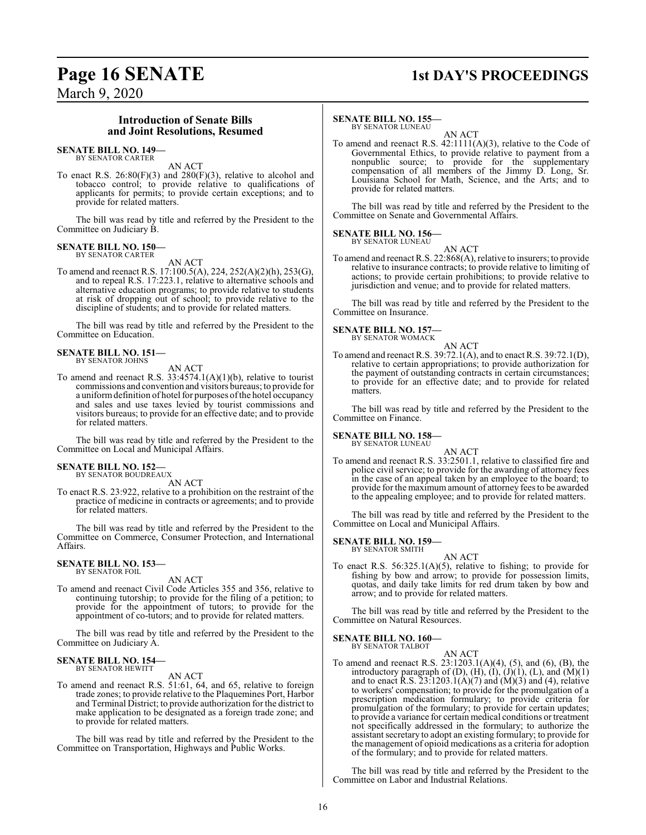### **Page 16 SENATE 1st DAY'S PROCEEDINGS**

March 9, 2020

#### **Introduction of Senate Bills and Joint Resolutions, Resumed**

#### **SENATE BILL NO. 149—** BY SENATOR CARTER

AN ACT

To enact R.S. 26:80(F)(3) and 280(F)(3), relative to alcohol and tobacco control; to provide relative to qualifications of applicants for permits; to provide certain exceptions; and to provide for related matters.

The bill was read by title and referred by the President to the Committee on Judiciary B.

#### **SENATE BILL NO. 150—** BY SENATOR CARTER

AN ACT

To amend and reenact R.S. 17:100.5(A), 224, 252(A)(2)(h), 253(G), and to repeal R.S. 17:223.1, relative to alternative schools and alternative education programs; to provide relative to students at risk of dropping out of school; to provide relative to the discipline of students; and to provide for related matters.

The bill was read by title and referred by the President to the Committee on Education.

#### **SENATE BILL NO. 151—** BY SENATOR JOHNS

AN ACT

To amend and reenact R.S.  $33:4574.1(A)(1)(b)$ , relative to tourist commissions and convention and visitors bureaus; to provide for a uniform definition of hotel for purposes of the hotel occupancy and sales and use taxes levied by tourist commissions and visitors bureaus; to provide for an effective date; and to provide for related matters.

The bill was read by title and referred by the President to the Committee on Local and Municipal Affairs.

#### **SENATE BILL NO. 152—** BY SENATOR BOUDREAUX

AN ACT

To enact R.S. 23:922, relative to a prohibition on the restraint of the practice of medicine in contracts or agreements; and to provide for related matters.

The bill was read by title and referred by the President to the Committee on Commerce, Consumer Protection, and International Affairs.

#### **SENATE BILL NO. 153—** BY SENATOR FOIL

AN ACT

To amend and reenact Civil Code Articles 355 and 356, relative to continuing tutorship; to provide for the filing of a petition; to provide for the appointment of tutors; to provide for the appointment of co-tutors; and to provide for related matters.

The bill was read by title and referred by the President to the Committee on Judiciary A.

## **SENATE BILL NO. 154—** BY SENATOR HEWITT

AN ACT

To amend and reenact R.S. 51:61, 64, and 65, relative to foreign trade zones; to provide relative to the Plaquemines Port, Harbor and Terminal District; to provide authorization for the district to make application to be designated as a foreign trade zone; and to provide for related matters.

The bill was read by title and referred by the President to the Committee on Transportation, Highways and Public Works.

#### **SENATE BILL NO. 155—**

BY SENATOR LUNEAU AN ACT

To amend and reenact R.S. 42:1111(A)(3), relative to the Code of Governmental Ethics, to provide relative to payment from a nonpublic source; to provide for the supplementary compensation of all members of the Jimmy D. Long, Sr. Louisiana School for Math, Science, and the Arts; and to provide for related matters.

The bill was read by title and referred by the President to the Committee on Senate and Governmental Affairs.

**SENATE BILL NO. 156—** BY SENATOR LUNEAU

AN ACT

To amend and reenact R.S. 22:868(A), relative to insurers; to provide relative to insurance contracts; to provide relative to limiting of actions; to provide certain prohibitions; to provide relative to jurisdiction and venue; and to provide for related matters.

The bill was read by title and referred by the President to the Committee on Insurance.

**SENATE BILL NO. 157—** BY SENATOR WOMACK

AN ACT

To amend and reenact R.S. 39:72.1(A), and to enact R.S. 39:72.1(D), relative to certain appropriations; to provide authorization for the payment of outstanding contracts in certain circumstances; to provide for an effective date; and to provide for related matters.

The bill was read by title and referred by the President to the Committee on Finance.

**SENATE BILL NO. 158—** BY SENATOR LUNEAU

AN ACT

To amend and reenact R.S. 33:2501.1, relative to classified fire and police civil service; to provide for the awarding of attorney fees in the case of an appeal taken by an employee to the board; to provide for the maximum amount of attorney fees to be awarded to the appealing employee; and to provide for related matters.

The bill was read by title and referred by the President to the Committee on Local and Municipal Affairs.

**SENATE BILL NO. 159—** BY SENATOR SMITH

AN ACT

To enact R.S. 56:325.1(A)(5), relative to fishing; to provide for fishing by bow and arrow; to provide for possession limits, quotas, and daily take limits for red drum taken by bow and arrow; and to provide for related matters.

The bill was read by title and referred by the President to the Committee on Natural Resources.

#### **SENATE BILL NO. 160—** BY SENATOR TALBOT

AN ACT To amend and reenact R.S. 23:1203.1(A)(4), (5), and (6), (B), the introductory paragraph of  $(D)$ ,  $(H)$ ,  $(I)$ ,  $(J)(1)$ ,  $(L)$ , and  $(M)(1)$ and to enact R.S.  $23:1203.1(A)(7)$  and  $(M)(3)$  and  $(4)$ , relative to workers' compensation; to provide for the promulgation of a prescription medication formulary; to provide criteria for promulgation of the formulary; to provide for certain updates; to provide a variance for certain medical conditions or treatment not specifically addressed in the formulary; to authorize the assistant secretary to adopt an existing formulary; to provide for the management of opioid medications as a criteria for adoption of the formulary; and to provide for related matters.

The bill was read by title and referred by the President to the Committee on Labor and Industrial Relations.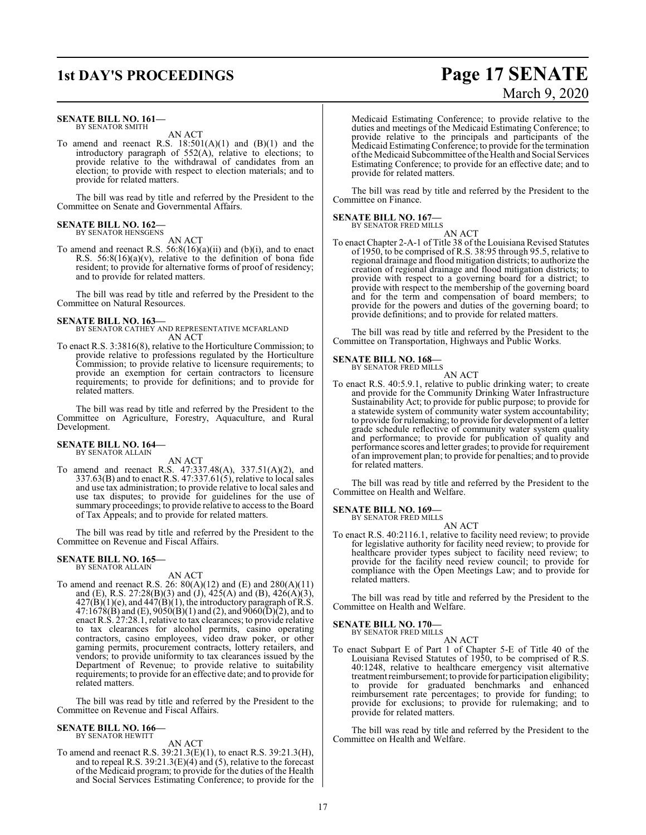### **1st DAY'S PROCEEDINGS Page 17 SENATE**

#### **SENATE BILL NO. 161—** BY SENATOR SMITH

AN ACT

To amend and reenact R.S.  $18:501(A)(1)$  and  $(B)(1)$  and the introductory paragraph of 552(A), relative to elections; to provide relative to the withdrawal of candidates from an election; to provide with respect to election materials; and to provide for related matters.

The bill was read by title and referred by the President to the Committee on Senate and Governmental Affairs.

#### **SENATE BILL NO. 162—** BY SENATOR HENSGENS

AN ACT

To amend and reenact R.S. 56:8(16)(a)(ii) and (b)(i), and to enact R.S.  $56:8(16)(a)(v)$ , relative to the definition of bona fide resident; to provide for alternative forms of proof of residency; and to provide for related matters.

The bill was read by title and referred by the President to the Committee on Natural Resources.

**SENATE BILL NO. 163—** BY SENATOR CATHEY AND REPRESENTATIVE MCFARLAND AN ACT

To enact R.S. 3:3816(8), relative to the Horticulture Commission; to provide relative to professions regulated by the Horticulture Commission; to provide relative to licensure requirements; to provide an exemption for certain contractors to licensure requirements; to provide for definitions; and to provide for related matters.

The bill was read by title and referred by the President to the Committee on Agriculture, Forestry, Aquaculture, and Rural Development.

#### **SENATE BILL NO. 164—** BY SENATOR ALLAIN

AN ACT

To amend and reenact R.S. 47:337.48(A), 337.51(A)(2), and 337.63(B) and to enact R.S. 47:337.61(5), relative to local sales and use tax administration; to provide relative to local sales and use tax disputes; to provide for guidelines for the use of summary proceedings; to provide relative to access to the Board of Tax Appeals; and to provide for related matters.

The bill was read by title and referred by the President to the Committee on Revenue and Fiscal Affairs.

#### **SENATE BILL NO. 165—** BY SENATOR ALLAIN

AN ACT

To amend and reenact R.S. 26:  $80(A)(12)$  and  $(E)$  and  $280(A)(11)$ and (E), R.S. 27:28(B)(3) and (J), 425(A) and (B), 426(A)(3),  $427(B)(1)(e)$ , and  $447(B)(1)$ , the introductory paragraph of R.S.  $47:1678(B)$  and (E),  $9050(B)(1)$  and (2), and  $9060(D)(2)$ , and to enact R.S. 27:28.1, relative to tax clearances; to provide relative to tax clearances for alcohol permits, casino operating contractors, casino employees, video draw poker, or other gaming permits, procurement contracts, lottery retailers, and vendors; to provide uniformity to tax clearances issued by the Department of Revenue; to provide relative to suitability requirements; to provide for an effective date; and to provide for related matters.

The bill was read by title and referred by the President to the Committee on Revenue and Fiscal Affairs.

#### **SENATE BILL NO. 166—**

BY SENATOR HEWITT

AN ACT To amend and reenact R.S. 39:21.3(E)(1), to enact R.S. 39:21.3(H), and to repeal R.S.  $39:21.3(E)(4)$  and (5), relative to the forecast of the Medicaid program; to provide for the duties of the Health and Social Services Estimating Conference; to provide for the

Medicaid Estimating Conference; to provide relative to the duties and meetings of the Medicaid Estimating Conference; to provide relative to the principals and participants of the Medicaid EstimatingConference; to provide for the termination ofthe Medicaid Subcommittee ofthe Health and Social Services Estimating Conference; to provide for an effective date; and to provide for related matters.

The bill was read by title and referred by the President to the Committee on Finance.

### **SENATE BILL NO. 167—** BY SENATOR FRED MILLS

AN ACT

To enact Chapter 2-A-1 of Title 38 of the Louisiana Revised Statutes of 1950, to be comprised of R.S. 38:95 through 95.5, relative to regional drainage and flood mitigation districts; to authorize the creation of regional drainage and flood mitigation districts; to provide with respect to a governing board for a district; to provide with respect to the membership of the governing board and for the term and compensation of board members; to provide for the powers and duties of the governing board; to provide definitions; and to provide for related matters.

The bill was read by title and referred by the President to the Committee on Transportation, Highways and Public Works.

#### **SENATE BILL NO. 168—**

BY SENATOR FRED MILLS AN ACT

To enact R.S. 40:5.9.1, relative to public drinking water; to create and provide for the Community Drinking Water Infrastructure Sustainability Act; to provide for public purpose; to provide for a statewide system of community water system accountability; to provide for rulemaking; to provide for development of a letter grade schedule reflective of community water system quality and performance; to provide for publication of quality and performance scores and letter grades; to provide for requirement of an improvement plan; to provide for penalties; and to provide for related matters.

The bill was read by title and referred by the President to the Committee on Health and Welfare.

#### **SENATE BILL NO. 169—**

BY SENATOR FRED MILLS AN ACT

To enact R.S. 40:2116.1, relative to facility need review; to provide for legislative authority for facility need review; to provide for healthcare provider types subject to facility need review; to provide for the facility need review council; to provide for compliance with the Open Meetings Law; and to provide for related matters.

The bill was read by title and referred by the President to the Committee on Health and Welfare.

### **SENATE BILL NO. 170—** BY SENATOR FRED MILLS

AN ACT

To enact Subpart E of Part 1 of Chapter 5-E of Title 40 of the Louisiana Revised Statutes of 1950, to be comprised of R.S. 40:1248, relative to healthcare emergency visit alternative treatment reimbursement; to provide for participation eligibility; to provide for graduated benchmarks and enhanced reimbursement rate percentages; to provide for funding; to provide for exclusions; to provide for rulemaking; and to provide for related matters.

The bill was read by title and referred by the President to the Committee on Health and Welfare.

# March 9, 2020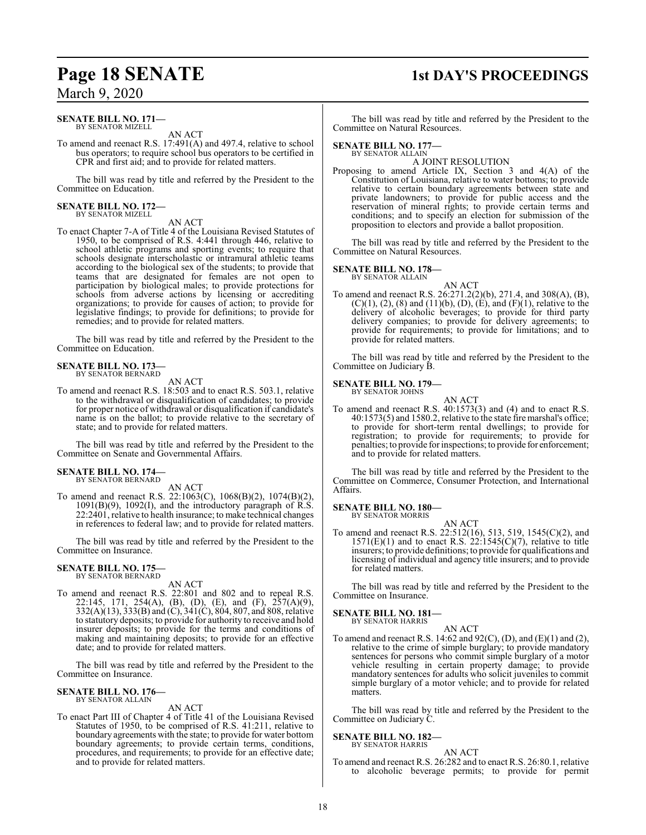#### **SENATE BILL NO. 171—** BY SENATOR MIZELL

AN ACT

To amend and reenact R.S. 17:491(A) and 497.4, relative to school bus operators; to require school bus operators to be certified in CPR and first aid; and to provide for related matters.

The bill was read by title and referred by the President to the Committee on Education.

## **SENATE BILL NO. 172—** BY SENATOR MIZELL

AN ACT

To enact Chapter 7-A of Title 4 of the Louisiana Revised Statutes of 1950, to be comprised of R.S. 4:441 through 446, relative to school athletic programs and sporting events; to require that schools designate interscholastic or intramural athletic teams according to the biological sex of the students; to provide that teams that are designated for females are not open to participation by biological males; to provide protections for schools from adverse actions by licensing or accrediting organizations; to provide for causes of action; to provide for legislative findings; to provide for definitions; to provide for remedies; and to provide for related matters.

The bill was read by title and referred by the President to the Committee on Education.

#### **SENATE BILL NO. 173—** BY SENATOR BERNARD

AN ACT

To amend and reenact R.S. 18:503 and to enact R.S. 503.1, relative to the withdrawal or disqualification of candidates; to provide for proper notice of withdrawal or disqualification if candidate's name is on the ballot; to provide relative to the secretary of state; and to provide for related matters.

The bill was read by title and referred by the President to the Committee on Senate and Governmental Affairs.

#### **SENATE BILL NO. 174—** BY SENATOR BERNARD

AN ACT

To amend and reenact R.S. 22:1063(C), 1068(B)(2), 1074(B)(2), 1091(B)(9), 1092(I), and the introductory paragraph of R.S. 22:2401, relative to health insurance; to make technical changes in references to federal law; and to provide for related matters.

The bill was read by title and referred by the President to the Committee on Insurance.

#### **SENATE BILL NO. 175—** BY SENATOR BERNARD

AN ACT

To amend and reenact R.S. 22:801 and 802 and to repeal R.S. 22:145, 171, 254(A), (B), (D), (E), and (F), 257(A)(9), 332(A)(13), 333(B) and (C), 341(C), 804, 807, and 808, relative to statutory deposits; to provide for authority to receive and hold insurer deposits; to provide for the terms and conditions of making and maintaining deposits; to provide for an effective date; and to provide for related matters.

The bill was read by title and referred by the President to the Committee on Insurance.

#### **SENATE BILL NO. 176—** BY SENATOR ALLAIN

#### AN ACT

To enact Part III of Chapter 4 of Title 41 of the Louisiana Revised Statutes of 1950, to be comprised of R.S. 41:211, relative to boundary agreements with the state; to provide for water bottom boundary agreements; to provide certain terms, conditions, procedures, and requirements; to provide for an effective date; and to provide for related matters.

## **Page 18 SENATE 1st DAY'S PROCEEDINGS**

The bill was read by title and referred by the President to the Committee on Natural Resources.

#### **SENATE BILL NO. 177—**

BY SENATOR ALLAIN A JOINT RESOLUTION

Proposing to amend Article IX, Section 3 and 4(A) of the Constitution of Louisiana, relative to water bottoms; to provide relative to certain boundary agreements between state and private landowners; to provide for public access and the reservation of mineral rights; to provide certain terms and conditions; and to specify an election for submission of the proposition to electors and provide a ballot proposition.

The bill was read by title and referred by the President to the Committee on Natural Resources.

#### **SENATE BILL NO. 178—**

BY SENATOR ALLAIN

AN ACT To amend and reenact R.S. 26:271.2(2)(b), 271.4, and 308(A), (B),  $(C)(1)$ ,  $(2)$ ,  $(8)$  and  $(11)(b)$ ,  $(D)$ ,  $(E)$ , and  $(F)(1)$ , relative to the delivery of alcoholic beverages; to provide for third party delivery companies; to provide for delivery agreements; to provide for requirements; to provide for limitations; and to provide for related matters.

The bill was read by title and referred by the President to the Committee on Judiciary B.

**SENATE BILL NO. 179—** BY SENATOR JOHNS



To amend and reenact R.S. 40:1573(3) and (4) and to enact R.S. 40:1573(5) and 1580.2, relative to the state fire marshal's office; to provide for short-term rental dwellings; to provide for registration; to provide for requirements; to provide for penalties; to provide for inspections; to provide for enforcement; and to provide for related matters.

The bill was read by title and referred by the President to the Committee on Commerce, Consumer Protection, and International Affairs.

### **SENATE BILL NO. 180—** BY SENATOR MORRIS

AN ACT

To amend and reenact R.S. 22:512(16), 513, 519, 1545(C)(2), and  $1571(E)(1)$  and to enact R.S.  $22:1545(C)(7)$ , relative to title insurers; to provide definitions; to provide for qualifications and licensing of individual and agency title insurers; and to provide for related matters.

The bill was read by title and referred by the President to the Committee on Insurance.

### **SENATE BILL NO. 181—** BY SENATOR HARRIS

AN ACT

To amend and reenact R.S. 14:62 and 92(C), (D), and (E)(1) and (2), relative to the crime of simple burglary; to provide mandatory sentences for persons who commit simple burglary of a motor vehicle resulting in certain property damage; to provide mandatory sentences for adults who solicit juveniles to commit simple burglary of a motor vehicle; and to provide for related matters.

The bill was read by title and referred by the President to the Committee on Judiciary C.

#### **SENATE BILL NO. 182—** BY SENATOR HARRIS

AN ACT

To amend and reenact R.S. 26:282 and to enact R.S. 26:80.1, relative to alcoholic beverage permits; to provide for permit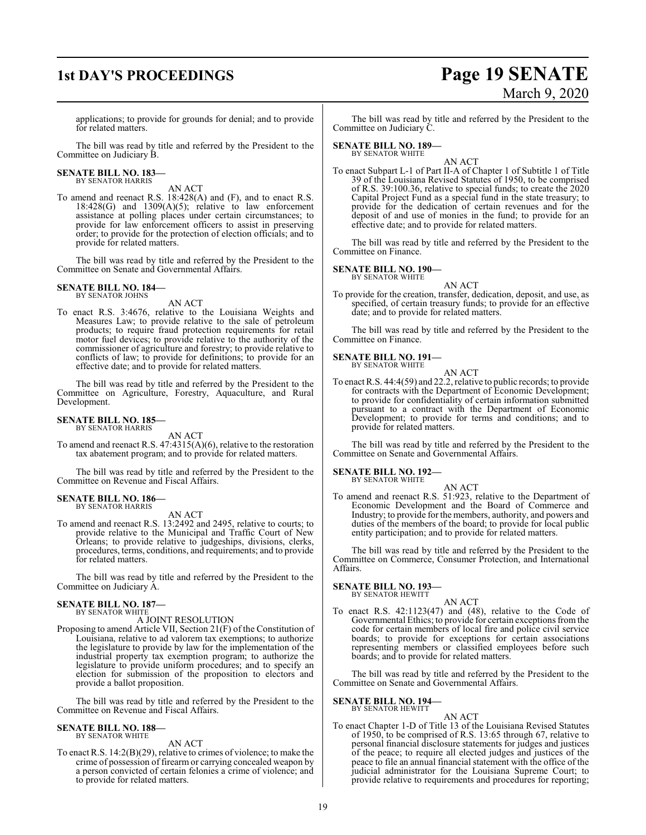## **1st DAY'S PROCEEDINGS Page 19 SENATE** March 9, 2020

applications; to provide for grounds for denial; and to provide for related matters.

The bill was read by title and referred by the President to the Committee on Judiciary B.

## **SENATE BILL NO. 183—** BY SENATOR HARRIS

AN ACT

To amend and reenact R.S. 18:428(A) and (F), and to enact R.S.  $18.428(G)$  and  $1309(A)(5)$ ; relative to law enforcement assistance at polling places under certain circumstances; to provide for law enforcement officers to assist in preserving order; to provide for the protection of election officials; and to provide for related matters.

The bill was read by title and referred by the President to the Committee on Senate and Governmental Affairs.

#### **SENATE BILL NO. 184—** BY SENATOR JOHNS

AN ACT

To enact R.S. 3:4676, relative to the Louisiana Weights and Measures Law; to provide relative to the sale of petroleum products; to require fraud protection requirements for retail motor fuel devices; to provide relative to the authority of the commissioner of agriculture and forestry; to provide relative to conflicts of law; to provide for definitions; to provide for an effective date; and to provide for related matters.

The bill was read by title and referred by the President to the Committee on Agriculture, Forestry, Aquaculture, and Rural Development.

#### **SENATE BILL NO. 185—** BY SENATOR HARRIS

AN ACT

To amend and reenact R.S. 47:4315(A)(6), relative to the restoration tax abatement program; and to provide for related matters.

The bill was read by title and referred by the President to the Committee on Revenue and Fiscal Affairs.

#### **SENATE BILL NO. 186—** BY SENATOR HARRIS

AN ACT

To amend and reenact R.S. 13:2492 and 2495, relative to courts; to provide relative to the Municipal and Traffic Court of New Orleans; to provide relative to judgeships, divisions, clerks, procedures, terms, conditions, and requirements; and to provide for related matters.

The bill was read by title and referred by the President to the Committee on Judiciary A.

#### **SENATE BILL NO. 187—** BY SENATOR WHITE

A JOINT RESOLUTION

Proposing to amend Article VII, Section 21(F) of the Constitution of Louisiana, relative to ad valorem tax exemptions; to authorize the legislature to provide by law for the implementation of the industrial property tax exemption program; to authorize the legislature to provide uniform procedures; and to specify an election for submission of the proposition to electors and provide a ballot proposition.

The bill was read by title and referred by the President to the Committee on Revenue and Fiscal Affairs.

#### **SENATE BILL NO. 188—** BY SENATOR WHITE

AN ACT

To enact R.S. 14:2(B)(29), relative to crimes of violence; to make the crime of possession of firearm or carrying concealed weapon by a person convicted of certain felonies a crime of violence; and to provide for related matters.

The bill was read by title and referred by the President to the Committee on Judiciary C.

#### **SENATE BILL NO. 189—** BY SENATOR WHITE

AN ACT

To enact Subpart L-1 of Part II-A of Chapter 1 of Subtitle 1 of Title 39 of the Louisiana Revised Statutes of 1950, to be comprised of R.S. 39:100.36, relative to special funds; to create the 2020 Capital Project Fund as a special fund in the state treasury; to provide for the dedication of certain revenues and for the deposit of and use of monies in the fund; to provide for an effective date; and to provide for related matters.

The bill was read by title and referred by the President to the Committee on Finance.

#### **SENATE BILL NO. 190—**

BY SENATOR WHITE

AN ACT To provide for the creation, transfer, dedication, deposit, and use, as specified, of certain treasury funds; to provide for an effective date; and to provide for related matters.

The bill was read by title and referred by the President to the Committee on Finance.

### **SENATE BILL NO. 191—** BY SENATOR WHITE

AN ACT To enact R.S. 44:4(59) and 22.2, relative to public records; to provide for contracts with the Department of Economic Development; to provide for confidentiality of certain information submitted pursuant to a contract with the Department of Economic Development; to provide for terms and conditions; and to provide for related matters.

The bill was read by title and referred by the President to the Committee on Senate and Governmental Affairs.

#### **SENATE BILL NO. 192—** BY SENATOR WHITE

AN ACT

To amend and reenact R.S. 51:923, relative to the Department of Economic Development and the Board of Commerce and Industry; to provide for the members, authority, and powers and duties of the members of the board; to provide for local public entity participation; and to provide for related matters.

The bill was read by title and referred by the President to the Committee on Commerce, Consumer Protection, and International Affairs.

#### **SENATE BILL NO. 193—** BY SENATOR HEWITT

AN ACT

To enact R.S. 42:1123(47) and (48), relative to the Code of Governmental Ethics; to provide for certain exceptions fromthe code for certain members of local fire and police civil service boards; to provide for exceptions for certain associations representing members or classified employees before such boards; and to provide for related matters.

The bill was read by title and referred by the President to the Committee on Senate and Governmental Affairs.

**SENATE BILL NO. 194—**

BY SENATOR HEWITT

AN ACT To enact Chapter 1-D of Title 13 of the Louisiana Revised Statutes of 1950, to be comprised of R.S. 13:65 through 67, relative to personal financial disclosure statements for judges and justices of the peace; to require all elected judges and justices of the peace to file an annual financial statement with the office of the judicial administrator for the Louisiana Supreme Court; to provide relative to requirements and procedures for reporting;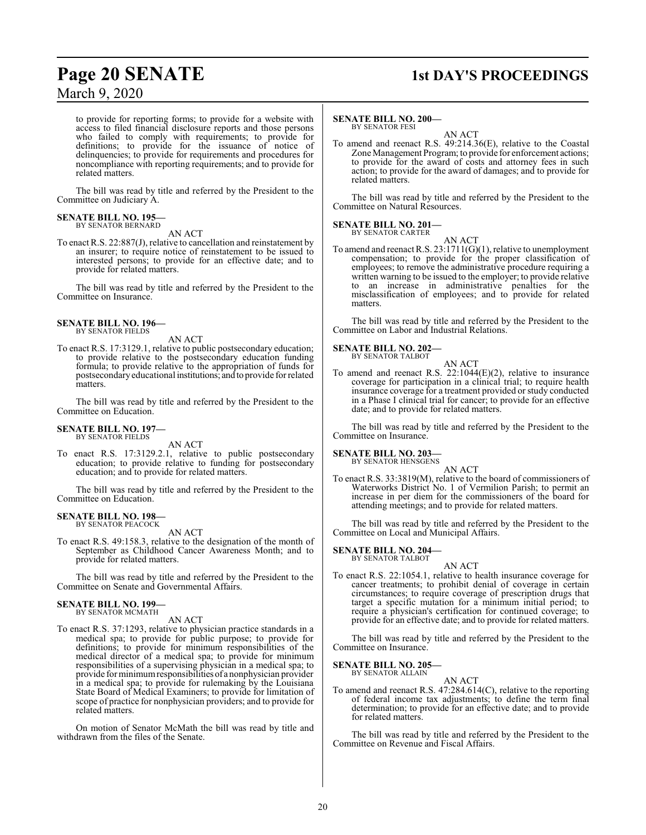### **Page 20 SENATE 1st DAY'S PROCEEDINGS**

to provide for reporting forms; to provide for a website with access to filed financial disclosure reports and those persons who failed to comply with requirements; to provide for definitions; to provide for the issuance of notice of delinquencies; to provide for requirements and procedures for noncompliance with reporting requirements; and to provide for related matters.

The bill was read by title and referred by the President to the Committee on Judiciary A.

#### **SENATE BILL NO. 195—** BY SENATOR BERNARD

AN ACT

To enact R.S. 22:887(J), relative to cancellation and reinstatement by an insurer; to require notice of reinstatement to be issued to interested persons; to provide for an effective date; and to provide for related matters.

The bill was read by title and referred by the President to the Committee on Insurance.

#### **SENATE BILL NO. 196—** BY SENATOR FIELDS

AN ACT

To enact R.S. 17:3129.1, relative to public postsecondary education; to provide relative to the postsecondary education funding formula; to provide relative to the appropriation of funds for postsecondaryeducational institutions; and to provide for related matters.

The bill was read by title and referred by the President to the Committee on Education.

### **SENATE BILL NO. 197—** BY SENATOR FIELDS

AN ACT

To enact R.S. 17:3129.2.1, relative to public postsecondary education; to provide relative to funding for postsecondary education; and to provide for related matters.

The bill was read by title and referred by the President to the Committee on Education.

### **SENATE BILL NO. 198—**

BY SENATOR PEACOCK AN ACT

To enact R.S. 49:158.3, relative to the designation of the month of September as Childhood Cancer Awareness Month; and to provide for related matters.

The bill was read by title and referred by the President to the Committee on Senate and Governmental Affairs.

#### **SENATE BILL NO. 199—** BY SENATOR MCMATH

AN ACT

To enact R.S. 37:1293, relative to physician practice standards in a medical spa; to provide for public purpose; to provide for definitions; to provide for minimum responsibilities of the medical director of a medical spa; to provide for minimum responsibilities of a supervising physician in a medical spa; to provide for minimumresponsibilitiesof a nonphysician provider in a medical spa; to provide for rulemaking by the Louisiana State Board of Medical Examiners; to provide for limitation of scope of practice for nonphysician providers; and to provide for related matters.

On motion of Senator McMath the bill was read by title and withdrawn from the files of the Senate.

#### **SENATE BILL NO. 200—** BY SENATOR FESI

AN ACT

To amend and reenact R.S. 49:214.36(E), relative to the Coastal Zone Management Program; to provide for enforcement actions; to provide for the award of costs and attorney fees in such action; to provide for the award of damages; and to provide for related matters.

The bill was read by title and referred by the President to the Committee on Natural Resources.

#### **SENATE BILL NO. 201—**

BY SENATOR CARTER AN ACT

To amend and reenact R.S. 23:1711(G)(1), relative to unemployment compensation; to provide for the proper classification of employees; to remove the administrative procedure requiring a written warning to be issued to the employer; to provide relative to an increase in administrative penalties for the misclassification of employees; and to provide for related matters.

The bill was read by title and referred by the President to the Committee on Labor and Industrial Relations.

#### **SENATE BILL NO. 202—**

BY SENATOR TALBOT AN ACT

To amend and reenact R.S. 22:1044(E)(2), relative to insurance coverage for participation in a clinical trial; to require health insurance coverage for a treatment provided or study conducted in a Phase I clinical trial for cancer; to provide for an effective date; and to provide for related matters.

The bill was read by title and referred by the President to the Committee on Insurance.

**SENATE BILL NO. 203—**

BY SENATOR HENSGENS AN ACT

To enact R.S. 33:3819(M), relative to the board of commissioners of Waterworks District No. 1 of Vermilion Parish; to permit an increase in per diem for the commissioners of the board for attending meetings; and to provide for related matters.

The bill was read by title and referred by the President to the Committee on Local and Municipal Affairs.

#### **SENATE BILL NO. 204—**

BY SENATOR TALBOT

To enact R.S. 22:1054.1, relative to health insurance coverage for cancer treatments; to prohibit denial of coverage in certain circumstances; to require coverage of prescription drugs that target a specific mutation for a minimum initial period; to require a physician's certification for continued coverage; to provide for an effective date; and to provide for related matters.

AN ACT

The bill was read by title and referred by the President to the Committee on Insurance.

**SENATE BILL NO. 205—** BY SENATOR ALLAIN

AN ACT

To amend and reenact R.S. 47:284.614(C), relative to the reporting of federal income tax adjustments; to define the term final determination; to provide for an effective date; and to provide for related matters.

The bill was read by title and referred by the President to the Committee on Revenue and Fiscal Affairs.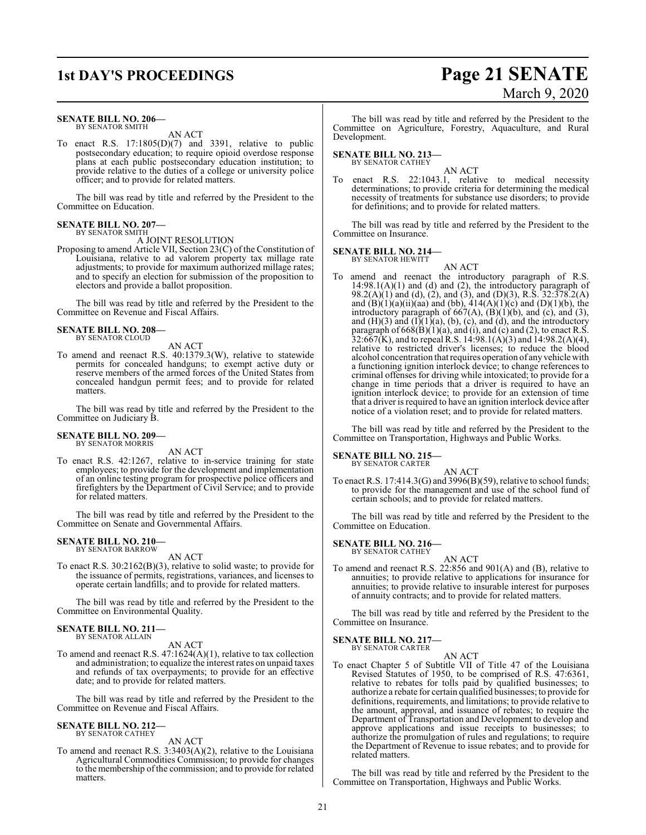#### **SENATE BILL NO. 206—** BY SENATOR SMITH

AN ACT

To enact R.S. 17:1805(D)(7) and 3391, relative to public postsecondary education; to require opioid overdose response plans at each public postsecondary education institution; to provide relative to the duties of a college or university police officer; and to provide for related matters.

The bill was read by title and referred by the President to the Committee on Education.

#### **SENATE BILL NO. 207—** BY SENATOR SMITH

#### A JOINT RESOLUTION

Proposing to amend Article VII, Section 23(C) of the Constitution of Louisiana, relative to ad valorem property tax millage rate adjustments; to provide for maximum authorized millage rates; and to specify an election for submission of the proposition to electors and provide a ballot proposition.

The bill was read by title and referred by the President to the Committee on Revenue and Fiscal Affairs.

#### **SENATE BILL NO. 208—** BY SENATOR CLOUD

AN ACT

To amend and reenact R.S. 40:1379.3(W), relative to statewide permits for concealed handguns; to exempt active duty or reserve members of the armed forces of the United States from concealed handgun permit fees; and to provide for related matters.

The bill was read by title and referred by the President to the Committee on Judiciary B.

#### **SENATE BILL NO. 209—** BY SENATOR MORRIS

AN ACT

To enact R.S. 42:1267, relative to in-service training for state employees; to provide for the development and implementation of an online testing program for prospective police officers and firefighters by the Department of Civil Service; and to provide for related matters.

The bill was read by title and referred by the President to the Committee on Senate and Governmental Affairs.

#### **SENATE BILL NO. 210—** BY SENATOR BARROW

AN ACT

To enact R.S. 30:2162(B)(3), relative to solid waste; to provide for the issuance of permits, registrations, variances, and licenses to operate certain landfills; and to provide for related matters.

The bill was read by title and referred by the President to the Committee on Environmental Quality.

### **SENATE BILL NO. 211—** BY SENATOR ALLAIN

AN ACT

To amend and reenact R.S. 47:1624(A)(1), relative to tax collection and administration; to equalize the interest rates on unpaid taxes and refunds of tax overpayments; to provide for an effective date; and to provide for related matters.

The bill was read by title and referred by the President to the Committee on Revenue and Fiscal Affairs.

#### **SENATE BILL NO. 212—** BY SENATOR CATHEY

AN ACT

To amend and reenact R.S. 3:3403(A)(2), relative to the Louisiana Agricultural Commodities Commission; to provide for changes to the membership ofthe commission; and to provide for related matters.

The bill was read by title and referred by the President to the Committee on Agriculture, Forestry, Aquaculture, and Rural Development.

#### **SENATE BILL NO. 213—** BY SENATOR CATHEY

AN ACT

To enact R.S. 22:1043.1, relative to medical necessity determinations; to provide criteria for determining the medical necessity of treatments for substance use disorders; to provide for definitions; and to provide for related matters.

The bill was read by title and referred by the President to the Committee on Insurance.

### **SENATE BILL NO. 214—** BY SENATOR HEWITT

AN ACT To amend and reenact the introductory paragraph of R.S.  $14:98.1(A)(1)$  and (d) and (2), the introductory paragraph of 98.2(A)(1) and (d), (2), and (3), and (D)(3), R.S. 32:378.2(A) and  $(B)(1)(a)(ii)(aa)$  and  $(bb)$ ,  $414(A)(1)(c)$  and  $(D)(1)(b)$ , the introductory paragraph of  $667(A)$ ,  $(B)(1)(b)$ , and  $(c)$ , and  $(3)$ , and  $(H)(3)$  and  $(I)(1)(a)$ ,  $(b)$ ,  $(c)$ , and  $(d)$ , and the introductory paragraph of  $668(B)(1)(a)$ , and (i), and (c) and (2), to enact R.S.  $32:667(K)$ , and to repeal R.S. 14:98.1(A)(3) and 14:98.2(A)(4), relative to restricted driver's licenses; to reduce the blood alcohol concentration that requires operation of anyvehicle with a functioning ignition interlock device; to change references to criminal offenses for driving while intoxicated; to provide for a change in time periods that a driver is required to have an ignition interlock device; to provide for an extension of time that a driver is required to have an ignition interlock device after notice of a violation reset; and to provide for related matters.

The bill was read by title and referred by the President to the Committee on Transportation, Highways and Public Works.

#### **SENATE BILL NO. 215—** BY SENATOR CARTER

AN ACT To enact R.S. 17:414.3(G) and 3996(B)(59), relative to school funds; to provide for the management and use of the school fund of certain schools; and to provide for related matters.

The bill was read by title and referred by the President to the Committee on Education.

#### **SENATE BILL NO. 216** BY SENATOR CATHEY

AN ACT

To amend and reenact R.S. 22:856 and 901(A) and (B), relative to annuities; to provide relative to applications for insurance for annuities; to provide relative to insurable interest for purposes of annuity contracts; and to provide for related matters.

The bill was read by title and referred by the President to the Committee on Insurance.

#### **SENATE BILL NO. 217—** BY SENATOR CARTER

AN ACT

To enact Chapter 5 of Subtitle VII of Title 47 of the Louisiana Revised Statutes of 1950, to be comprised of R.S. 47:6361, relative to rebates for tolls paid by qualified businesses; to authorize a rebate for certain qualified businesses; to provide for definitions, requirements, and limitations; to provide relative to the amount, approval, and issuance of rebates; to require the Department of Transportation and Development to develop and approve applications and issue receipts to businesses; to authorize the promulgation of rules and regulations; to require the Department of Revenue to issue rebates; and to provide for related matters.

The bill was read by title and referred by the President to the Committee on Transportation, Highways and Public Works.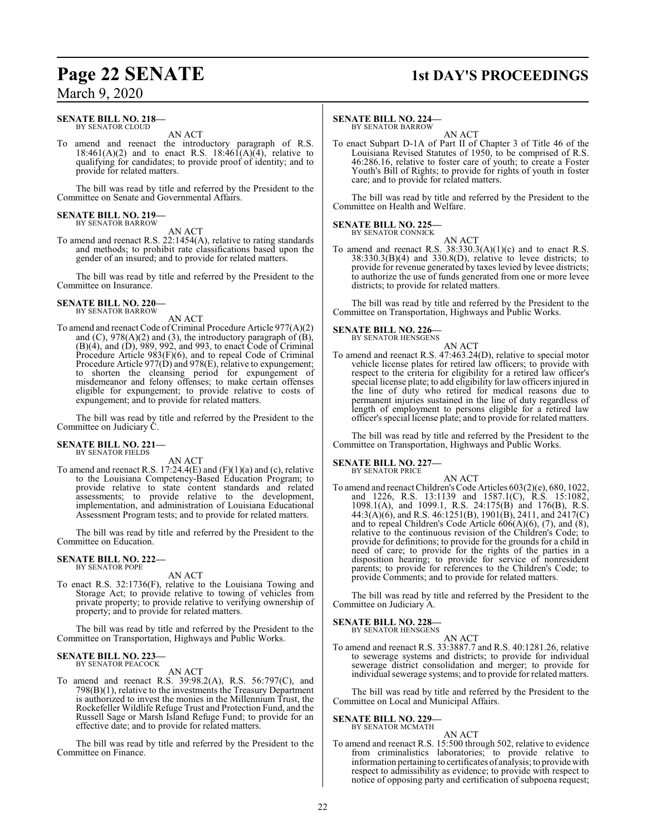#### **SENATE BILL NO. 218—** BY SENATOR CLOUD

AN ACT

To amend and reenact the introductory paragraph of R.S. 18:461(A)(2) and to enact R.S. 18:461(A)(4), relative to qualifying for candidates; to provide proof of identity; and to provide for related matters.

The bill was read by title and referred by the President to the Committee on Senate and Governmental Affairs.

#### **SENATE BILL NO. 219—** BY SENATOR BARROW

AN ACT

To amend and reenact R.S. 22:1454(A), relative to rating standards and methods; to prohibit rate classifications based upon the gender of an insured; and to provide for related matters.

The bill was read by title and referred by the President to the Committee on Insurance.

#### **SENATE BILL NO. 220—** BY SENATOR BARROW

### AN ACT

To amend and reenact Code of Criminal Procedure Article 977(A)(2) and  $(C)$ , 978 $(A)(2)$  and  $(3)$ , the introductory paragraph of  $(B)$ , (B)(4), and (D), 989, 992, and 993, to enact Code of Criminal Procedure Article 983(F)(6), and to repeal Code of Criminal Procedure Article 977(D) and 978(E), relative to expungement; to shorten the cleansing period for expungement of misdemeanor and felony offenses; to make certain offenses eligible for expungement; to provide relative to costs of expungement; and to provide for related matters.

The bill was read by title and referred by the President to the Committee on Judiciary C.

#### **SENATE BILL NO. 221—** BY SENATOR FIELDS

AN ACT

To amend and reenact R.S.  $17:24.4(E)$  and  $(F)(1)(a)$  and  $(c)$ , relative to the Louisiana Competency-Based Education Program; to provide relative to state content standards and related assessments; to provide relative to the development, implementation, and administration of Louisiana Educational Assessment Program tests; and to provide for related matters.

The bill was read by title and referred by the President to the Committee on Education.

#### **SENATE BILL NO. 222—** BY SENATOR POPE

#### AN ACT

To enact R.S. 32:1736(F), relative to the Louisiana Towing and Storage Act; to provide relative to towing of vehicles from private property; to provide relative to verifying ownership of property; and to provide for related matters.

The bill was read by title and referred by the President to the Committee on Transportation, Highways and Public Works.

#### **SENATE BILL NO. 223** BY SENATOR PEACOCK

AN ACT

To amend and reenact R.S. 39:98.2(A), R.S. 56:797(C), and 798(B)(1), relative to the investments the Treasury Department is authorized to invest the monies in the Millennium Trust, the Rockefeller Wildlife Refuge Trust and Protection Fund, and the Russell Sage or Marsh Island Refuge Fund; to provide for an effective date; and to provide for related matters.

The bill was read by title and referred by the President to the Committee on Finance.

## **Page 22 SENATE 1st DAY'S PROCEEDINGS**

#### **SENATE BILL NO. 224—**

BY SENATOR BARROW

AN ACT To enact Subpart D-1A of Part II of Chapter 3 of Title 46 of the Louisiana Revised Statutes of 1950, to be comprised of R.S. 46:286.16, relative to foster care of youth; to create a Foster Youth's Bill of Rights; to provide for rights of youth in foster care; and to provide for related matters.

The bill was read by title and referred by the President to the Committee on Health and Welfare.

#### **SENATE BILL NO. 225—**

BY SENATOR CONNICK AN ACT

To amend and reenact R.S.  $38:330.3(A)(1)(c)$  and to enact R.S.  $38:330.3(B)(4)$  and  $330.8(D)$ , relative to levee districts; to provide for revenue generated by taxes levied by levee districts; to authorize the use of funds generated from one or more levee districts; to provide for related matters.

The bill was read by title and referred by the President to the Committee on Transportation, Highways and Public Works.

### **SENATE BILL NO. 226—**

BY SENATOR HENSGENS

AN ACT To amend and reenact R.S. 47:463.24(D), relative to special motor vehicle license plates for retired law officers; to provide with respect to the criteria for eligibility for a retired law officer's special license plate; to add eligibility for law officers injured in the line of duty who retired for medical reasons due to permanent injuries sustained in the line of duty regardless of length of employment to persons eligible for a retired law officer's special license plate; and to provide for related matters.

The bill was read by title and referred by the President to the Committee on Transportation, Highways and Public Works.

## **SENATE BILL NO. 227—** BY SENATOR PRICE

AN ACT To amend and reenact Children's Code Articles 603(2)(e), 680, 1022, and 1226, R.S. 13:1139 and 1587.1(C), R.S. 15:1082, 1098.1(A), and 1099.1, R.S. 24:175(B) and 176(B), R.S. 44:3(A)(6), and R.S. 46:1251(B), 1901(B), 2411, and 2417(C) and to repeal Children's Code Article 606(A)(6), (7), and (8), relative to the continuous revision of the Children's Code; to provide for definitions; to provide for the grounds for a child in need of care; to provide for the rights of the parties in a disposition hearing; to provide for service of nonresident parents; to provide for references to the Children's Code; to provide Comments; and to provide for related matters.

The bill was read by title and referred by the President to the Committee on Judiciary A.

#### **SENATE BILL NO. 228—**

BY SENATOR HENSGENS AN ACT

To amend and reenact R.S. 33:3887.7 and R.S. 40:1281.26, relative to sewerage systems and districts; to provide for individual sewerage district consolidation and merger; to provide for individual sewerage systems; and to provide for related matters.

The bill was read by title and referred by the President to the Committee on Local and Municipal Affairs.

**SENATE BILL NO. 229—** BY SENATOR MCMATH

### AN ACT

To amend and reenact R.S. 15:500 through 502, relative to evidence from criminalistics laboratories; to provide relative to information pertaining to certificates of analysis; to provide with respect to admissibility as evidence; to provide with respect to notice of opposing party and certification of subpoena request;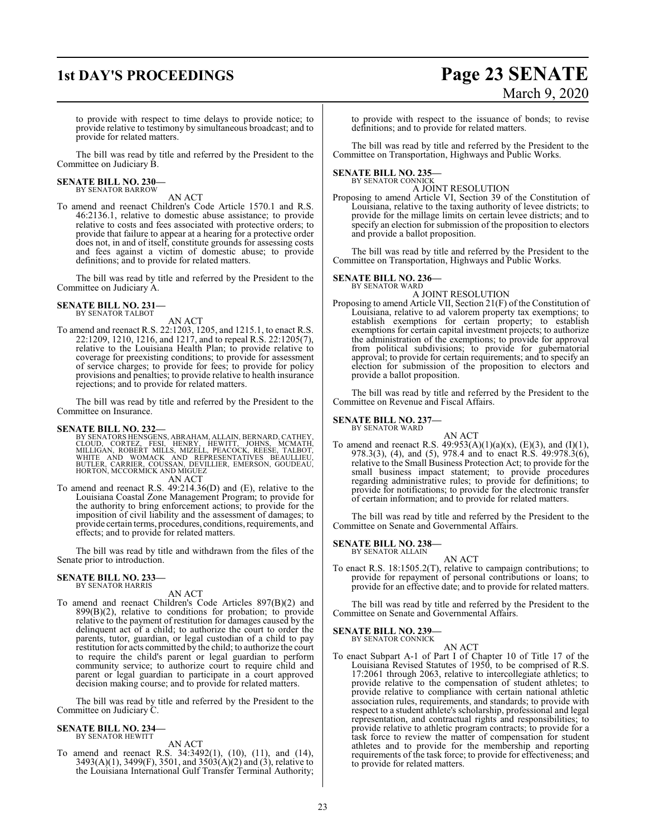## **1st DAY'S PROCEEDINGS Page 23 SENATE** March 9, 2020

to provide with respect to time delays to provide notice; to provide relative to testimony by simultaneous broadcast; and to provide for related matters.

The bill was read by title and referred by the President to the Committee on Judiciary B.

#### **SENATE BILL NO. 230—** BY SENATOR BARROW

AN ACT

To amend and reenact Children's Code Article 1570.1 and R.S. 46:2136.1, relative to domestic abuse assistance; to provide relative to costs and fees associated with protective orders; to provide that failure to appear at a hearing for a protective order does not, in and of itself, constitute grounds for assessing costs and fees against a victim of domestic abuse; to provide definitions; and to provide for related matters.

The bill was read by title and referred by the President to the Committee on Judiciary A.

## **SENATE BILL NO. 231—** BY SENATOR TALBOT

#### AN ACT

To amend and reenact R.S. 22:1203, 1205, and 1215.1, to enact R.S. 22:1209, 1210, 1216, and 1217, and to repeal R.S. 22:1205(7), relative to the Louisiana Health Plan; to provide relative to coverage for preexisting conditions; to provide for assessment of service charges; to provide for fees; to provide for policy provisions and penalties; to provide relative to health insurance rejections; and to provide for related matters.

The bill was read by title and referred by the President to the Committee on Insurance.

SENATE BILL NO. 232—<br>BY SENATORS HENSGENS, ABRAHAM, ALLAIN, BERNARD, CATHEY, CLOUD, CORTEZ, FESI, HENRY, HEWITT, JOHNS, MCMATH,<br>MILLIGAN, ROBERT MILLS, MIZELL, PEACOCK, REESE, TALBOT,<br>WHITE AND WOMACK AND REPRESENTATIVES B AN ACT

To amend and reenact R.S. 49:214.36(D) and (E), relative to the Louisiana Coastal Zone Management Program; to provide for the authority to bring enforcement actions; to provide for the imposition of civil liability and the assessment of damages; to provide certain terms, procedures, conditions, requirements, and effects; and to provide for related matters.

The bill was read by title and withdrawn from the files of the Senate prior to introduction.

#### **SENATE BILL NO. 233** BY SENATOR HARRIS

#### AN ACT

To amend and reenact Children's Code Articles 897(B)(2) and  $899(B)(2)$ , relative to conditions for probation; to provide relative to the payment of restitution for damages caused by the delinquent act of a child; to authorize the court to order the parents, tutor, guardian, or legal custodian of a child to pay restitution for acts committed by the child; to authorize the court to require the child's parent or legal guardian to perform community service; to authorize court to require child and parent or legal guardian to participate in a court approved decision making course; and to provide for related matters.

The bill was read by title and referred by the President to the Committee on Judiciary C.

### **SENATE BILL NO. 234—** BY SENATOR HEWITT

AN ACT

To amend and reenact R.S. 34:3492(1), (10), (11), and (14), 3493(A)(1), 3499(F), 3501, and 3503(A)(2) and (3), relative to the Louisiana International Gulf Transfer Terminal Authority; to provide with respect to the issuance of bonds; to revise definitions; and to provide for related matters.

The bill was read by title and referred by the President to the Committee on Transportation, Highways and Public Works.

### **SENATE BILL NO. 235—** BY SENATOR CONNICK

A JOINT RESOLUTION

Proposing to amend Article VI, Section 39 of the Constitution of Louisiana, relative to the taxing authority of levee districts; to provide for the millage limits on certain levee districts; and to specify an election for submission of the proposition to electors and provide a ballot proposition.

The bill was read by title and referred by the President to the Committee on Transportation, Highways and Public Works.

#### **SENATE BILL NO. 236—**

BY SENATOR WARD A JOINT RESOLUTION

Proposing to amend Article VII, Section 21(F) of the Constitution of Louisiana, relative to ad valorem property tax exemptions; to establish exemptions for certain property; to establish exemptions for certain capital investment projects; to authorize the administration of the exemptions; to provide for approval from political subdivisions; to provide for gubernatorial approval; to provide for certain requirements; and to specify an election for submission of the proposition to electors and provide a ballot proposition.

The bill was read by title and referred by the President to the Committee on Revenue and Fiscal Affairs.

#### **SENATE BILL NO. 237—** BY SENATOR WARD

AN ACT To amend and reenact R.S.  $49:953(A)(1)(a)(x)$ , (E)(3), and (I)(1), 978.3(3), (4), and (5), 978.4 and to enact R.S. 49:978.3(6), relative to the Small Business Protection Act; to provide for the small business impact statement; to provide procedures regarding administrative rules; to provide for definitions; to provide for notifications; to provide for the electronic transfer of certain information; and to provide for related matters.

The bill was read by title and referred by the President to the Committee on Senate and Governmental Affairs.

**SENATE BILL NO. 238—** BY SENATOR ALLAIN

#### AN ACT

To enact R.S. 18:1505.2(T), relative to campaign contributions; to provide for repayment of personal contributions or loans; to provide for an effective date; and to provide for related matters.

The bill was read by title and referred by the President to the Committee on Senate and Governmental Affairs.

#### **SENATE BILL NO. 239—**

BY SENATOR CONNICK AN ACT

To enact Subpart A-1 of Part I of Chapter 10 of Title 17 of the Louisiana Revised Statutes of 1950, to be comprised of R.S. 17:2061 through 2063, relative to intercollegiate athletics; to provide relative to the compensation of student athletes; to provide relative to compliance with certain national athletic association rules, requirements, and standards; to provide with respect to a student athlete's scholarship, professional and legal representation, and contractual rights and responsibilities; to provide relative to athletic program contracts; to provide for a task force to review the matter of compensation for student athletes and to provide for the membership and reporting requirements of the task force; to provide for effectiveness; and to provide for related matters.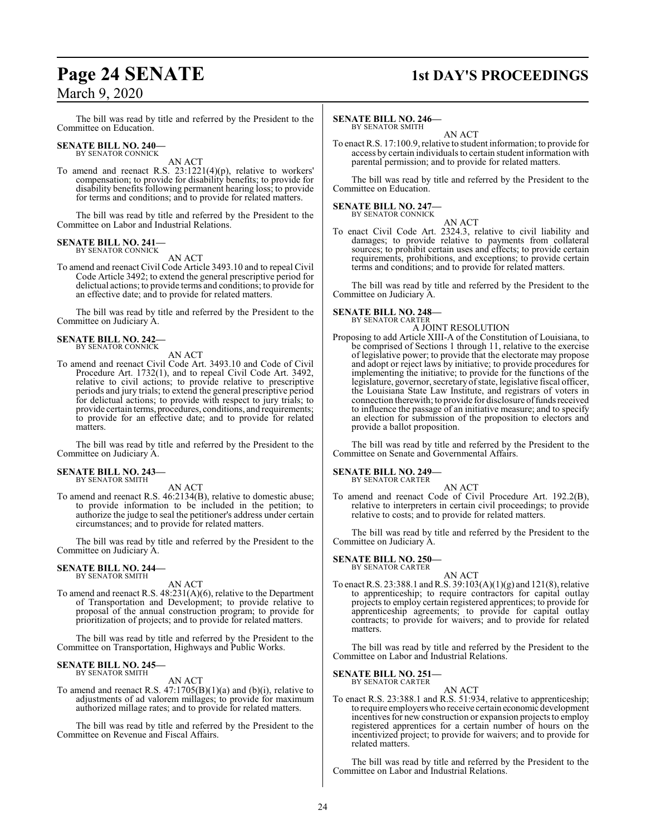## **Page 24 SENATE 1st DAY'S PROCEEDINGS**

The bill was read by title and referred by the President to the Committee on Education.

#### **SENATE BILL NO. 240—** BY SENATOR CONNICK

AN ACT

To amend and reenact R.S. 23:1221(4)(p), relative to workers' compensation; to provide for disability benefits; to provide for disability benefits following permanent hearing loss; to provide for terms and conditions; and to provide for related matters.

The bill was read by title and referred by the President to the Committee on Labor and Industrial Relations.

#### **SENATE BILL NO. 241—** BY SENATOR CONNICK

AN ACT

To amend and reenact Civil Code Article 3493.10 and to repeal Civil Code Article 3492; to extend the general prescriptive period for delictual actions; to provide terms and conditions; to provide for an effective date; and to provide for related matters.

The bill was read by title and referred by the President to the Committee on Judiciary A.

#### **SENATE BILL NO. 242—** BY SENATOR CONNICK

AN ACT

To amend and reenact Civil Code Art. 3493.10 and Code of Civil Procedure Art. 1732(1), and to repeal Civil Code Art. 3492, relative to civil actions; to provide relative to prescriptive periods and jury trials; to extend the general prescriptive period for delictual actions; to provide with respect to jury trials; to provide certain terms, procedures, conditions, and requirements; to provide for an effective date; and to provide for related matters.

The bill was read by title and referred by the President to the Committee on Judiciary A.

#### **SENATE BILL NO. 243—** BY SENATOR SMITH

AN ACT

To amend and reenact R.S. 46:2134(B), relative to domestic abuse; to provide information to be included in the petition; to authorize the judge to seal the petitioner's address under certain circumstances; and to provide for related matters.

The bill was read by title and referred by the President to the Committee on Judiciary A.

## **SENATE BILL NO. 244—** BY SENATOR SMITH

AN ACT

To amend and reenact R.S. 48:231(A)(6), relative to the Department of Transportation and Development; to provide relative to proposal of the annual construction program; to provide for prioritization of projects; and to provide for related matters.

The bill was read by title and referred by the President to the Committee on Transportation, Highways and Public Works.

#### **SENATE BILL NO. 245—** BY SENATOR SMITH

AN ACT

To amend and reenact R.S.  $47:1705(B)(1)(a)$  and (b)(i), relative to adjustments of ad valorem millages; to provide for maximum authorized millage rates; and to provide for related matters.

The bill was read by title and referred by the President to the Committee on Revenue and Fiscal Affairs.

### **SENATE BILL NO. 246—**

BY SENATOR SMITH AN ACT

To enact R.S. 17:100.9, relative to student information; to provide for access by certain individuals to certain student information with parental permission; and to provide for related matters.

The bill was read by title and referred by the President to the Committee on Education.

## **SENATE BILL NO. 247—** BY SENATOR CONNICK

AN ACT

To enact Civil Code Art. 2324.3, relative to civil liability and damages; to provide relative to payments from collateral sources; to prohibit certain uses and effects; to provide certain requirements, prohibitions, and exceptions; to provide certain terms and conditions; and to provide for related matters.

The bill was read by title and referred by the President to the Committee on Judiciary A.

### **SENATE BILL NO. 248—** BY SENATOR CARTER

A JOINT RESOLUTION

Proposing to add Article XIII-A of the Constitution of Louisiana, to be comprised of Sections 1 through 11, relative to the exercise of legislative power; to provide that the electorate may propose and adopt or reject laws by initiative; to provide procedures for implementing the initiative; to provide for the functions of the legislature, governor, secretary of state, legislative fiscal officer, the Louisiana State Law Institute, and registrars of voters in connection therewith; to provide for disclosure of funds received to influence the passage of an initiative measure; and to specify an election for submission of the proposition to electors and provide a ballot proposition.

The bill was read by title and referred by the President to the Committee on Senate and Governmental Affairs.

#### **SENATE BILL NO. 249—** BY SENATOR CARTER

AN ACT

To amend and reenact Code of Civil Procedure Art. 192.2(B), relative to interpreters in certain civil proceedings; to provide relative to costs; and to provide for related matters.

The bill was read by title and referred by the President to the Committee on Judiciary A.

#### **SENATE BILL NO. 250—** BY SENATOR CARTER

AN ACT

To enact R.S. 23:388.1 andR.S. 39:103(A)(1)(g) and 121(8), relative to apprenticeship; to require contractors for capital outlay projects to employ certain registered apprentices; to provide for apprenticeship agreements; to provide for capital outlay contracts; to provide for waivers; and to provide for related matters.

The bill was read by title and referred by the President to the Committee on Labor and Industrial Relations.

#### **SENATE BILL NO. 251—** BY SENATOR CARTER

AN ACT

To enact R.S. 23:388.1 and R.S. 51:934, relative to apprenticeship; to require employers who receive certain economic development incentives for new construction or expansion projects to employ registered apprentices for a certain number of hours on the incentivized project; to provide for waivers; and to provide for related matters.

The bill was read by title and referred by the President to the Committee on Labor and Industrial Relations.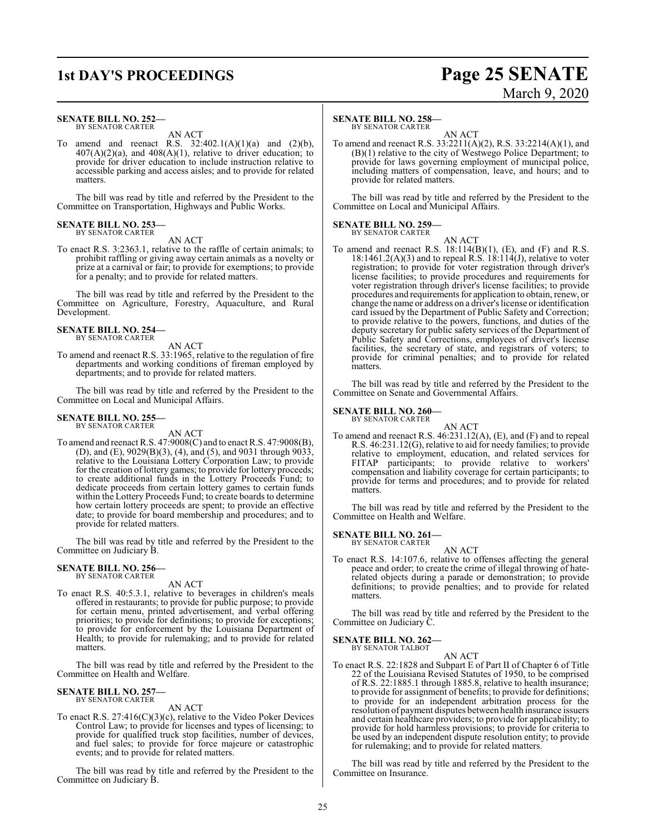### **1st DAY'S PROCEEDINGS Page 25 SENATE**

#### **SENATE BILL NO. 252—** BY SENATOR CARTER

AN ACT

To amend and reenact R.S.  $32:402.1(A)(1)(a)$  and  $(2)(b)$ ,  $407(A)(2)(a)$ , and  $408(A)(1)$ , relative to driver education; to provide for driver education to include instruction relative to accessible parking and access aisles; and to provide for related matters.

The bill was read by title and referred by the President to the Committee on Transportation, Highways and Public Works.

#### **SENATE BILL NO. 253—** BY SENATOR CARTER

AN ACT

To enact R.S. 3:2363.1, relative to the raffle of certain animals; to prohibit raffling or giving away certain animals as a novelty or prize at a carnival or fair; to provide for exemptions; to provide for a penalty; and to provide for related matters.

The bill was read by title and referred by the President to the Committee on Agriculture, Forestry, Aquaculture, and Rural Development.

#### **SENATE BILL NO. 254—** BY SENATOR CARTER

AN ACT To amend and reenact R.S. 33:1965, relative to the regulation of fire departments and working conditions of fireman employed by departments; and to provide for related matters.

The bill was read by title and referred by the President to the Committee on Local and Municipal Affairs.

#### **SENATE BILL NO. 255—** BY SENATOR CARTER

AN ACT

To amend and reenact R.S. 47:9008(C) and to enact R.S. 47:9008(B), (D), and (E), 9029(B)(3), (4), and (5), and 9031 through 9033, relative to the Louisiana Lottery Corporation Law; to provide for the creation of lottery games; to provide for lottery proceeds; to create additional funds in the Lottery Proceeds Fund; to dedicate proceeds from certain lottery games to certain funds within the Lottery Proceeds Fund; to create boards to determine how certain lottery proceeds are spent; to provide an effective date; to provide for board membership and procedures; and to provide for related matters.

The bill was read by title and referred by the President to the Committee on Judiciary B.

### **SENATE BILL NO. 256—** BY SENATOR CARTER

AN ACT

To enact R.S. 40:5.3.1, relative to beverages in children's meals offered in restaurants; to provide for public purpose; to provide for certain menu, printed advertisement, and verbal offering priorities; to provide for definitions; to provide for exceptions; to provide for enforcement by the Louisiana Department of Health; to provide for rulemaking; and to provide for related matters.

The bill was read by title and referred by the President to the Committee on Health and Welfare.

#### **SENATE BILL NO. 257—** BY SENATOR CARTER

AN ACT

To enact R.S. 27:416(C)(3)(c), relative to the Video Poker Devices Control Law; to provide for licenses and types of licensing; to provide for qualified truck stop facilities, number of devices, and fuel sales; to provide for force majeure or catastrophic events; and to provide for related matters.

The bill was read by title and referred by the President to the Committee on Judiciary B.

#### **SENATE BILL NO. 258—**

BY SENATOR CARTER

AN ACT To amend and reenact R.S. 33:2211(A)(2), R.S. 33:2214(A)(1), and (B)(1) relative to the city of Westwego Police Department; to provide for laws governing employment of municipal police, including matters of compensation, leave, and hours; and to provide for related matters.

The bill was read by title and referred by the President to the Committee on Local and Municipal Affairs.

#### **SENATE BILL NO. 259—** BY SENATOR CARTER

AN ACT

To amend and reenact R.S.  $18:114(B)(1)$ , (E), and (F) and R.S.  $18:1461.2(A)(3)$  and to repeal R.S.  $18:114(J)$ , relative to voter registration; to provide for voter registration through driver's license facilities; to provide procedures and requirements for voter registration through driver's license facilities; to provide procedures and requirements for application to obtain, renew, or change the name or address on a driver's license or identification card issued by the Department of Public Safety and Correction; to provide relative to the powers, functions, and duties of the deputy secretary for public safety services of the Department of Public Safety and Corrections, employees of driver's license facilities, the secretary of state, and registrars of voters; to provide for criminal penalties; and to provide for related matters.

The bill was read by title and referred by the President to the Committee on Senate and Governmental Affairs.

#### **SENATE BILL NO. 260—**

BY SENATOR CARTER

AN ACT To amend and reenact R.S. 46:231.12(A), (E), and (F) and to repeal R.S. 46:231.12(G), relative to aid for needy families; to provide relative to employment, education, and related services for FITAP participants; to provide relative to workers' compensation and liability coverage for certain participants; to provide for terms and procedures; and to provide for related matters.

The bill was read by title and referred by the President to the Committee on Health and Welfare.

#### **SENATE BILL NO. 261—** BY SENATOR CARTER

AN ACT

To enact R.S. 14:107.6, relative to offenses affecting the general peace and order; to create the crime of illegal throwing of haterelated objects during a parade or demonstration; to provide definitions; to provide penalties; and to provide for related matters.

The bill was read by title and referred by the President to the Committee on Judiciary C.

#### **SENATE BILL NO. 262—** BY SENATOR TALBOT

AN ACT

To enact R.S. 22:1828 and Subpart E of Part II of Chapter 6 of Title 22 of the Louisiana Revised Statutes of 1950, to be comprised of R.S. 22:1885.1 through 1885.8, relative to health insurance; to provide for assignment of benefits; to provide for definitions; to provide for an independent arbitration process for the resolution of payment disputes between health insurance issuers and certain healthcare providers; to provide for applicability; to provide for hold harmless provisions; to provide for criteria to be used by an independent dispute resolution entity; to provide for rulemaking; and to provide for related matters.

The bill was read by title and referred by the President to the Committee on Insurance.

# March 9, 2020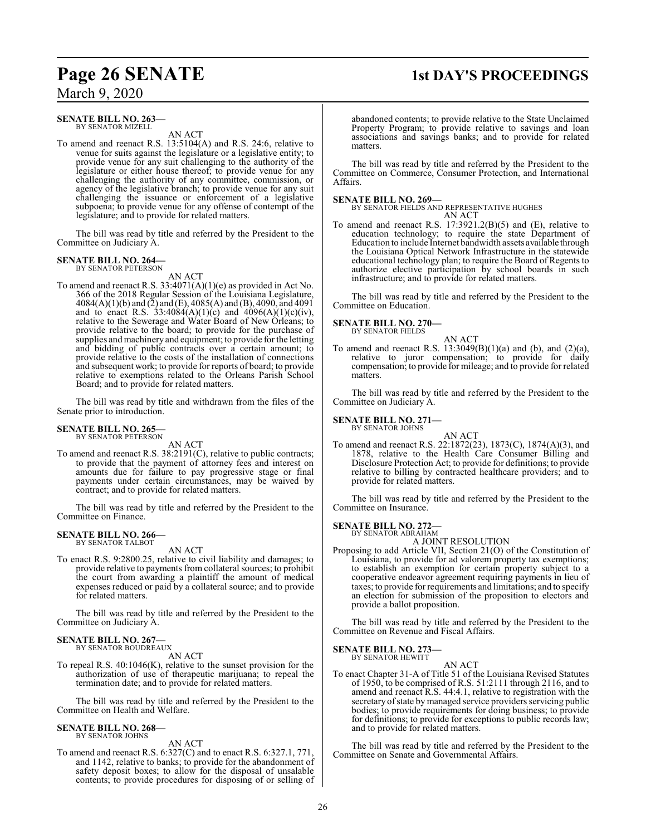### **Page 26 SENATE 1st DAY'S PROCEEDINGS**

March 9, 2020

#### **SENATE BILL NO. 263—** BY SENATOR MIZELL

AN ACT

To amend and reenact R.S. 13:5104(A) and R.S. 24:6, relative to venue for suits against the legislature or a legislative entity; to provide venue for any suit challenging to the authority of the legislature or either house thereof; to provide venue for any challenging the authority of any committee, commission, or agency of the legislative branch; to provide venue for any suit challenging the issuance or enforcement of a legislative subpoena; to provide venue for any offense of contempt of the legislature; and to provide for related matters.

The bill was read by title and referred by the President to the Committee on Judiciary A.

### **SENATE BILL NO. 264—**

BY SENATOR PETERSON

AN ACT To amend and reenact R.S. 33:4071(A)(1)(e) as provided in Act No. 366 of the 2018 Regular Session of the Louisiana Legislature, 4084(A)(1)(b) and (2) and (E), 4085(A) and (B), 4090, and 4091 and to enact R.S.  $33:4084(A)(1)(c)$  and  $4096(A)(1)(c)(iv)$ , relative to the Sewerage and Water Board of New Orleans; to provide relative to the board; to provide for the purchase of supplies and machinery and equipment; to provide for the letting and bidding of public contracts over a certain amount; to provide relative to the costs of the installation of connections and subsequent work; to provide for reports of board; to provide relative to exemptions related to the Orleans Parish School Board; and to provide for related matters.

The bill was read by title and withdrawn from the files of the Senate prior to introduction.

### **SENATE BILL NO. 265—** BY SENATOR PETERSON

AN ACT

To amend and reenact R.S. 38:2191(C), relative to public contracts; to provide that the payment of attorney fees and interest on amounts due for failure to pay progressive stage or final payments under certain circumstances, may be waived by contract; and to provide for related matters.

The bill was read by title and referred by the President to the Committee on Finance.

#### **SENATE BILL NO. 266—** BY SENATOR TALBOT

AN ACT

To enact R.S. 9:2800.25, relative to civil liability and damages; to provide relative to payments from collateral sources; to prohibit the court from awarding a plaintiff the amount of medical expenses reduced or paid by a collateral source; and to provide for related matters.

The bill was read by title and referred by the President to the Committee on Judiciary A.

#### **SENATE BILL NO. 267—** BY SENATOR BOUDREAUX

AN ACT

To repeal R.S. 40:1046(K), relative to the sunset provision for the authorization of use of therapeutic marijuana; to repeal the termination date; and to provide for related matters.

The bill was read by title and referred by the President to the Committee on Health and Welfare.

#### **SENATE BILL NO. 268—** BY SENATOR JOHNS

AN ACT

To amend and reenact R.S. 6:327(C) and to enact R.S. 6:327.1, 771, and 1142, relative to banks; to provide for the abandonment of safety deposit boxes; to allow for the disposal of unsalable contents; to provide procedures for disposing of or selling of

abandoned contents; to provide relative to the State Unclaimed Property Program; to provide relative to savings and loan associations and savings banks; and to provide for related matters.

The bill was read by title and referred by the President to the Committee on Commerce, Consumer Protection, and International Affairs.

#### **SENATE BILL NO. 269—**

BY SENATOR FIELDS AND REPRESENTATIVE HUGHES AN ACT

To amend and reenact R.S. 17:3921.2(B)(5) and (E), relative to education technology; to require the state Department of Education to include Internet bandwidth assets available through the Louisiana Optical Network Infrastructure in the statewide educational technology plan; to require the Board of Regents to authorize elective participation by school boards in such infrastructure; and to provide for related matters.

The bill was read by title and referred by the President to the Committee on Education.

### **SENATE BILL NO. 270—**

BY SENATOR FIELDS

AN ACT To amend and reenact R.S.  $13:3049(B)(1)(a)$  and (b), and (2)(a), relative to juror compensation; to provide for daily compensation; to provide for mileage; and to provide for related matters.

The bill was read by title and referred by the President to the Committee on Judiciary A.

#### **SENATE BILL NO. 271—**

BY SENATOR JOHNS

AN ACT To amend and reenact R.S. 22:1872(23), 1873(C), 1874(A)(3), and 1878, relative to the Health Care Consumer Billing and Disclosure Protection Act; to provide for definitions; to provide relative to billing by contracted healthcare providers; and to provide for related matters.

The bill was read by title and referred by the President to the Committee on Insurance.

**SENATE BILL NO. 272—**

BY SENATOR ABRAHAM A JOINT RESOLUTION

Proposing to add Article VII, Section 21(O) of the Constitution of Louisiana, to provide for ad valorem property tax exemptions; to establish an exemption for certain property subject to a cooperative endeavor agreement requiring payments in lieu of taxes; to provide for requirements and limitations; and to specify an election for submission of the proposition to electors and provide a ballot proposition.

The bill was read by title and referred by the President to the Committee on Revenue and Fiscal Affairs.

**SENATE BILL NO. 273—** BY SENATOR HEWITT

AN ACT

To enact Chapter 31-A of Title 51 of the Louisiana Revised Statutes of 1950, to be comprised of R.S. 51:2111 through 2116, and to amend and reenact R.S. 44:4.1, relative to registration with the secretary of state by managed service providers servicing public bodies; to provide requirements for doing business; to provide for definitions; to provide for exceptions to public records law; and to provide for related matters.

The bill was read by title and referred by the President to the Committee on Senate and Governmental Affairs.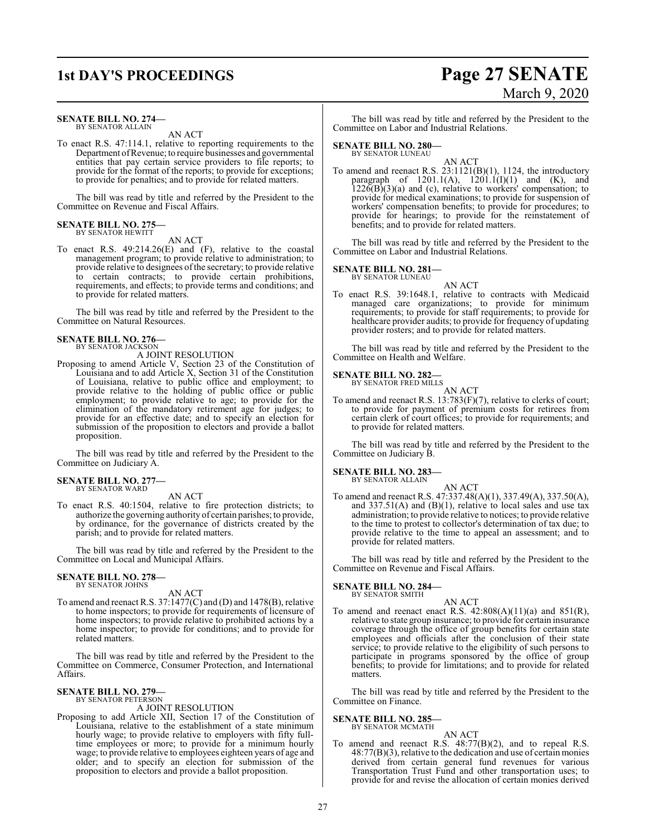#### **SENATE BILL NO. 274—** BY SENATOR ALLAIN

AN ACT

To enact R.S. 47:114.1, relative to reporting requirements to the Department ofRevenue; to require businesses and governmental entities that pay certain service providers to file reports; to provide for the format of the reports; to provide for exceptions; to provide for penalties; and to provide for related matters.

The bill was read by title and referred by the President to the Committee on Revenue and Fiscal Affairs.

#### **SENATE BILL NO. 275—** BY SENATOR HEWITT

AN ACT

To enact R.S. 49:214.26(E) and (F), relative to the coastal management program; to provide relative to administration; to provide relative to designees ofthe secretary; to provide relative to certain contracts; to provide certain prohibitions, requirements, and effects; to provide terms and conditions; and to provide for related matters.

The bill was read by title and referred by the President to the Committee on Natural Resources.

#### **SENATE BILL NO. 276—** BY SENATOR JACKSON

A JOINT RESOLUTION

Proposing to amend Article V, Section 23 of the Constitution of Louisiana and to add Article X, Section 31 of the Constitution of Louisiana, relative to public office and employment; to provide relative to the holding of public office or public employment; to provide relative to age; to provide for the elimination of the mandatory retirement age for judges; to provide for an effective date; and to specify an election for submission of the proposition to electors and provide a ballot proposition.

The bill was read by title and referred by the President to the Committee on Judiciary A.

#### **SENATE BILL NO. 277—** BY SENATOR WARD

AN ACT

To enact R.S. 40:1504, relative to fire protection districts; to authorize the governing authority of certain parishes; to provide, by ordinance, for the governance of districts created by the parish; and to provide for related matters.

The bill was read by title and referred by the President to the Committee on Local and Municipal Affairs.

#### **SENATE BILL NO. 278—** BY SENATOR JOHNS

AN ACT

To amend and reenact R.S. 37:1477(C) and (D) and 1478(B), relative to home inspectors; to provide for requirements of licensure of home inspectors; to provide relative to prohibited actions by a home inspector; to provide for conditions; and to provide for related matters.

The bill was read by title and referred by the President to the Committee on Commerce, Consumer Protection, and International Affairs.

#### **SENATE BILL NO. 279—** BY SENATOR PETERSON

#### A JOINT RESOLUTION

Proposing to add Article XII, Section 17 of the Constitution of Louisiana, relative to the establishment of a state minimum hourly wage; to provide relative to employers with fifty fulltime employees or more; to provide for a minimum hourly wage; to provide relative to employees eighteen years of age and older; and to specify an election for submission of the proposition to electors and provide a ballot proposition.

## **1st DAY'S PROCEEDINGS Page 27 SENATE** March 9, 2020

The bill was read by title and referred by the President to the Committee on Labor and Industrial Relations.

#### **SENATE BILL NO. 280—** BY SENATOR LUNEAU

AN ACT To amend and reenact R.S. 23:1121(B)(1), 1124, the introductory paragraph of  $1201.1(A)$ ,  $1201.1(I)(1)$  and  $(K)$ , and  $1226(B)(3)(a)$  and (c), relative to workers' compensation; to provide for medical examinations; to provide for suspension of workers' compensation benefits; to provide for procedures; to provide for hearings; to provide for the reinstatement of benefits; and to provide for related matters.

The bill was read by title and referred by the President to the Committee on Labor and Industrial Relations.

#### **SENATE BILL NO. 281—**

BY SENATOR LUNEAU AN ACT

To enact R.S. 39:1648.1, relative to contracts with Medicaid managed care organizations; to provide for minimum requirements; to provide for staff requirements; to provide for healthcare provider audits; to provide for frequency of updating provider rosters; and to provide for related matters.

The bill was read by title and referred by the President to the Committee on Health and Welfare.

#### **SENATE BILL NO. 282—**

BY SENATOR FRED MILLS AN ACT

To amend and reenact R.S. 13:783(F)(7), relative to clerks of court; to provide for payment of premium costs for retirees from certain clerk of court offices; to provide for requirements; and to provide for related matters.

The bill was read by title and referred by the President to the Committee on Judiciary B.

**SENATE BILL NO. 283—** BY SENATOR ALLAIN

AN ACT

To amend and reenact R.S. 47:337.48(A)(1), 337.49(A), 337.50(A), and  $337.51(A)$  and  $(B)(1)$ , relative to local sales and use tax administration; to provide relative to notices; to provide relative to the time to protest to collector's determination of tax due; to provide relative to the time to appeal an assessment; and to provide for related matters.

The bill was read by title and referred by the President to the Committee on Revenue and Fiscal Affairs.

#### **SENATE BILL NO. 284—** BY SENATOR SMITH

- AN ACT
- To amend and reenact enact R.S.  $42:808(A)(11)(a)$  and  $851(R)$ , relative to state group insurance; to provide for certain insurance coverage through the office of group benefits for certain state employees and officials after the conclusion of their state service; to provide relative to the eligibility of such persons to participate in programs sponsored by the office of group benefits; to provide for limitations; and to provide for related matters.

The bill was read by title and referred by the President to the Committee on Finance.

## **SENATE BILL NO. 285—** BY SENATOR MCMATH

### AN ACT

To amend and reenact R.S. 48:77(B)(2), and to repeal R.S. 48:77(B)(3), relative to the dedication and use of certain monies derived from certain general fund revenues for various Transportation Trust Fund and other transportation uses; to provide for and revise the allocation of certain monies derived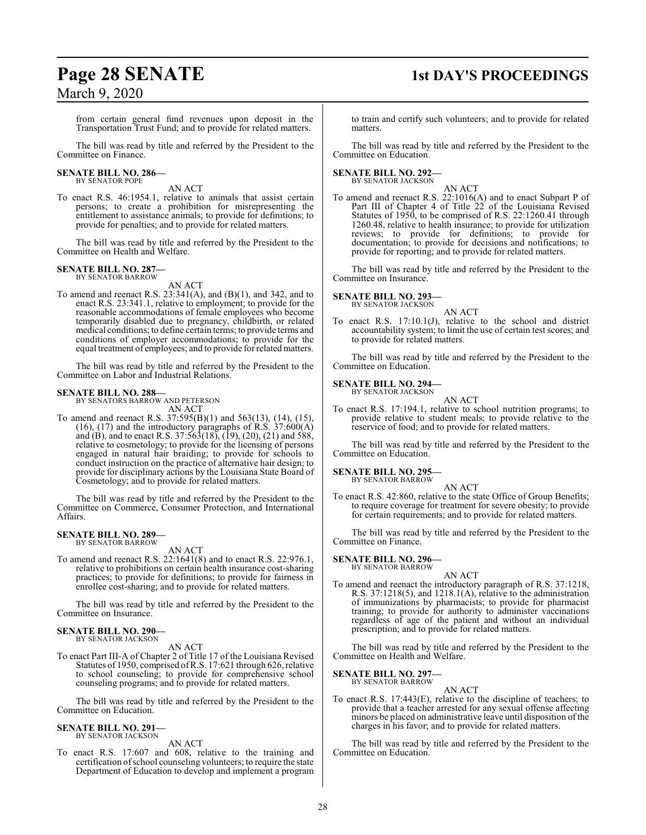### **Page 28 SENATE 1st DAY'S PROCEEDINGS**

March 9, 2020

from certain general fund revenues upon deposit in the Transportation Trust Fund; and to provide for related matters.

The bill was read by title and referred by the President to the Committee on Finance.

### **SENATE BILL NO. 286—** BY SENATOR POPE

AN ACT

To enact R.S. 46:1954.1, relative to animals that assist certain persons; to create a prohibition for misrepresenting the entitlement to assistance animals; to provide for definitions; to provide for penalties; and to provide for related matters.

The bill was read by title and referred by the President to the Committee on Health and Welfare.

#### **SENATE BILL NO. 287—** BY SENATOR BARROW

AN ACT

To amend and reenact R.S.  $23:341(A)$ , and  $(B)(1)$ , and  $342$ , and to enact R.S. 23:341.1, relative to employment; to provide for the reasonable accommodations of female employees who become temporarily disabled due to pregnancy, childbirth, or related medical conditions; to define certain terms; to provide terms and conditions of employer accommodations; to provide for the equal treatment of employees; and to provide forrelated matters.

The bill was read by title and referred by the President to the Committee on Labor and Industrial Relations.

#### **SENATE BILL NO. 288—**

BY SENATORS BARROW AND PETERSON AN ACT

To amend and reenact R.S. 37:595(B)(1) and 563(13), (14), (15),  $(16)$ ,  $(17)$  and the introductory paragraphs of R.S. 37:600 $(A)$ and (B), and to enact R.S. 37:563(18), (19), (20), (21) and 588, relative to cosmetology; to provide for the licensing of persons engaged in natural hair braiding; to provide for schools to conduct instruction on the practice of alternative hair design; to provide for disciplinary actions by the Louisiana State Board of Cosmetology; and to provide for related matters.

The bill was read by title and referred by the President to the Committee on Commerce, Consumer Protection, and International Affairs.

#### **SENATE BILL NO. 289—** BY SENATOR BARROW

AN ACT

To amend and reenact R.S. 22:1641(8) and to enact R.S. 22:976.1, relative to prohibitions on certain health insurance cost-sharing practices; to provide for definitions; to provide for fairness in enrollee cost-sharing; and to provide for related matters.

The bill was read by title and referred by the President to the Committee on Insurance.

#### **SENATE BILL NO. 290—** BY SENATOR JACKSON

AN ACT

To enact Part III-A of Chapter 2 of Title 17 of the Louisiana Revised Statutes of 1950, comprised ofR.S. 17:621 through 626, relative to school counseling; to provide for comprehensive school counseling programs; and to provide for related matters.

The bill was read by title and referred by the President to the Committee on Education.

#### **SENATE BILL NO. 291—** BY SENATOR JACKSON

AN ACT

To enact R.S. 17:607 and 608, relative to the training and certification ofschool counseling volunteers; to require the state Department of Education to develop and implement a program

to train and certify such volunteers; and to provide for related matters.

The bill was read by title and referred by the President to the Committee on Education.

## **SENATE BILL NO. 292—** BY SENATOR JACKSON

AN ACT

To amend and reenact R.S. 22:1016(A) and to enact Subpart P of Part III of Chapter 4 of Title 22 of the Louisiana Revised Statutes of 1950, to be comprised of R.S. 22:1260.41 through 1260.48, relative to health insurance; to provide for utilization reviews; to provide for definitions; to provide for documentation; to provide for decisions and notifications; to provide for reporting; and to provide for related matters.

The bill was read by title and referred by the President to the Committee on Insurance.

**SENATE BILL NO. 293—** BY SENATOR JACKSON

AN ACT

To enact R.S. 17:10.1(J), relative to the school and district accountability system; to limit the use of certain test scores; and to provide for related matters.

The bill was read by title and referred by the President to the Committee on Education.

**SENATE BILL NO. 294—** BY SENATOR JACKSON

AN ACT

To enact R.S. 17:194.1, relative to school nutrition programs; to provide relative to student meals; to provide relative to the reservice of food; and to provide for related matters.

The bill was read by title and referred by the President to the Committee on Education.

**SENATE BILL NO. 295—** BY SENATOR BARROW

AN ACT

To enact R.S. 42:860, relative to the state Office of Group Benefits; to require coverage for treatment for severe obesity; to provide for certain requirements; and to provide for related matters.

The bill was read by title and referred by the President to the Committee on Finance.

**SENATE BILL NO. 296—** BY SENATOR BARROW

AN ACT

To amend and reenact the introductory paragraph of R.S. 37:1218, R.S. 37:1218(5), and 1218.1(A), relative to the administration of immunizations by pharmacists; to provide for pharmacist training; to provide for authority to administer vaccinations regardless of age of the patient and without an individual prescription; and to provide for related matters.

The bill was read by title and referred by the President to the Committee on Health and Welfare.

#### **SENATE BILL NO. 297—** BY SENATOR BARROW

AN ACT

To enact R.S. 17:443(E), relative to the discipline of teachers; to provide that a teacher arrested for any sexual offense affecting minors be placed on administrative leave until disposition ofthe charges in his favor; and to provide for related matters.

The bill was read by title and referred by the President to the Committee on Education.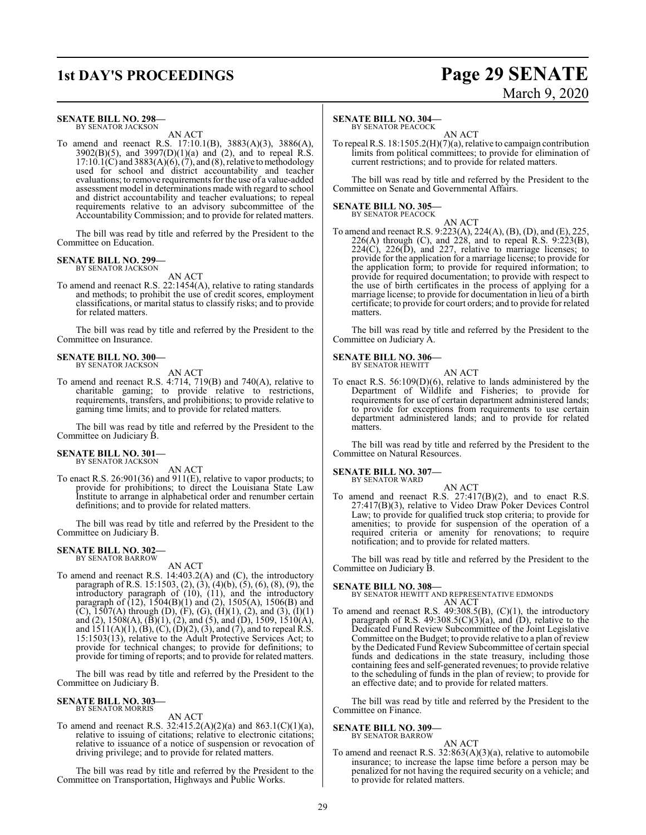#### **SENATE BILL NO. 298—**

BY SENATOR JACKSON AN ACT

To amend and reenact R.S. 17:10.1(B), 3883(A)(3), 3886(A),  $3902(B)(5)$ , and  $3997(D)(1)(a)$  and (2), and to repeal R.S.  $17:10.1(\text{C})$  and  $3883(\text{A})(6)$ ,  $(7)$ , and  $(8)$ , relative to methodology used for school and district accountability and teacher evaluations; to remove requirements for the use of a value-added assessment model in determinations made with regard to school and district accountability and teacher evaluations; to repeal requirements relative to an advisory subcommittee of the Accountability Commission; and to provide for related matters.

The bill was read by title and referred by the President to the Committee on Education.

#### **SENATE BILL NO. 299—**

BY SENATOR JACKSON AN ACT

To amend and reenact R.S. 22:1454(A), relative to rating standards and methods; to prohibit the use of credit scores, employment classifications, or marital status to classify risks; and to provide for related matters.

The bill was read by title and referred by the President to the Committee on Insurance.

### **SENATE BILL NO. 300—** BY SENATOR JACKSON

AN ACT

To amend and reenact R.S. 4:714, 719(B) and 740(A), relative to charitable gaming; to provide relative to restrictions, requirements, transfers, and prohibitions; to provide relative to gaming time limits; and to provide for related matters.

The bill was read by title and referred by the President to the Committee on Judiciary B.

#### **SENATE BILL NO. 301—** BY SENATOR JACKSON

AN ACT

To enact R.S. 26:901(36) and 911(E), relative to vapor products; to provide for prohibitions; to direct the Louisiana State Law Institute to arrange in alphabetical order and renumber certain definitions; and to provide for related matters.

The bill was read by title and referred by the President to the Committee on Judiciary B.

#### **SENATE BILL NO. 302—** BY SENATOR BARROW

AN ACT

To amend and reenact R.S. 14:403.2(A) and (C), the introductory paragraph of R.S. 15:1503, (2), (3), (4)(b), (5), (6), (8), (9), the introductory paragraph of (10), (11), and the introductory paragraph of (12), 1504(B)(1) and (2), 1505(A), 1506(B) and  $(C)$ , 1507(A) through (D),  $(F)$ ,  $(G)$ ,  $(H)(1)$ ,  $(2)$ , and  $(3)$ ,  $(1)(1)$ and (2), 1508(A), (B)(1), (2), and (5), and (D), 1509, 1510(A), and  $1511(A)(1), (B), (C), (D)(2), (3),$  and (7), and to repeal R.S. 15:1503(13), relative to the Adult Protective Services Act; to provide for technical changes; to provide for definitions; to provide for timing of reports; and to provide for related matters.

The bill was read by title and referred by the President to the Committee on Judiciary B.

#### **SENATE BILL NO. 303—** BY SENATOR MORRIS

AN ACT

To amend and reenact R.S.  $32:415.2(A)(2)(a)$  and  $863.1(C)(1)(a)$ , relative to issuing of citations; relative to electronic citations; relative to issuance of a notice of suspension or revocation of driving privilege; and to provide for related matters.

The bill was read by title and referred by the President to the Committee on Transportation, Highways and Public Works.

### **SENATE BILL NO. 304—**

BY SENATOR PEACOCK

AN ACT To repeal R.S. 18:1505.2(H)(7)(a), relative to campaign contribution limits from political committees; to provide for elimination of current restrictions; and to provide for related matters.

The bill was read by title and referred by the President to the Committee on Senate and Governmental Affairs.

### **SENATE BILL NO. 305—** BY SENATOR PEACOCK

AN ACT

To amend and reenact R.S. 9:223(A), 224(A), (B), (D), and (E), 225, 226(A) through (C), and 228, and to repeal R.S. 9:223(B),  $224(C)$ ,  $226(D)$ , and  $227$ , relative to marriage licenses; to provide for the application for a marriage license; to provide for the application form; to provide for required information; to provide for required documentation; to provide with respect to the use of birth certificates in the process of applying for a marriage license; to provide for documentation in lieu of a birth certificate; to provide for court orders; and to provide for related matters.

The bill was read by title and referred by the President to the Committee on Judiciary A.

### **SENATE BILL NO. 306—** BY SENATOR HEWITT

AN ACT To enact R.S. 56:109(D)(6), relative to lands administered by the Department of Wildlife and Fisheries; to provide for requirements for use of certain department administered lands; to provide for exceptions from requirements to use certain department administered lands; and to provide for related matters.

The bill was read by title and referred by the President to the Committee on Natural Resources.

#### **SENATE BILL NO. 307—**

BY SENATOR WARD

AN ACT To amend and reenact R.S. 27:417(B)(2), and to enact R.S. 27:417(B)(3), relative to Video Draw Poker Devices Control Law; to provide for qualified truck stop criteria; to provide for amenities; to provide for suspension of the operation of a required criteria or amenity for renovations; to require notification; and to provide for related matters.

The bill was read by title and referred by the President to the Committee on Judiciary B.

#### **SENATE BILL NO. 308—**

BY SENATOR HEWITT AND REPRESENTATIVE EDMONDS AN ACT

To amend and reenact R.S.  $49:308.5(B)$ ,  $(C)(1)$ , the introductory paragraph of R.S.  $49:308.5(C)(3)(a)$ , and  $(D)$ , relative to the Dedicated Fund Review Subcommittee of the Joint Legislative Committee on the Budget; to provide relative to a plan ofreview by the Dedicated Fund Review Subcommittee of certain special funds and dedications in the state treasury, including those containing fees and self-generated revenues; to provide relative to the scheduling of funds in the plan of review; to provide for an effective date; and to provide for related matters.

The bill was read by title and referred by the President to the Committee on Finance.

#### **SENATE BILL NO. 309—**

BY SENATOR BARROW

AN ACT To amend and reenact R.S. 32:863(A)(3)(a), relative to automobile insurance; to increase the lapse time before a person may be penalized for not having the required security on a vehicle; and to provide for related matters.

### **1st DAY'S PROCEEDINGS Page 29 SENATE** March 9, 2020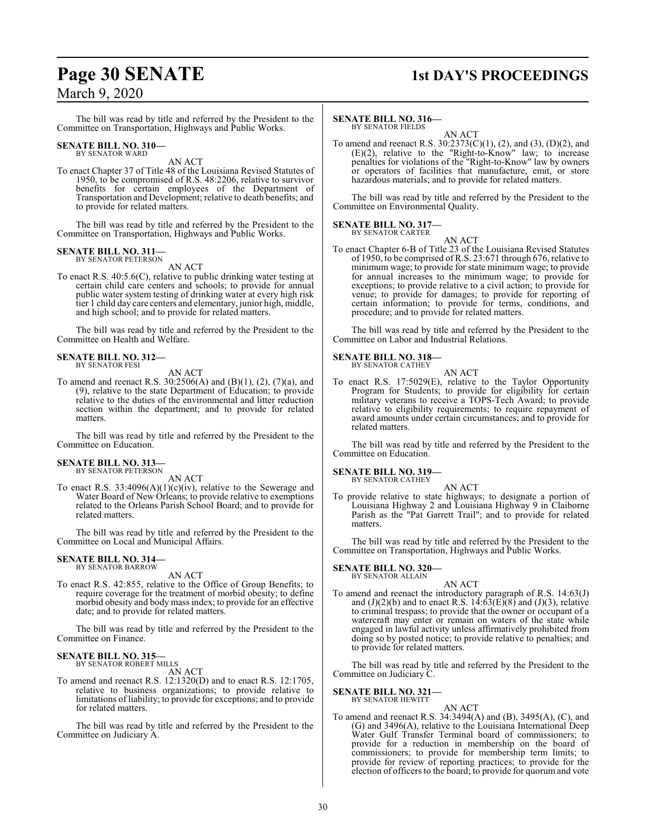## **Page 30 SENATE 1st DAY'S PROCEEDINGS**

### March 9, 2020

The bill was read by title and referred by the President to the Committee on Transportation, Highways and Public Works.

#### **SENATE BILL NO. 310—** BY SENATOR WARD

AN ACT

To enact Chapter 37 of Title 48 of the Louisiana Revised Statutes of 1950, to be compromised of R.S. 48:2206, relative to survivor benefits for certain employees of the Department of Transportation and Development; relative to death benefits; and to provide for related matters.

The bill was read by title and referred by the President to the Committee on Transportation, Highways and Public Works.

### **SENATE BILL NO. 311—** BY SENATOR PETERSON

AN ACT

To enact R.S. 40:5.6(C), relative to public drinking water testing at certain child care centers and schools; to provide for annual public water system testing of drinking water at every high risk tier 1 child day care centers and elementary, junior high, middle, and high school; and to provide for related matters.

The bill was read by title and referred by the President to the Committee on Health and Welfare.

#### **SENATE BILL NO. 312—** BY SENATOR FESI

AN ACT

To amend and reenact R.S. 30:2506(A) and (B)(1), (2), (7)(a), and (9), relative to the state Department of Education; to provide relative to the duties of the environmental and litter reduction section within the department; and to provide for related matters.

The bill was read by title and referred by the President to the Committee on Education.

## **SENATE BILL NO. 313—** BY SENATOR PETERSON

AN ACT

To enact R.S.  $33:4096(A)(1)(c)(iv)$ , relative to the Sewerage and Water Board of New Orleans; to provide relative to exemptions related to the Orleans Parish School Board; and to provide for related matters.

The bill was read by title and referred by the President to the Committee on Local and Municipal Affairs.

#### **SENATE BILL NO. 314—** BY SENATOR BARROW

AN ACT

To enact R.S. 42:855, relative to the Office of Group Benefits; to require coverage for the treatment of morbid obesity; to define morbid obesity and body mass index; to provide for an effective date; and to provide for related matters.

The bill was read by title and referred by the President to the Committee on Finance.

#### **SENATE BILL NO. 315—** BY SENATOR ROBERT MILLS

AN ACT

To amend and reenact R.S. 12:1320(D) and to enact R.S. 12:1705, relative to business organizations; to provide relative to limitations of liability; to provide for exceptions; and to provide for related matters.

The bill was read by title and referred by the President to the Committee on Judiciary A.

### **SENATE BILL NO. 316—**

BY SENATOR FIELDS AN ACT

To amend and reenact R.S. 30:2373(C)(1), (2), and (3), (D)(2), and  $(E)(2)$ , relative to the "Right-to-Know" law; to increase penalties for violations of the "Right-to-Know" law by owners or operators of facilities that manufacture, emit, or store hazardous materials; and to provide for related matters.

The bill was read by title and referred by the President to the Committee on Environmental Quality.

#### **SENATE BILL NO. 317—** BY SENATOR CARTER

AN ACT

To enact Chapter 6-B of Title 23 of the Louisiana Revised Statutes of 1950, to be comprised ofR.S. 23:671 through 676, relative to minimum wage; to provide for state minimum wage; to provide for annual increases to the minimum wage; to provide for exceptions; to provide relative to a civil action; to provide for venue; to provide for damages; to provide for reporting of certain information; to provide for terms, conditions, and procedure; and to provide for related matters.

The bill was read by title and referred by the President to the Committee on Labor and Industrial Relations.

### **SENATE BILL NO. 318—** BY SENATOR CATHEY

To enact R.S. 17:5029(E), relative to the Taylor Opportunity Program for Students; to provide for eligibility for certain military veterans to receive a TOPS-Tech Award; to provide relative to eligibility requirements; to require repayment of award amounts under certain circumstances; and to provide for related matters.

AN ACT

The bill was read by title and referred by the President to the Committee on Education.

**SENATE BILL NO. 319—** BY SENATOR CATHEY

AN ACT

To provide relative to state highways; to designate a portion of Louisiana Highway 2 and Louisiana Highway 9 in Claiborne Parish as the "Pat Garrett Trail"; and to provide for related matters.

The bill was read by title and referred by the President to the Committee on Transportation, Highways and Public Works.

### **SENATE BILL NO. 320—** BY SENATOR ALLAIN

AN ACT To amend and reenact the introductory paragraph of R.S. 14:63(J) and  $(J)(2)(b)$  and to enact R.S. 14:63 $(E)(8)$  and  $(J)(3)$ , relative to criminal trespass; to provide that the owner or occupant of a watercraft may enter or remain on waters of the state while engaged in lawful activity unless affirmatively prohibited from doing so by posted notice; to provide relative to penalties; and to provide for related matters.

The bill was read by title and referred by the President to the Committee on Judiciary C.

#### **SENATE BILL NO. 321—** BY SENATOR HEWITT

AN ACT

To amend and reenact R.S. 34:3494(A) and (B), 3495(A), (C), and (G) and 3496(A), relative to the Louisiana International Deep Water Gulf Transfer Terminal board of commissioners; to provide for a reduction in membership on the board of commissioners; to provide for membership term limits; to provide for review of reporting practices; to provide for the election of officers to the board; to provide for quorum and vote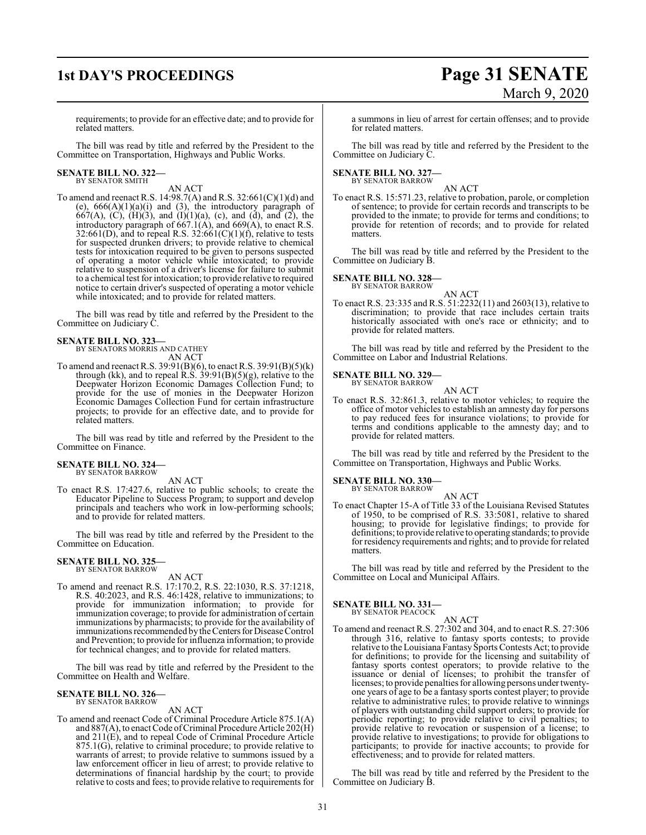## **1st DAY'S PROCEEDINGS Page 31 SENATE** March 9, 2020

requirements; to provide for an effective date; and to provide for related matters.

The bill was read by title and referred by the President to the Committee on Transportation, Highways and Public Works.

### **SENATE BILL NO. 322—** BY SENATOR SMITH

AN ACT

To amend and reenact R.S. 14:98.7(A) and R.S. 32:661(C)(1)(d) and (e),  $666(A)(1)(a)(i)$  and (3), the introductory paragraph of  $667(A)$ , (C), (H)(3), and (I)(1)(a), (c), and (d), and (2), the introductory paragraph of  $667.1(A)$ , and  $669(A)$ , to enact R.S. 32:661(D), and to repeal R.S. 32:661(C)(1)(f), relative to tests for suspected drunken drivers; to provide relative to chemical tests for intoxication required to be given to persons suspected of operating a motor vehicle while intoxicated; to provide relative to suspension of a driver's license for failure to submit to a chemical test forintoxication; to provide relative to required notice to certain driver's suspected of operating a motor vehicle while intoxicated; and to provide for related matters.

The bill was read by title and referred by the President to the Committee on Judiciary C.

## **SENATE BILL NO. 323—** BY SENATORS MORRIS AND CATHEY

AN ACT

To amend and reenact R.S. 39:91(B)(6), to enact R.S. 39:91(B)(5)(k) through (kk), and to repeal R.S. 39:91(B)(5)(g), relative to the Deepwater Horizon Economic Damages Collection Fund; to provide for the use of monies in the Deepwater Horizon Economic Damages Collection Fund for certain infrastructure projects; to provide for an effective date, and to provide for related matters.

The bill was read by title and referred by the President to the Committee on Finance.

#### **SENATE BILL NO. 324—** BY SENATOR BARROW

AN ACT

To enact R.S. 17:427.6, relative to public schools; to create the Educator Pipeline to Success Program; to support and develop principals and teachers who work in low-performing schools; and to provide for related matters.

The bill was read by title and referred by the President to the Committee on Education.

#### **SENATE BILL NO. 325—** BY SENATOR BARROW

AN ACT

To amend and reenact R.S. 17:170.2, R.S. 22:1030, R.S. 37:1218, R.S. 40:2023, and R.S. 46:1428, relative to immunizations; to provide for immunization information; to provide for immunization coverage; to provide for administration of certain immunizations by pharmacists; to provide for the availability of immunizations recommended by the Centers for Disease Control and Prevention; to provide for influenza information; to provide for technical changes; and to provide for related matters.

The bill was read by title and referred by the President to the Committee on Health and Welfare.

#### **SENATE BILL NO. 326—** BY SENATOR BARROW

AN ACT

To amend and reenact Code of Criminal Procedure Article 875.1(A) and  $887(A)$ , to enact Code of Criminal Procedure Article 202(H) and 211(E), and to repeal Code of Criminal Procedure Article 875.1(G), relative to criminal procedure; to provide relative to warrants of arrest; to provide relative to summons issued by a law enforcement officer in lieu of arrest; to provide relative to determinations of financial hardship by the court; to provide relative to costs and fees; to provide relative to requirements for a summons in lieu of arrest for certain offenses; and to provide for related matters.

The bill was read by title and referred by the President to the Committee on Judiciary C.

## **SENATE BILL NO. 327—** BY SENATOR BARROW

AN ACT

To enact R.S. 15:571.23, relative to probation, parole, or completion of sentence; to provide for certain records and transcripts to be provided to the inmate; to provide for terms and conditions; to provide for retention of records; and to provide for related matters.

The bill was read by title and referred by the President to the Committee on Judiciary B.

**SENATE BILL NO. 328—**

BY SENATOR BARROW AN ACT

To enact R.S. 23:335 and R.S. 51:2232(11) and 2603(13), relative to discrimination; to provide that race includes certain traits historically associated with one's race or ethnicity; and to provide for related matters.

The bill was read by title and referred by the President to the Committee on Labor and Industrial Relations.

#### **SENATE BILL NO. 329—**

BY SENATOR BARROW AN ACT

To enact R.S. 32:861.3, relative to motor vehicles; to require the office of motor vehicles to establish an amnesty day for persons to pay reduced fees for insurance violations; to provide for terms and conditions applicable to the amnesty day; and to provide for related matters.

The bill was read by title and referred by the President to the Committee on Transportation, Highways and Public Works.

### **SENATE BILL NO. 330—**

BY SENATOR BARROW AN ACT

To enact Chapter 15-A of Title 33 of the Louisiana Revised Statutes of 1950, to be comprised of R.S. 33:5081, relative to shared housing; to provide for legislative findings; to provide for definitions; to provide relative to operating standards; to provide for residency requirements and rights; and to provide for related matters.

The bill was read by title and referred by the President to the Committee on Local and Municipal Affairs.

#### **SENATE BILL NO. 331—** BY SENATOR PEACOCK

AN ACT

To amend and reenact R.S. 27:302 and 304, and to enact R.S. 27:306 through 316, relative to fantasy sports contests; to provide relative to the Louisiana Fantasy Sports Contests Act; to provide for definitions; to provide for the licensing and suitability of fantasy sports contest operators; to provide relative to the issuance or denial of licenses; to prohibit the transfer of licenses; to provide penalties for allowing persons under twentyone years of age to be a fantasy sports contest player; to provide relative to administrative rules; to provide relative to winnings of players with outstanding child support orders; to provide for periodic reporting; to provide relative to civil penalties; to provide relative to revocation or suspension of a license; to provide relative to investigations; to provide for obligations to participants; to provide for inactive accounts; to provide for effectiveness; and to provide for related matters.

The bill was read by title and referred by the President to the Committee on Judiciary B.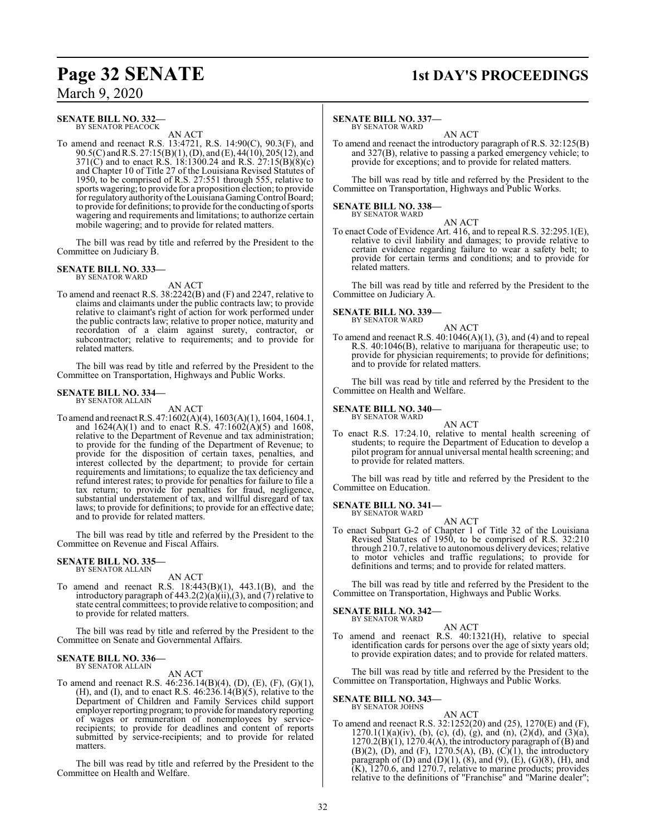### **SENATE BILL NO. 332—**

BY SENATOR PEACOCK AN ACT

To amend and reenact R.S. 13:4721, R.S. 14:90(C), 90.3(F), and 90.5(C) andR.S. 27:15(B)(1), (D), and (E), 44(10), 205(12), and 371(C) and to enact R.S. 18:1300.24 and R.S. 27:15(B)(8)(c) and Chapter 10 of Title 27 of the Louisiana Revised Statutes of 1950, to be comprised of R.S. 27:551 through 555, relative to sports wagering; to provide for a proposition election; to provide for regulatory authority of the Louisiana Gaming Control Board; to provide for definitions; to provide for the conducting of sports wagering and requirements and limitations; to authorize certain mobile wagering; and to provide for related matters.

The bill was read by title and referred by the President to the Committee on Judiciary B.

#### **SENATE BILL NO. 333—** BY SENATOR WARD

AN ACT

To amend and reenact R.S. 38:2242(B) and (F) and 2247, relative to claims and claimants under the public contracts law; to provide relative to claimant's right of action for work performed under the public contracts law; relative to proper notice, maturity and recordation of a claim against surety, contractor, or subcontractor; relative to requirements; and to provide for related matters.

The bill was read by title and referred by the President to the Committee on Transportation, Highways and Public Works.

### **SENATE BILL NO. 334—** BY SENATOR ALLAIN

AN ACT

To amend and reenactR.S. 47:1602(A)(4), 1603(A)(1), 1604, 1604.1, and  $1624(A)(1)$  and to enact R.S.  $47:1602(A)(5)$  and  $1608$ , relative to the Department of Revenue and tax administration; to provide for the funding of the Department of Revenue; to provide for the disposition of certain taxes, penalties, and interest collected by the department; to provide for certain requirements and limitations; to equalize the tax deficiency and refund interest rates; to provide for penalties for failure to file a tax return; to provide for penalties for fraud, negligence, substantial understatement of tax, and willful disregard of tax laws; to provide for definitions; to provide for an effective date; and to provide for related matters.

The bill was read by title and referred by the President to the Committee on Revenue and Fiscal Affairs.

#### **SENATE BILL NO. 335—** BY SENATOR ALLAIN

AN ACT

To amend and reenact R.S. 18:443(B)(1), 443.1(B), and the introductory paragraph of 443.2(2)(a)(ii),(3), and (7) relative to state central committees; to provide relative to composition; and to provide for related matters.

The bill was read by title and referred by the President to the Committee on Senate and Governmental Affairs.

#### **SENATE BILL NO. 336—**

BY SENATOR ALLAIN AN ACT

To amend and reenact R.S. 46:236.14(B)(4), (D), (E), (F), (G)(1), (H), and (I), and to enact R.S.  $46:236.14(B)(5)$ , relative to the Department of Children and Family Services child support employer reporting program; to provide for mandatory reporting of wages or remuneration of nonemployees by servicerecipients; to provide for deadlines and content of reports submitted by service-recipients; and to provide for related matters.

The bill was read by title and referred by the President to the Committee on Health and Welfare.

### **Page 32 SENATE 1st DAY'S PROCEEDINGS**

### **SENATE BILL NO. 337—**

BY SENATOR WARD AN ACT

To amend and reenact the introductory paragraph of R.S. 32:125(B) and 327(B), relative to passing a parked emergency vehicle; to provide for exceptions; and to provide for related matters.

The bill was read by title and referred by the President to the Committee on Transportation, Highways and Public Works.

## **SENATE BILL NO. 338—** BY SENATOR WARD

AN ACT

To enact Code of Evidence Art. 416, and to repeal R.S. 32:295.1(E), relative to civil liability and damages; to provide relative to certain evidence regarding failure to wear a safety belt; to provide for certain terms and conditions; and to provide for related matters.

The bill was read by title and referred by the President to the Committee on Judiciary A.

## **SENATE BILL NO. 339—** BY SENATOR WARD

AN ACT

To amend and reenact R.S.  $40:1046(A)(1)$ ,  $(3)$ , and  $(4)$  and to repeal R.S. 40:1046(B), relative to marijuana for therapeutic use; to provide for physician requirements; to provide for definitions; and to provide for related matters.

The bill was read by title and referred by the President to the Committee on Health and Welfare.

#### **SENATE BILL NO. 340—** BY SENATOR WARD

AN ACT To enact R.S. 17:24.10, relative to mental health screening of

students; to require the Department of Education to develop a pilot program for annual universal mental health screening; and to provide for related matters.

The bill was read by title and referred by the President to the Committee on Education.

#### **SENATE BILL NO. 341—** BY SENATOR WARD

AN ACT

To enact Subpart G-2 of Chapter 1 of Title 32 of the Louisiana Revised Statutes of 1950, to be comprised of R.S. 32:210 through 210.7, relative to autonomous delivery devices; relative to motor vehicles and traffic regulations; to provide for definitions and terms; and to provide for related matters.

The bill was read by title and referred by the President to the Committee on Transportation, Highways and Public Works.

#### **SENATE BILL NO. 342—** BY SENATOR WARD

AN ACT

To amend and reenact R.S. 40:1321(H), relative to special identification cards for persons over the age of sixty years old; to provide expiration dates; and to provide for related matters.

The bill was read by title and referred by the President to the Committee on Transportation, Highways and Public Works.

#### **SENATE BILL NO. 343—** BY SENATOR JOHNS

- AN ACT
- To amend and reenact R.S. 32:1252(20) and (25), 1270(E) and (F),  $1270.1(1)(a)(iv)$ , (b), (c), (d), (g), and (n), (2)(d), and (3)(a),  $1270.2(B)(1)$ ,  $1270.4(A)$ , the introductory paragraph of  $(B)$  and  $(B)(2)$ ,  $(D)$ , and  $(F)$ , 1270.5(A),  $(B)$ ,  $(C)(1)$ , the introductory paragraph of (D) and (D)(1),  $(8)$ , and  $(9)$ ,  $(E)$ ,  $(G)(8)$ ,  $(H)$ , and (K), 1270.6, and 1270.7, relative to marine products; provides relative to the definitions of "Franchise" and "Marine dealer";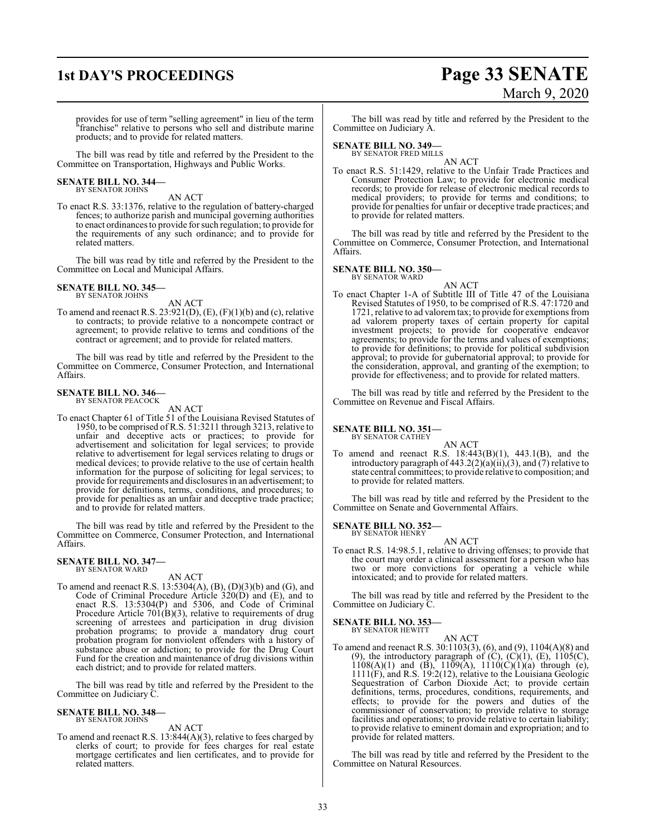## **1st DAY'S PROCEEDINGS Page 33 SENATE** March 9, 2020

provides for use of term "selling agreement" in lieu of the term "franchise" relative to persons who sell and distribute marine products; and to provide for related matters.

The bill was read by title and referred by the President to the Committee on Transportation, Highways and Public Works.

### **SENATE BILL NO. 344—** BY SENATOR JOHNS

AN ACT

To enact R.S. 33:1376, relative to the regulation of battery-charged fences; to authorize parish and municipal governing authorities to enact ordinances to provide for such regulation; to provide for the requirements of any such ordinance; and to provide for related matters.

The bill was read by title and referred by the President to the Committee on Local and Municipal Affairs.

### **SENATE BILL NO. 345—** BY SENATOR JOHNS

AN ACT

To amend and reenact R.S. 23:921(D), (E), (F)(1)(b) and (c), relative to contracts; to provide relative to a noncompete contract or agreement; to provide relative to terms and conditions of the contract or agreement; and to provide for related matters.

The bill was read by title and referred by the President to the Committee on Commerce, Consumer Protection, and International Affairs.

### **SENATE BILL NO. 346—** BY SENATOR PEACOCK

AN ACT

To enact Chapter 61 of Title 51 of the Louisiana Revised Statutes of 1950, to be comprised of R.S. 51:3211 through 3213, relative to unfair and deceptive acts or practices; to provide for advertisement and solicitation for legal services; to provide relative to advertisement for legal services relating to drugs or medical devices; to provide relative to the use of certain health information for the purpose of soliciting for legal services; to provide for requirements and disclosures in an advertisement; to provide for definitions, terms, conditions, and procedures; to provide for penalties as an unfair and deceptive trade practice; and to provide for related matters.

The bill was read by title and referred by the President to the Committee on Commerce, Consumer Protection, and International Affairs.

#### **SENATE BILL NO. 347—** BY SENATOR WARD

#### AN ACT

To amend and reenact R.S. 13:5304(A), (B), (D)(3)(b) and (G), and Code of Criminal Procedure Article 320(D) and (E), and to enact R.S. 13:5304(P) and 5306, and Code of Criminal Procedure Article 701(B)(3), relative to requirements of drug screening of arrestees and participation in drug division probation programs; to provide a mandatory drug court probation program for nonviolent offenders with a history of substance abuse or addiction; to provide for the Drug Court Fund for the creation and maintenance of drug divisions within each district; and to provide for related matters.

The bill was read by title and referred by the President to the Committee on Judiciary C.

#### **SENATE BILL NO. 348—** BY SENATOR JOHNS

AN ACT

To amend and reenact R.S. 13:844(A)(3), relative to fees charged by clerks of court; to provide for fees charges for real estate mortgage certificates and lien certificates, and to provide for related matters.

The bill was read by title and referred by the President to the Committee on Judiciary A.

#### **SENATE BILL NO. 349—**

BY SENATOR FRED MILLS AN ACT

To enact R.S. 51:1429, relative to the Unfair Trade Practices and Consumer Protection Law; to provide for electronic medical records; to provide for release of electronic medical records to medical providers; to provide for terms and conditions; to provide for penalties for unfair or deceptive trade practices; and to provide for related matters.

The bill was read by title and referred by the President to the Committee on Commerce, Consumer Protection, and International Affairs.

#### **SENATE BILL NO. 350—** BY SENATOR WARD

- AN ACT
- To enact Chapter 1-A of Subtitle III of Title 47 of the Louisiana Revised Statutes of 1950, to be comprised of R.S. 47:1720 and 1721, relative to ad valoremtax; to provide for exemptions from ad valorem property taxes of certain property for capital investment projects; to provide for cooperative endeavor agreements; to provide for the terms and values of exemptions; to provide for definitions; to provide for political subdivision approval; to provide for gubernatorial approval; to provide for the consideration, approval, and granting of the exemption; to provide for effectiveness; and to provide for related matters.

The bill was read by title and referred by the President to the Committee on Revenue and Fiscal Affairs.

#### **SENATE BILL NO. 351—** BY SENATOR CATHEY

AN ACT To amend and reenact R.S. 18:443(B)(1), 443.1(B), and the introductory paragraph of  $443.2(2)(a)(ii)(3)$ , and  $(7)$  relative to state central committees; to provide relative to composition; and to provide for related matters.

The bill was read by title and referred by the President to the Committee on Senate and Governmental Affairs.

**SENATE BILL NO. 352—** BY SENATOR HENRY

AN ACT

To enact R.S. 14:98.5.1, relative to driving offenses; to provide that the court may order a clinical assessment for a person who has two or more convictions for operating a vehicle while intoxicated; and to provide for related matters.

The bill was read by title and referred by the President to the Committee on Judiciary C.

#### **SENATE BILL NO. 353—**

BY SENATOR HEWITT

AN ACT To amend and reenact R.S. 30:1103(3), (6), and (9), 1104(A)(8) and (9), the introductory paragraph of  $(C)$ ,  $(C)(1)$ ,  $(E)$ ,  $1105(C)$ ,  $1108(A)(1)$  and  $(B)$ ,  $1109(A)$ ,  $1110(C)(1)(a)$  through (e), 1111(F), and R.S. 19:2(12), relative to the Louisiana Geologic Sequestration of Carbon Dioxide Act; to provide certain definitions, terms, procedures, conditions, requirements, and effects; to provide for the powers and duties of the commissioner of conservation; to provide relative to storage facilities and operations; to provide relative to certain liability; to provide relative to eminent domain and expropriation; and to provide for related matters.

The bill was read by title and referred by the President to the Committee on Natural Resources.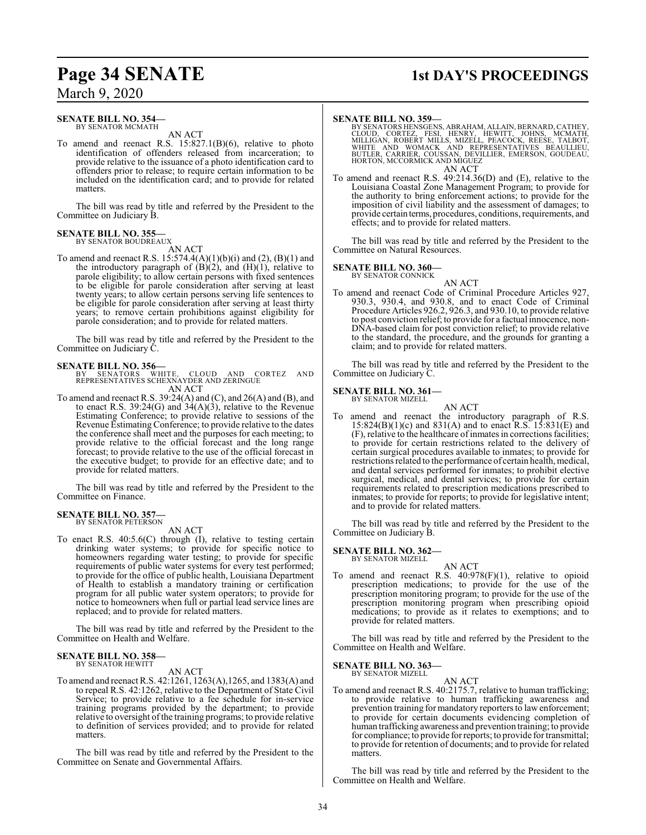#### **SENATE BILL NO. 354—** BY SENATOR MCMATH

AN ACT

To amend and reenact R.S. 15:827.1(B)(6), relative to photo identification of offenders released from incarceration; to provide relative to the issuance of a photo identification card to offenders prior to release; to require certain information to be included on the identification card; and to provide for related matters.

The bill was read by title and referred by the President to the Committee on Judiciary B.

#### **SENATE BILL NO. 355** BY SENATOR BOUDREAUX

AN ACT

To amend and reenact R.S. 15:574.4(A)(1)(b)(i) and (2), (B)(1) and the introductory paragraph of  $(B)(2)$ , and  $(H)(1)$ , relative to parole eligibility; to allow certain persons with fixed sentences to be eligible for parole consideration after serving at least twenty years; to allow certain persons serving life sentences to be eligible for parole consideration after serving at least thirty years; to remove certain prohibitions against eligibility for parole consideration; and to provide for related matters.

The bill was read by title and referred by the President to the Committee on Judiciary C.

**SENATE BILL NO. 356—** BY SENATORS WHITE, CLOUD AND CORTEZ AND REPRESENTATIVES SCHEXNAYDER AND ZERINGUE AN ACT

To amend and reenact R.S. 39:24(A) and (C), and 26(A) and (B), and to enact R.S.  $39:24(G)$  and  $34(A)(3)$ , relative to the Revenue Estimating Conference; to provide relative to sessions of the Revenue Estimating Conference; to provide relative to the dates the conference shall meet and the purposes for each meeting; to provide relative to the official forecast and the long range forecast; to provide relative to the use of the official forecast in the executive budget; to provide for an effective date; and to provide for related matters.

The bill was read by title and referred by the President to the Committee on Finance.

#### **SENATE BILL NO. 357—** BY SENATOR PETERSON

AN ACT

To enact R.S. 40:5.6(C) through (I), relative to testing certain drinking water systems; to provide for specific notice to homeowners regarding water testing; to provide for specific requirements of public water systems for every test performed; to provide for the office of public health, Louisiana Department of Health to establish a mandatory training or certification program for all public water system operators; to provide for notice to homeowners when full or partial lead service lines are replaced; and to provide for related matters.

The bill was read by title and referred by the President to the Committee on Health and Welfare.

#### **SENATE BILL NO. 358—** BY SENATOR HEWITT

AN ACT

To amend and reenact R.S. 42:1261, 1263(A),1265, and 1383(A) and to repeal R.S. 42:1262, relative to the Department of State Civil Service; to provide relative to a fee schedule for in-service training programs provided by the department; to provide relative to oversight of the training programs; to provide relative to definition of services provided; and to provide for related matters.

The bill was read by title and referred by the President to the Committee on Senate and Governmental Affairs.

## **Page 34 SENATE 1st DAY'S PROCEEDINGS**

#### **SENATE BILL NO. 359—**

- BY SENATORS HENSGENS, ABRAHAM, ALLAIN, BERNARD, CATHEY,<br>CLOUD, CORTEZ, FESI, HENRY, HEWITT, JOHNS, MCMATH,<br>MILLIGAN, ROBERT MILLS, MIZELL, PEACOCK, REESE, TALBOT,<br>WHITE AND WOMACK AND REPRESENTATIVES BEAULLIEU,<br>BUTLER, CAR HORTON, MCCORMICK AND MIGUEZ AN ACT
- To amend and reenact R.S. 49:214.36(D) and (E), relative to the Louisiana Coastal Zone Management Program; to provide for the authority to bring enforcement actions; to provide for the imposition of civil liability and the assessment of damages; to provide certain terms, procedures, conditions, requirements, and effects; and to provide for related matters.

The bill was read by title and referred by the President to the Committee on Natural Resources.

### **SENATE BILL NO. 360—** BY SENATOR CONNICK



To amend and reenact Code of Criminal Procedure Articles 927, 930.3, 930.4, and 930.8, and to enact Code of Criminal Procedure Articles 926.2, 926.3, and 930.10, to provide relative to post conviction relief; to provide for a factual innocence, non-DNA-based claim for post conviction relief; to provide relative to the standard, the procedure, and the grounds for granting a claim; and to provide for related matters.

The bill was read by title and referred by the President to the Committee on Judiciary C.

#### **SENATE BILL NO. 361—** BY SENATOR MIZELL

AN ACT

To amend and reenact the introductory paragraph of R.S.  $15:824(B)(1)(c)$  and  $831(A)$  and to enact R.S.  $15:831(E)$  and (F), relative to the healthcare of inmates in correctionsfacilities; to provide for certain restrictions related to the delivery of certain surgical procedures available to inmates; to provide for restrictions related to the performance of certain health, medical, and dental services performed for inmates; to prohibit elective surgical, medical, and dental services; to provide for certain requirements related to prescription medications prescribed to inmates; to provide for reports; to provide for legislative intent; and to provide for related matters.

The bill was read by title and referred by the President to the Committee on Judiciary B.

#### **SENATE BILL NO. 362—**

BY SENATOR MIZELL

AN ACT To amend and reenact R.S. 40:978(F)(1), relative to opioid prescription medications; to provide for the use of the prescription monitoring program; to provide for the use of the prescription monitoring program when prescribing opioid medications; to provide as it relates to exemptions; and to provide for related matters.

The bill was read by title and referred by the President to the Committee on Health and Welfare.

**SENATE BILL NO. 363—** BY SENATOR MIZELL

AN ACT

To amend and reenact R.S. 40:2175.7, relative to human trafficking; to provide relative to human trafficking awareness and prevention training for mandatory reporters to law enforcement; to provide for certain documents evidencing completion of human trafficking awareness and prevention training; to provide for compliance; to provide for reports; to provide for transmittal; to provide for retention of documents; and to provide for related matters.

The bill was read by title and referred by the President to the Committee on Health and Welfare.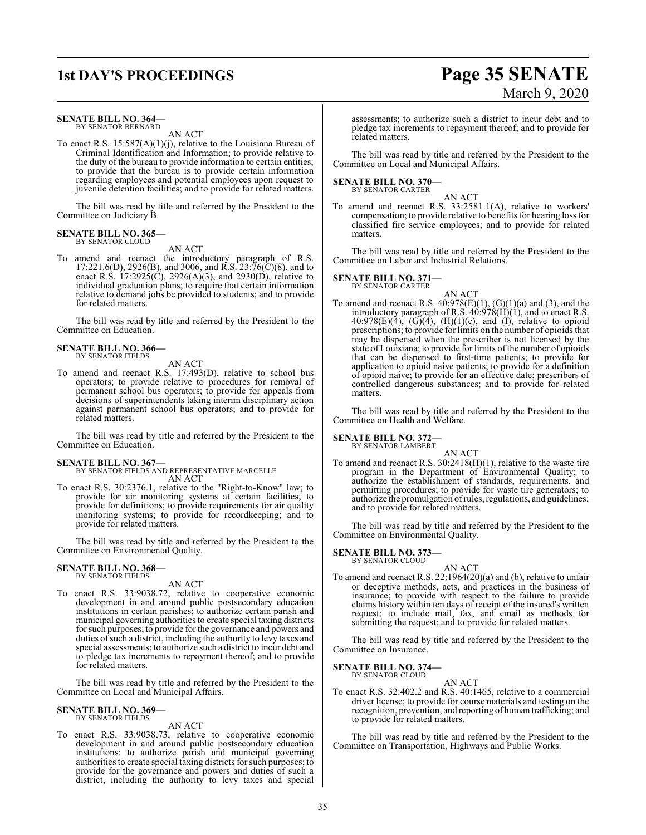## **1st DAY'S PROCEEDINGS Page 35 SENATE**

#### **SENATE BILL NO. 364—**

BY SENATOR BERNARD AN ACT

To enact R.S. 15:587(A)(1)(j), relative to the Louisiana Bureau of Criminal Identification and Information; to provide relative to the duty of the bureau to provide information to certain entities; to provide that the bureau is to provide certain information regarding employees and potential employees upon request to juvenile detention facilities; and to provide for related matters.

The bill was read by title and referred by the President to the Committee on Judiciary B.

#### **SENATE BILL NO. 365—** BY SENATOR CLOUD

#### AN ACT

To amend and reenact the introductory paragraph of R.S.  $17:221.6(D)$ ,  $2926(B)$ , and  $3006$ , and  $\overline{R}$ .  $\overline{S}$ .  $23:76(\overline{C})(8)$ , and to enact R.S. 17:2925(C), 2926(A)(3), and 2930(D), relative to individual graduation plans; to require that certain information relative to demand jobs be provided to students; and to provide for related matters.

The bill was read by title and referred by the President to the Committee on Education.

#### **SENATE BILL NO. 366—** BY SENATOR FIELDS

AN ACT

To amend and reenact R.S. 17:493(D), relative to school bus operators; to provide relative to procedures for removal of permanent school bus operators; to provide for appeals from decisions of superintendents taking interim disciplinary action against permanent school bus operators; and to provide for related matters.

The bill was read by title and referred by the President to the Committee on Education.

**SENATE BILL NO. 367—** BY SENATOR FIELDS AND REPRESENTATIVE MARCELLE AN ACT

To enact R.S. 30:2376.1, relative to the "Right-to-Know" law; to provide for air monitoring systems at certain facilities; to provide for definitions; to provide requirements for air quality monitoring systems; to provide for recordkeeping; and to provide for related matters.

The bill was read by title and referred by the President to the Committee on Environmental Quality.

### **SENATE BILL NO. 368—** BY SENATOR FIELDS

AN ACT

To enact R.S. 33:9038.72, relative to cooperative economic development in and around public postsecondary education institutions in certain parishes; to authorize certain parish and municipal governing authorities to create special taxing districts for such purposes; to provide for the governance and powers and duties of such a district, including the authority to levy taxes and special assessments; to authorize such a district to incur debt and to pledge tax increments to repayment thereof; and to provide for related matters.

The bill was read by title and referred by the President to the Committee on Local and Municipal Affairs.

#### **SENATE BILL NO. 369—** BY SENATOR FIELDS

AN ACT

To enact R.S. 33:9038.73, relative to cooperative economic development in and around public postsecondary education institutions; to authorize parish and municipal governing authorities to create special taxing districts for such purposes; to provide for the governance and powers and duties of such a district, including the authority to levy taxes and special

# March 9, 2020

assessments; to authorize such a district to incur debt and to pledge tax increments to repayment thereof; and to provide for related matters.

The bill was read by title and referred by the President to the Committee on Local and Municipal Affairs.

#### **SENATE BILL NO. 370—** BY SENATOR CARTER

AN ACT To amend and reenact R.S. 33:2581.1(A), relative to workers' compensation; to provide relative to benefits for hearing loss for classified fire service employees; and to provide for related matters.

The bill was read by title and referred by the President to the Committee on Labor and Industrial Relations.

#### **SENATE BILL NO. 371—**

BY SENATOR CARTER AN ACT

To amend and reenact R.S.  $40:978(E)(1)$ ,  $(G)(1)(a)$  and  $(3)$ , and the introductory paragraph of R.S.  $40:978(H)(1)$ , and to enact R.S. 40:978(E)(4), (G)(4), (H)(1)(c), and (I), relative to opioid prescriptions; to provide forlimits on the number of opioids that may be dispensed when the prescriber is not licensed by the state of Louisiana; to provide for limits of the number of opioids that can be dispensed to first-time patients; to provide for application to opioid naive patients; to provide for a definition of opioid naive; to provide for an effective date; prescribers of controlled dangerous substances; and to provide for related matters.

The bill was read by title and referred by the President to the Committee on Health and Welfare.

### **SENATE BILL NO. 372—** BY SENATOR LAMBERT

AN ACT

To amend and reenact R.S. 30:2418(H)(1), relative to the waste tire program in the Department of Environmental Quality; to authorize the establishment of standards, requirements, and permitting procedures; to provide for waste tire generators; to authorize the promulgation ofrules, regulations, and guidelines; and to provide for related matters.

The bill was read by title and referred by the President to the Committee on Environmental Quality.

#### **SENATE BILL NO. 373—** BY SENATOR CLOUD

AN ACT To amend and reenact R.S. 22:1964(20)(a) and (b), relative to unfair or deceptive methods, acts, and practices in the business of insurance; to provide with respect to the failure to provide claims history within ten days of receipt of the insured's written request; to include mail, fax, and email as methods for submitting the request; and to provide for related matters.

The bill was read by title and referred by the President to the Committee on Insurance.

#### **SENATE BILL NO. 374—** BY SENATOR CLOUD

AN ACT

To enact R.S. 32:402.2 and R.S. 40:1465, relative to a commercial driver license; to provide for course materials and testing on the recognition, prevention, and reporting of human trafficking; and to provide for related matters.

The bill was read by title and referred by the President to the Committee on Transportation, Highways and Public Works.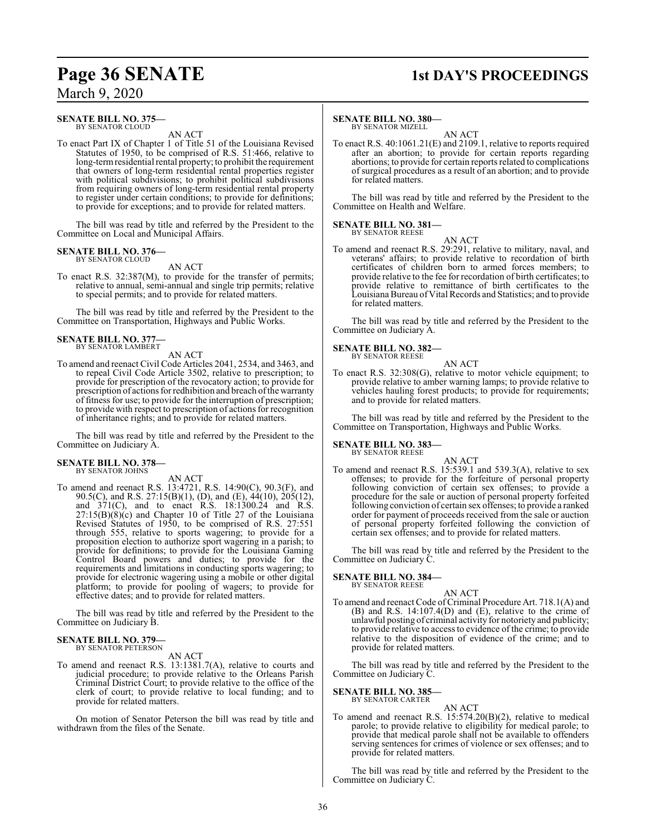#### **SENATE BILL NO. 375—** BY SENATOR CLOUD

AN ACT

To enact Part IX of Chapter 1 of Title 51 of the Louisiana Revised Statutes of 1950, to be comprised of R.S. 51:466, relative to long-termresidential rental property; to prohibit the requirement that owners of long-term residential rental properties register with political subdivisions; to prohibit political subdivisions from requiring owners of long-term residential rental property to register under certain conditions; to provide for definitions; to provide for exceptions; and to provide for related matters.

The bill was read by title and referred by the President to the Committee on Local and Municipal Affairs.

## **SENATE BILL NO. 376—** BY SENATOR CLOUD

AN ACT

To enact R.S. 32:387(M), to provide for the transfer of permits; relative to annual, semi-annual and single trip permits; relative to special permits; and to provide for related matters.

The bill was read by title and referred by the President to the Committee on Transportation, Highways and Public Works.

#### **SENATE BILL NO. 377—** BY SENATOR LAMBERT

AN ACT

To amend and reenact Civil Code Articles 2041, 2534, and 3463, and to repeal Civil Code Article 3502, relative to prescription; to provide for prescription of the revocatory action; to provide for prescription of actions for redhibition and breach ofthe warranty of fitness for use; to provide for the interruption of prescription; to provide with respect to prescription of actions for recognition of inheritance rights; and to provide for related matters.

The bill was read by title and referred by the President to the Committee on Judiciary A.

## **SENATE BILL NO. 378—** BY SENATOR JOHNS

AN ACT

To amend and reenact R.S. 13:4721, R.S. 14:90(C), 90.3(F), and 90.5(C), and R.S. 27:15(B)(1), (D), and (E), 44(10), 205(12), and 371(C), and to enact R.S. 18:1300.24 and R.S.  $27:15(B)(8)(c)$  and Chapter 10 of Title 27 of the Louisiana Revised Statutes of 1950, to be comprised of R.S. 27:551 through 555, relative to sports wagering; to provide for a proposition election to authorize sport wagering in a parish; to provide for definitions; to provide for the Louisiana Gaming Control Board powers and duties; to provide for the requirements and limitations in conducting sports wagering; to provide for electronic wagering using a mobile or other digital platform; to provide for pooling of wagers; to provide for effective dates; and to provide for related matters.

The bill was read by title and referred by the President to the Committee on Judiciary B.

#### **SENATE BILL NO. 379—** BY SENATOR PETERSON

AN ACT

To amend and reenact R.S. 13:1381.7(A), relative to courts and judicial procedure; to provide relative to the Orleans Parish Criminal District Court; to provide relative to the office of the clerk of court; to provide relative to local funding; and to provide for related matters.

On motion of Senator Peterson the bill was read by title and withdrawn from the files of the Senate.

## **Page 36 SENATE 1st DAY'S PROCEEDINGS**

#### **SENATE BILL NO. 380—**

BY SENATOR MIZELL

AN ACT To enact R.S. 40:1061.21(E) and 2109.1, relative to reports required after an abortion; to provide for certain reports regarding abortions; to provide for certain reports related to complications of surgical procedures as a result of an abortion; and to provide for related matters.

The bill was read by title and referred by the President to the Committee on Health and Welfare.

#### **SENATE BILL NO. 381—** BY SENATOR REESE

AN ACT

To amend and reenact R.S. 29:291, relative to military, naval, and veterans' affairs; to provide relative to recordation of birth certificates of children born to armed forces members; to provide relative to the fee for recordation of birth certificates; to provide relative to remittance of birth certificates to the Louisiana Bureau ofVital Records and Statistics; and to provide for related matters.

The bill was read by title and referred by the President to the Committee on Judiciary A.

#### **SENATE BILL NO. 382—** BY SENATOR REESE

AN ACT

To enact R.S. 32:308(G), relative to motor vehicle equipment; to provide relative to amber warning lamps; to provide relative to vehicles hauling forest products; to provide for requirements; and to provide for related matters.

The bill was read by title and referred by the President to the Committee on Transportation, Highways and Public Works.

#### **SENATE BILL NO. 383—** BY SENATOR REESE

AN ACT To amend and reenact R.S. 15:539.1 and 539.3(A), relative to sex offenses; to provide for the forfeiture of personal property following conviction of certain sex offenses; to provide a procedure for the sale or auction of personal property forfeited following conviction of certain sex offenses; to provide a ranked order for payment of proceeds received from the sale or auction of personal property forfeited following the conviction of certain sex offenses; and to provide for related matters.

The bill was read by title and referred by the President to the Committee on Judiciary C.

#### **SENATE BILL NO. 384—** BY SENATOR REESE

AN ACT

To amend and reenact Code of Criminal Procedure Art. 718.1(A) and (B) and R.S. 14:107.4(D) and (E), relative to the crime of unlawful posting of criminal activity for notoriety and publicity; to provide relative to access to evidence of the crime; to provide relative to the disposition of evidence of the crime; and to provide for related matters.

The bill was read by title and referred by the President to the Committee on Judiciary C.

#### **SENATE BILL NO. 385—** BY SENATOR CARTER

AN ACT

To amend and reenact R.S. 15:574.20(B)(2), relative to medical parole; to provide relative to eligibility for medical parole; to provide that medical parole shall not be available to offenders serving sentences for crimes of violence or sex offenses; and to provide for related matters.

The bill was read by title and referred by the President to the Committee on Judiciary C.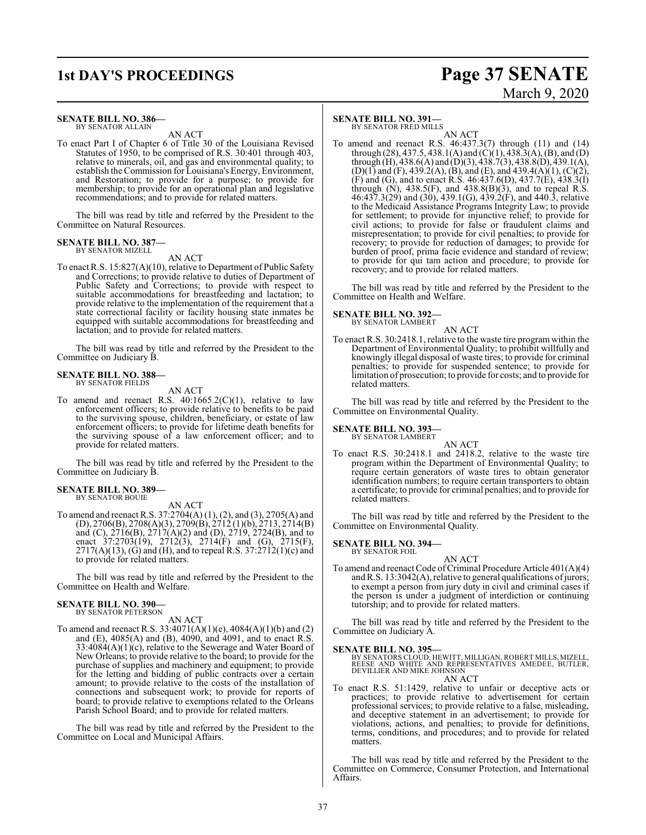#### **SENATE BILL NO. 386—** BY SENATOR ALLAIN

AN ACT

To enact Part I of Chapter 6 of Title 30 of the Louisiana Revised Statutes of 1950, to be comprised of R.S. 30:401 through 403, relative to minerals, oil, and gas and environmental quality; to establish the Commission for Louisiana's Energy, Environment, and Restoration; to provide for a purpose; to provide for membership; to provide for an operational plan and legislative recommendations; and to provide for related matters.

The bill was read by title and referred by the President to the Committee on Natural Resources.

#### **SENATE BILL NO. 387—** BY SENATOR MIZELL

AN ACT

To enact R.S. 15:827(A)(10), relative to Department of Public Safety and Corrections; to provide relative to duties of Department of Public Safety and Corrections; to provide with respect to suitable accommodations for breastfeeding and lactation; to provide relative to the implementation of the requirement that a state correctional facility or facility housing state inmates be equipped with suitable accommodations for breastfeeding and lactation; and to provide for related matters.

The bill was read by title and referred by the President to the Committee on Judiciary B.

#### **SENATE BILL NO. 388—**

BY SENATOR FIELDS

- AN ACT
- To amend and reenact R.S.  $40:1665.2(C)(1)$ , relative to law enforcement officers; to provide relative to benefits to be paid to the surviving spouse, children, beneficiary, or estate of law enforcement officers; to provide for lifetime death benefits for the surviving spouse of a law enforcement officer; and to provide for related matters.

The bill was read by title and referred by the President to the Committee on Judiciary B.

#### **SENATE BILL NO. 389—** BY SENATOR BOUIE

AN ACT

To amend and reenact R.S. 37:2704(A) (1), (2), and (3), 2705(A) and (D), 2706(B), 2708(A)(3), 2709(B), 2712 (1)(b), 2713, 2714(B) and (C), 2716(B), 2717(A)(2) and (D), 2719, 2724(B), and to enact  $37:2703(19)$ ,  $2712(3)$ ,  $2714(F)$  and  $(G)$ ,  $2715(F)$ ,  $2717(A)(13)$ , (G) and (H), and to repeal R.S.  $37:2712(1)(c)$  and to provide for related matters.

The bill was read by title and referred by the President to the Committee on Health and Welfare.

#### **SENATE BILL NO. 390—** BY SENATOR PETERSON

AN ACT

To amend and reenact R.S. 33:4071(A)(1)(e), 4084(A)(1)(b) and (2) and (E), 4085(A) and (B), 4090, and 4091, and to enact R.S. 33:4084(A)(1)(c), relative to the Sewerage and Water Board of New Orleans; to provide relative to the board; to provide for the purchase of supplies and machinery and equipment; to provide for the letting and bidding of public contracts over a certain amount; to provide relative to the costs of the installation of connections and subsequent work; to provide for reports of board; to provide relative to exemptions related to the Orleans Parish School Board; and to provide for related matters.

The bill was read by title and referred by the President to the Committee on Local and Municipal Affairs.

#### **SENATE BILL NO. 391—**

BY SENATOR FRED MILLS

AN ACT To amend and reenact R.S. 46:437.3(7) through (11) and (14) through (28), 437.5, 438.1(A) and (C)(1), 438.3(A), (B), and (D) through (H), 438.6(A) and (D)(3), 438.7(3), 438.8(D), 439.1(A),  $(D)(1)$  and  $(F)$ , 439.2(A),  $(B)$ , and  $(E)$ , and 439.4(A)(1),  $(C)(2)$ , (F) and (G), and to enact R.S.  $46:437.6(D)$ ,  $437.7(E)$ ,  $438.3(I)$ through  $(N)$ , 438.5(F), and 438.8 $(B)(3)$ , and to repeal R.S. 46:437.3(29) and (30), 439.1(G), 439.2(F), and 440.3, relative to the Medicaid Assistance Programs Integrity Law; to provide for settlement; to provide for injunctive relief; to provide for civil actions; to provide for false or fraudulent claims and misrepresentation; to provide for civil penalties; to provide for recovery; to provide for reduction of damages; to provide for burden of proof, prima facie evidence and standard of review; to provide for qui tam action and procedure; to provide for recovery; and to provide for related matters.

The bill was read by title and referred by the President to the Committee on Health and Welfare.

**SENATE BILL NO. 392—** BY SENATOR LAMBERT

AN ACT

To enact R.S. 30:2418.1, relative to the waste tire program within the Department of Environmental Quality; to prohibit willfully and knowingly illegal disposal of waste tires; to provide for criminal penalties; to provide for suspended sentence; to provide for limitation of prosecution; to provide for costs; and to provide for related matters.

The bill was read by title and referred by the President to the Committee on Environmental Quality.

### **SENATE BILL NO. 393—** BY SENATOR LAMBERT

AN ACT To enact R.S. 30:2418.1 and 2418.2, relative to the waste tire program within the Department of Environmental Quality; to require certain generators of waste tires to obtain generator identification numbers; to require certain transporters to obtain a certificate; to provide for criminal penalties; and to provide for related matters.

The bill was read by title and referred by the President to the Committee on Environmental Quality.

**SENATE BILL NO. 394—** BY SENATOR FOIL

#### AN ACT

To amend and reenact Code of Criminal Procedure Article 401(A)(4) and R.S.  $13:3042(A)$ , relative to general qualifications of jurors; to exempt a person from jury duty in civil and criminal cases if the person is under a judgment of interdiction or continuing tutorship; and to provide for related matters.

The bill was read by title and referred by the President to the Committee on Judiciary A.

**SENATE BILL NO. 395—**<br>BY SENATORS CLOUD, HEWITT, MILLIGAN, ROBERT MILLS, MIZELL,<br>REESE AND WHITE AND REPRESENTATIVES AMEDEE, BUTLER,<br>DEVILLIER AND MIKE JOHNSON

AN ACT

To enact R.S. 51:1429, relative to unfair or deceptive acts or practices; to provide relative to advertisement for certain professional services; to provide relative to a false, misleading, and deceptive statement in an advertisement; to provide for violations, actions, and penalties; to provide for definitions, terms, conditions, and procedures; and to provide for related matters.

The bill was read by title and referred by the President to the Committee on Commerce, Consumer Protection, and International Affairs.

## **1st DAY'S PROCEEDINGS Page 37 SENATE** March 9, 2020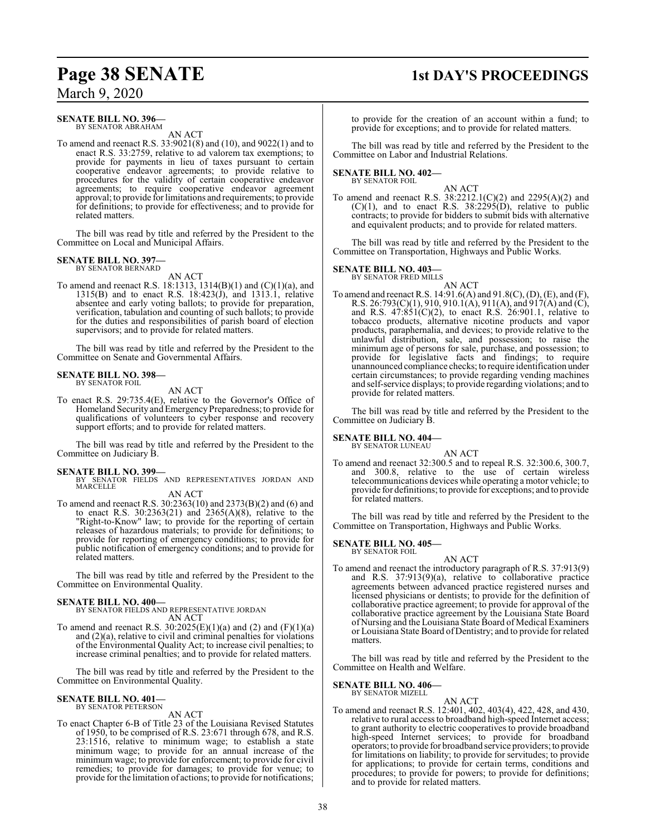### **Page 38 SENATE 1st DAY'S PROCEEDINGS**

March 9, 2020

### **SENATE BILL NO. 396—**

BY SENATOR ABRAHAM AN ACT

To amend and reenact R.S. 33:9021(8) and (10), and 9022(1) and to enact R.S. 33:2759, relative to ad valorem tax exemptions; to provide for payments in lieu of taxes pursuant to certain cooperative endeavor agreements; to provide relative to procedures for the validity of certain cooperative endeavor agreements; to require cooperative endeavor agreement approval; to provide for limitations and requirements; to provide for definitions; to provide for effectiveness; and to provide for related matters.

The bill was read by title and referred by the President to the Committee on Local and Municipal Affairs.

### **SENATE BILL NO. 397—**

BY SENATOR BERNARD AN ACT

To amend and reenact R.S. 18:1313, 1314(B)(1) and (C)(1)(a), and 1315(B) and to enact R.S.  $18:423(j)$ , and  $1313.1$ , relative absentee and early voting ballots; to provide for preparation, verification, tabulation and counting of such ballots; to provide for the duties and responsibilities of parish board of election supervisors; and to provide for related matters.

The bill was read by title and referred by the President to the Committee on Senate and Governmental Affairs.

#### **SENATE BILL NO. 398—**

BY SENATOR FOIL

AN ACT

To enact R.S. 29:735.4(E), relative to the Governor's Office of Homeland Security and Emergency Preparedness; to provide for qualifications of volunteers to cyber response and recovery support efforts; and to provide for related matters.

The bill was read by title and referred by the President to the Committee on Judiciary B.

**SENATE BILL NO. 399—**<br>BY SENATOR FIELDS AND REPRESENTATIVES JORDAN AND<br>MARCELLE AN ACT

To amend and reenact R.S. 30:2363(10) and 2373(B)(2) and (6) and to enact R.S. 30:2363(21) and 2365(A)(8), relative to the "Right-to-Know" law; to provide for the reporting of certain releases of hazardous materials; to provide for definitions; to provide for reporting of emergency conditions; to provide for public notification of emergency conditions; and to provide for related matters.

The bill was read by title and referred by the President to the Committee on Environmental Quality.

**SENATE BILL NO. 400—** BY SENATOR FIELDS AND REPRESENTATIVE JORDAN AN ACT

To amend and reenact R.S.  $30:2025(E)(1)(a)$  and  $(2)$  and  $(F)(1)(a)$ and (2)(a), relative to civil and criminal penalties for violations of the Environmental Quality Act; to increase civil penalties; to increase criminal penalties; and to provide for related matters.

The bill was read by title and referred by the President to the Committee on Environmental Quality.

#### **SENATE BILL NO. 401—** BY SENATOR PETERSON

AN ACT

To enact Chapter 6-B of Title 23 of the Louisiana Revised Statutes of 1950, to be comprised of R.S. 23:671 through 678, and R.S. 23:1516, relative to minimum wage; to establish a state minimum wage; to provide for an annual increase of the minimum wage; to provide for enforcement; to provide for civil remedies; to provide for damages; to provide for venue; to provide for the limitation of actions; to provide for notifications;

to provide for the creation of an account within a fund; to provide for exceptions; and to provide for related matters.

The bill was read by title and referred by the President to the Committee on Labor and Industrial Relations.

### **SENATE BILL NO. 402—** BY SENATOR FOIL

AN ACT

To amend and reenact R.S. 38:2212.1(C)(2) and 2295(A)(2) and  $(C)(1)$ , and to enact R.S. 38:2295(D), relative to public contracts; to provide for bidders to submit bids with alternative and equivalent products; and to provide for related matters.

The bill was read by title and referred by the President to the Committee on Transportation, Highways and Public Works.

#### **SENATE BILL NO. 403—**

BY SENATOR FRED MILLS AN ACT

To amend and reenact R.S. 14:91.6(A) and 91.8(C), (D), (E), and (F), R.S. 26:793(C)(1), 910, 910.1(A), 911(A), and 917(A) and (C), and R.S.  $47:851(C)(2)$ , to enact R.S. 26:901.1, relative to tobacco products, alternative nicotine products and vapor products, paraphernalia, and devices; to provide relative to the unlawful distribution, sale, and possession; to raise the minimum age of persons for sale, purchase, and possession; to provide for legislative facts and findings; to require unannounced compliance checks; to require identification under certain circumstances; to provide regarding vending machines and self-service displays; to provide regarding violations; and to provide for related matters.

The bill was read by title and referred by the President to the Committee on Judiciary B.

### **SENATE BILL NO. 404—** BY SENATOR LUNEAU

AN ACT

To amend and reenact 32:300.5 and to repeal R.S. 32:300.6, 300.7, and 300.8, relative to the use of certain wireless telecommunications devices while operating a motor vehicle; to provide for definitions; to provide for exceptions; and to provide for related matters.

The bill was read by title and referred by the President to the Committee on Transportation, Highways and Public Works.

#### **SENATE BILL NO. 405—** BY SENATOR FOIL

#### AN ACT

To amend and reenact the introductory paragraph of R.S. 37:913(9) and R.S. 37:913(9)(a), relative to collaborative practice agreements between advanced practice registered nurses and licensed physicians or dentists; to provide for the definition of collaborative practice agreement; to provide for approval of the collaborative practice agreement by the Louisiana State Board of Nursing and the Louisiana State Board of Medical Examiners or Louisiana State Board of Dentistry; and to provide for related matters.

The bill was read by title and referred by the President to the Committee on Health and Welfare.

### **SENATE BILL NO. 406—** BY SENATOR MIZELL

AN ACT

To amend and reenact R.S. 12:401, 402, 403(4), 422, 428, and 430, relative to rural access to broadband high-speed Internet access; to grant authority to electric cooperatives to provide broadband high-speed Internet services; to provide for broadband operators; to provide for broadband service providers; to provide for limitations on liability; to provide for servitudes; to provide for applications; to provide for certain terms, conditions and procedures; to provide for powers; to provide for definitions; and to provide for related matters.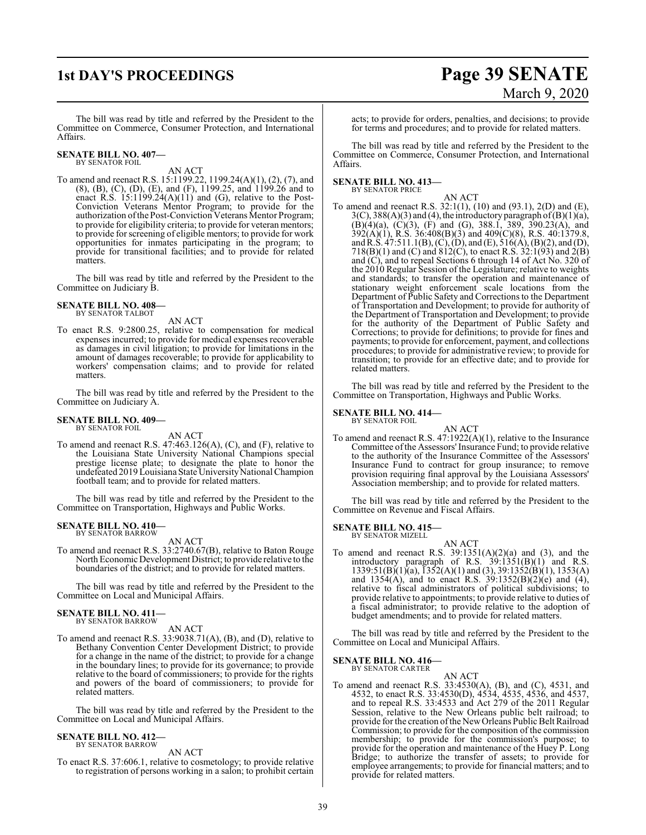## **1st DAY'S PROCEEDINGS Page 39 SENATE** March 9, 2020

The bill was read by title and referred by the President to the Committee on Commerce, Consumer Protection, and International Affairs.

#### **SENATE BILL NO. 407—** BY SENATOR FOIL

### AN ACT

To amend and reenact R.S. 15:1199.22, 1199.24(A)(1), (2), (7), and (8), (B), (C), (D), (E), and (F), 1199.25, and 1199.26 and to enact R.S.  $15:1199.24(A)(11)$  and (G), relative to the Post-Conviction Veterans Mentor Program; to provide for the authorization ofthe Post-Conviction Veterans Mentor Program; to provide for eligibility criteria; to provide for veteran mentors; to provide forscreening of eligible mentors; to provide for work opportunities for inmates participating in the program; to provide for transitional facilities; and to provide for related matters.

The bill was read by title and referred by the President to the Committee on Judiciary B.

#### **SENATE BILL NO. 408—** BY SENATOR TALBOT

#### AN ACT

To enact R.S. 9:2800.25, relative to compensation for medical expenses incurred; to provide for medical expenses recoverable as damages in civil litigation; to provide for limitations in the amount of damages recoverable; to provide for applicability to workers' compensation claims; and to provide for related matters.

The bill was read by title and referred by the President to the Committee on Judiciary A.

#### **SENATE BILL NO. 409—** BY SENATOR FOIL

AN ACT To amend and reenact R.S. 47:463.126(A), (C), and (F), relative to the Louisiana State University National Champions special prestige license plate; to designate the plate to honor the undefeated 2019 Louisiana State University National Champion football team; and to provide for related matters.

The bill was read by title and referred by the President to the Committee on Transportation, Highways and Public Works.

#### **SENATE BILL NO. 410—** BY SENATOR BARROW

#### AN ACT

To amend and reenact R.S. 33:2740.67(B), relative to Baton Rouge North Economic Development District; to provide relative to the boundaries of the district; and to provide for related matters.

The bill was read by title and referred by the President to the Committee on Local and Municipal Affairs.

## **SENATE BILL NO. 411—** BY SENATOR BARROW

#### AN ACT

To amend and reenact R.S. 33:9038.71(A), (B), and (D), relative to Bethany Convention Center Development District; to provide for a change in the name of the district; to provide for a change in the boundary lines; to provide for its governance; to provide relative to the board of commissioners; to provide for the rights and powers of the board of commissioners; to provide for related matters.

The bill was read by title and referred by the President to the Committee on Local and Municipal Affairs.

#### **SENATE BILL NO. 412—** BY SENATOR BARROW

AN ACT

To enact R.S. 37:606.1, relative to cosmetology; to provide relative to registration of persons working in a salon; to prohibit certain

acts; to provide for orders, penalties, and decisions; to provide for terms and procedures; and to provide for related matters.

The bill was read by title and referred by the President to the Committee on Commerce, Consumer Protection, and International Affairs.

### **SENATE BILL NO. 413—** BY SENATOR PRICE

- AN ACT
- To amend and reenact R.S. 32:1(1), (10) and (93.1), 2(D) and (E),  $3(C)$ ,  $388(A)(3)$  and (4), the introductory paragraph of (B)(1)(a),  $(B)(4)(a)$ ,  $(C)(3)$ ,  $(F)$  and  $(G)$ , 388.1, 389, 390.23 $(A)$ , and 392(A)(1), R.S. 36:408(B)(3) and 409(C)(8), R.S. 40:1379.8, and R.S.  $47:511.1(B)$ , (C), (D), and (E),  $516(A)$ , (B)(2), and (D), 718(B)(1) and (C) and 812(C), to enact R.S. 32:1(93) and 2(B) and (C), and to repeal Sections 6 through 14 of Act No. 320 of the 2010 Regular Session of the Legislature; relative to weights and standards; to transfer the operation and maintenance of stationary weight enforcement scale locations from the Department of Public Safety and Corrections to the Department of Transportation and Development; to provide for authority of the Department of Transportation and Development; to provide for the authority of the Department of Public Safety and Corrections; to provide for definitions; to provide for fines and payments; to provide for enforcement, payment, and collections procedures; to provide for administrative review; to provide for transition; to provide for an effective date; and to provide for related matters.

The bill was read by title and referred by the President to the Committee on Transportation, Highways and Public Works.

### **SENATE BILL NO. 414—**<br>BY SENATOR FOIL

### AN ACT

To amend and reenact R.S. 47:1922(A)(1), relative to the Insurance Committee of the Assessors' Insurance Fund; to provide relative to the authority of the Insurance Committee of the Assessors' Insurance Fund to contract for group insurance; to remove provision requiring final approval by the Louisiana Assessors' Association membership; and to provide for related matters.

The bill was read by title and referred by the President to the Committee on Revenue and Fiscal Affairs.

#### **SENATE BILL NO. 415—** BY SENATOR MIZELL

AN ACT To amend and reenact R.S.  $39:1351(A)(2)(a)$  and  $(3)$ , and the introductory paragraph of R.S. 39:1351(B)(1) and R.S.  $1339:51(B)(1)(a)$ ,  $1352(A)(1)$  and  $(3)$ ,  $39:1352(B)(1)$ ,  $1353(A)$ and  $1354(A)$ , and to enact R.S.  $39:1352(B)(2)(e)$  and  $(4)$ , relative to fiscal administrators of political subdivisions; to provide relative to appointments; to provide relative to duties of a fiscal administrator; to provide relative to the adoption of budget amendments; and to provide for related matters.

The bill was read by title and referred by the President to the Committee on Local and Municipal Affairs.

## **SENATE BILL NO. 416—** BY SENATOR CARTER

### AN ACT

To amend and reenact R.S. 33:4530(A), (B), and (C), 4531, and 4532, to enact R.S. 33:4530(D), 4534, 4535, 4536, and 4537, and to repeal R.S. 33:4533 and Act 279 of the 2011 Regular Session, relative to the New Orleans public belt railroad; to provide for the creation ofthe NewOrleans Public Belt Railroad Commission; to provide for the composition of the commission membership; to provide for the commission's purpose; to provide for the operation and maintenance of the Huey P. Long Bridge; to authorize the transfer of assets; to provide for employee arrangements; to provide for financial matters; and to provide for related matters.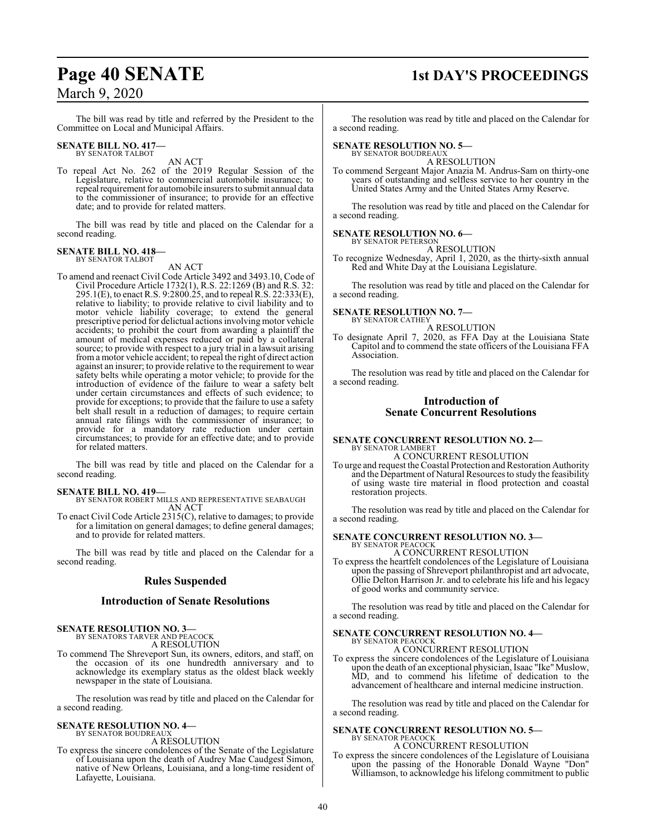The bill was read by title and referred by the President to the Committee on Local and Municipal Affairs.

#### **SENATE BILL NO. 417—** BY SENATOR TALBOT

AN ACT

To repeal Act No. 262 of the 2019 Regular Session of the Legislature, relative to commercial automobile insurance; to repeal requirement for automobile insurers to submit annual data to the commissioner of insurance; to provide for an effective date; and to provide for related matters.

The bill was read by title and placed on the Calendar for a second reading.

### **SENATE BILL NO. 418—** BY SENATOR TALBOT

AN ACT

To amend and reenact Civil Code Article 3492 and 3493.10, Code of Civil Procedure Article 1732(1), R.S. 22:1269 (B) and R.S. 32: 295.1(E), to enact R.S. 9:2800.25, and to repeal R.S. 22:333(E), relative to liability; to provide relative to civil liability and to motor vehicle liability coverage; to extend the general prescriptive period for delictual actions involving motor vehicle accidents; to prohibit the court from awarding a plaintiff the amount of medical expenses reduced or paid by a collateral source; to provide with respect to a jury trial in a lawsuit arising froma motor vehicle accident; to repeal the right of direct action against an insurer; to provide relative to the requirement to wear safety belts while operating a motor vehicle; to provide for the introduction of evidence of the failure to wear a safety belt under certain circumstances and effects of such evidence; to provide for exceptions; to provide that the failure to use a safety belt shall result in a reduction of damages; to require certain annual rate filings with the commissioner of insurance; to provide for a mandatory rate reduction under certain circumstances; to provide for an effective date; and to provide for related matters.

The bill was read by title and placed on the Calendar for a second reading.

#### **SENATE BILL NO. 419—**

BY SENATOR ROBERT MILLS AND REPRESENTATIVE SEABAUGH AN ACT

To enact Civil Code Article 2315(C), relative to damages; to provide for a limitation on general damages; to define general damages; and to provide for related matters.

The bill was read by title and placed on the Calendar for a second reading.

### **Rules Suspended**

#### **Introduction of Senate Resolutions**

**SENATE RESOLUTION NO. 3—** BY SENATORS TARVER AND PEACOCK

A RESOLUTION

To commend The Shreveport Sun, its owners, editors, and staff, on the occasion of its one hundredth anniversary and to acknowledge its exemplary status as the oldest black weekly newspaper in the state of Louisiana.

The resolution was read by title and placed on the Calendar for a second reading.

#### **SENATE RESOLUTION NO. 4—** BY SENATOR BOUDREAUX

A RESOLUTION

To express the sincere condolences of the Senate of the Legislature of Louisiana upon the death of Audrey Mae Caudgest Simon, native of New Orleans, Louisiana, and a long-time resident of Lafayette, Louisiana.

## **Page 40 SENATE 1st DAY'S PROCEEDINGS**

The resolution was read by title and placed on the Calendar for a second reading.

#### **SENATE RESOLUTION NO. 5—**

BY SENATOR BOUDREAUX A RESOLUTION

To commend Sergeant Major Anazia M. Andrus-Sam on thirty-one years of outstanding and selfless service to her country in the United States Army and the United States Army Reserve.

The resolution was read by title and placed on the Calendar for a second reading.

#### **SENATE RESOLUTION NO. 6—** BY SENATOR PETERSON

A RESOLUTION

To recognize Wednesday, April 1, 2020, as the thirty-sixth annual Red and White Day at the Louisiana Legislature.

The resolution was read by title and placed on the Calendar for a second reading.

## **SENATE RESOLUTION NO. 7—** BY SENATOR CATHEY

A RESOLUTION

To designate April 7, 2020, as FFA Day at the Louisiana State Capitol and to commend the state officers of the Louisiana FFA Association.

The resolution was read by title and placed on the Calendar for a second reading.

### **Introduction of Senate Concurrent Resolutions**

#### **SENATE CONCURRENT RESOLUTION NO. 2—** BY SENATOR LAMBERT A CONCURRENT RESOLUTION

To urge and request the Coastal Protection and Restoration Authority and the Department of Natural Resources to study the feasibility of using waste tire material in flood protection and coastal restoration projects.

The resolution was read by title and placed on the Calendar for a second reading.

#### **SENATE CONCURRENT RESOLUTION NO. 3—** BY SENATOR PEACOCK

A CONCURRENT RESOLUTION

To express the heartfelt condolences of the Legislature of Louisiana upon the passing of Shreveport philanthropist and art advocate, Ollie Delton Harrison Jr. and to celebrate his life and his legacy of good works and community service.

The resolution was read by title and placed on the Calendar for a second reading.

#### **SENATE CONCURRENT RESOLUTION NO. 4—** BY SENATOR PEACOCK A CONCURRENT RESOLUTION

To express the sincere condolences of the Legislature of Louisiana upon the death of an exceptional physician, Isaac "Ike"Muslow, MD, and to commend his lifetime of dedication to the advancement of healthcare and internal medicine instruction.

The resolution was read by title and placed on the Calendar for a second reading.

## **SENATE CONCURRENT RESOLUTION NO. 5—** BY SENATOR PEACOCK

A CONCURRENT RESOLUTION

To express the sincere condolences of the Legislature of Louisiana upon the passing of the Honorable Donald Wayne "Don" Williamson, to acknowledge his lifelong commitment to public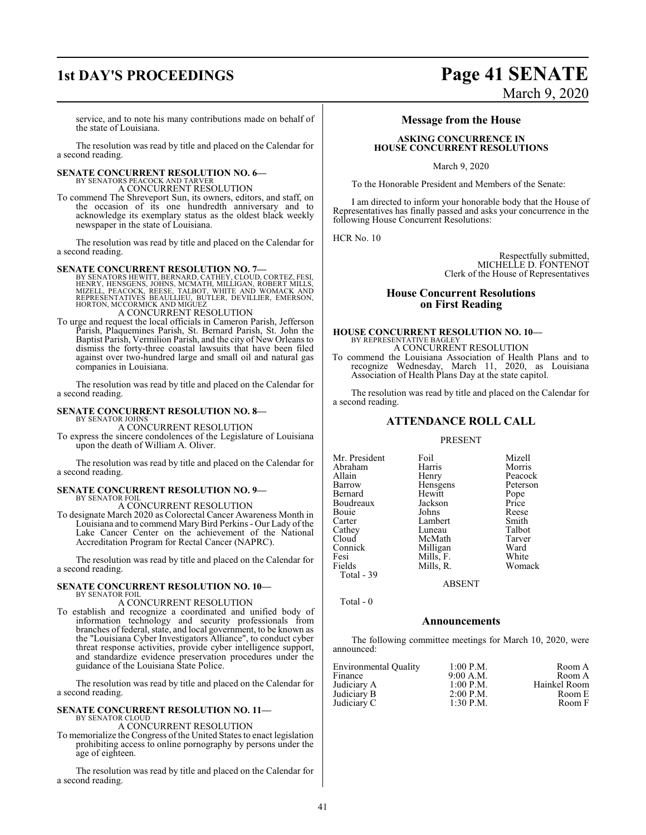service, and to note his many contributions made on behalf of the state of Louisiana.

The resolution was read by title and placed on the Calendar for a second reading.

## **SENATE CONCURRENT RESOLUTION NO. 6—** BY SENATORS PEACOCK AND TARVER

A CONCURRENT RESOLUTION

To commend The Shreveport Sun, its owners, editors, and staff, on the occasion of its one hundredth anniversary and to acknowledge its exemplary status as the oldest black weekly newspaper in the state of Louisiana.

The resolution was read by title and placed on the Calendar for a second reading.

#### **SENATE CONCURRENT RESOLUTION NO. 7—**

BY SENATORS HEWITT, BERNARD, CATHEY, CLOUD, CORTEZ, FESI,<br>HENRY, HENSGENS, JOHNS, MCMATH, MILLIGAN, ROBERT MILLS,<br>MIZELL, PEACOCK, REESE, TALBOT, WHITE AND WOMACK AND<br>REPRESENTATIVES BEAULLIEU, BUTLER, DEVILLIER, EMERSON,<br>

#### A CONCURRENT RESOLUTION

To urge and request the local officials in Cameron Parish, Jefferson Parish, Plaquemines Parish, St. Bernard Parish, St. John the Baptist Parish, Vermilion Parish, and the city of New Orleans to dismiss the forty-three coastal lawsuits that have been filed against over two-hundred large and small oil and natural gas companies in Louisiana.

The resolution was read by title and placed on the Calendar for a second reading.

#### **SENATE CONCURRENT RESOLUTION NO. 8—**

BY SENATOR JOHNS A CONCURRENT RESOLUTION

To express the sincere condolences of the Legislature of Louisiana upon the death of William A. Oliver.

The resolution was read by title and placed on the Calendar for a second reading.

#### **SENATE CONCURRENT RESOLUTION NO. 9—**

BY SENATOR FOIL A CONCURRENT RESOLUTION

To designate March 2020 as Colorectal Cancer Awareness Month in Louisiana and to commend MaryBird Perkins- Our Lady of the Lake Cancer Center on the achievement of the National Accreditation Program for Rectal Cancer (NAPRC).

The resolution was read by title and placed on the Calendar for a second reading.

#### **SENATE CONCURRENT RESOLUTION NO. 10—** BY SENATOR FOIL

A CONCURRENT RESOLUTION

To establish and recognize a coordinated and unified body of information technology and security professionals from branches of federal, state, and local government, to be known as the "Louisiana Cyber Investigators Alliance", to conduct cyber threat response activities, provide cyber intelligence support, and standardize evidence preservation procedures under the guidance of the Louisiana State Police.

The resolution was read by title and placed on the Calendar for a second reading.

### **SENATE CONCURRENT RESOLUTION NO. 11—**

BY SENATOR CLOUD A CONCURRENT RESOLUTION

To memorialize the Congress of the United States to enact legislation prohibiting access to online pornography by persons under the age of eighteen.

The resolution was read by title and placed on the Calendar for a second reading.

### **1st DAY'S PROCEEDINGS Page 41 SENATE** March 9, 2020

### **Message from the House**

#### **ASKING CONCURRENCE IN HOUSE CONCURRENT RESOLUTIONS**

March 9, 2020

To the Honorable President and Members of the Senate:

I am directed to inform your honorable body that the House of Representatives has finally passed and asks your concurrence in the following House Concurrent Resolutions:

HCR No. 10

Respectfully submitted, MICHELLE D. FONTENOT Clerk of the House of Representatives

#### **House Concurrent Resolutions on First Reading**

## **HOUSE CONCURRENT RESOLUTION NO. 10—** BY REPRESENTATIVE BAGLEY

A CONCURRENT RESOLUTION

To commend the Louisiana Association of Health Plans and to recognize Wednesday, March 11, 2020, as Louisiana Association of Health Plans Day at the state capitol.

The resolution was read by title and placed on the Calendar for a second reading.

#### **ATTENDANCE ROLL CALL**

#### PRESENT

| Mr. President | Foil      | Mizell   |
|---------------|-----------|----------|
| Abraham       | Harris    | Morris   |
| Allain        | Henry     | Peacock  |
| Barrow        | Hensgens  | Peterson |
| Bernard       | Hewitt    | Pope     |
| Boudreaux     | Jackson   | Price    |
| Bouie         | Johns     | Reese    |
| Carter        | Lambert   | Smith    |
| Cathey        | Luneau    | Talbot   |
| Cloud         | McMath    | Tarver   |
| Connick       | Milligan  | Ward     |
| Fesi          | Mills, F. | White    |
| Fields        | Mills, R. | Womack   |
| Total - 39    |           |          |

ABSENT

Total - 0

#### **Announcements**

The following committee meetings for March 10, 2020, were announced:

| <b>Environmental Quality</b><br>Finance | $1:00$ P.M.<br>9:00 A.M. | Room A<br>Room A |
|-----------------------------------------|--------------------------|------------------|
| Judiciary A                             | $1:00$ P.M.              | Hainkel Room     |
| Judiciary B                             | $2:00$ P.M.              | Room E           |
| Judiciary C                             | $1:30$ P.M.              | Room F           |